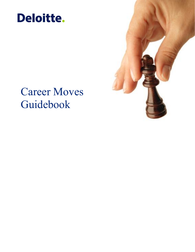

# Career Moves Guidebook

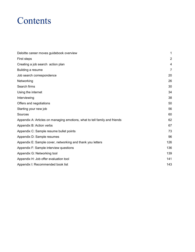## **Contents**

| Deloitte career moves guidebook overview                                   | 1              |
|----------------------------------------------------------------------------|----------------|
| First steps                                                                | $\overline{2}$ |
| Creating a job search action plan                                          | 4              |
| Building a resume                                                          | 7              |
| Job search correspondence                                                  | 20             |
| Networking                                                                 | 26             |
| Search firms                                                               | 30             |
| Using the internet                                                         | 34             |
| Interviewing                                                               | 38             |
| Offers and negotiations                                                    | 50             |
| Starting your new job                                                      | 56             |
| Sources                                                                    | 60             |
| Appendix A: Articles on managing emotions, what to tell family and friends | 62             |
| Appendix B: Action verbs                                                   | 67             |
| Appendix C: Sample resume bullet points                                    | 73             |
| Appendix D: Sample resumes                                                 | 96             |
| Appendix E: Sample cover, networking and thank you letters                 | 126            |
| Appendix F: Sample interview questions                                     | 136            |
| Appendix G: Networking tool                                                | 139            |
| Appendix H: Job offer evaluation tool                                      | 141            |
| Appendix I: Recommended book list                                          | 143            |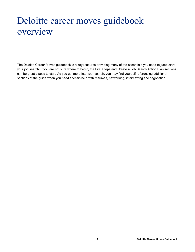# Deloitte career moves guidebook overview

The Deloitte Career Moves guidebook is a key resource providing many of the essentials you need to jump start your job search. If you are not sure where to begin, the First Steps and Create a Job Search Action Plan sections can be great places to start. As you get more into your search, you may find yourself referencing additional sections of the guide when you need specific help with resumes, networking, interviewing and negotiation.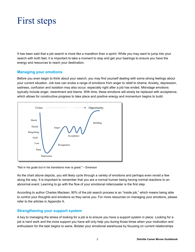## First steps

It has been said that a job search is more like a marathon than a sprint. While you may want to jump into your search with both feet, it is important to take a moment to stop and get your bearings to ensure you have the energy and resources to reach your destination.

#### **Managing your emotions**

Before you even begin to think about your search, you may find yourself dealing with some strong feelings about your current situation. Job loss can evoke a range of emotions from anger to relief to shame. Anxiety, depression, sadness, confusion and isolation may also occur; especially right after a job has ended. Mid-stage emotions typically include anger, resentment and blame. With time, these emotions will slowly be replaced with acceptance, which allows for constructive progress to take place and positive energy and momentum begins to build.



"Not in his goals but in his transitions man is great." – Emerson

As the chart above depicts, you will likely cycle through a variety of emotions and perhaps even revisit a few along the way. It is important to remember that you are a normal human being having normal reactions to an abnormal event. Learning to go with the flow of your emotional rollercoaster is the first step.

According to author Charles Maclean, 90% of the job search process is an "inside job," which means being able to control your thoughts and emotions so they serve you. For more resources on managing your emotions, please refer to the articles in Appendix A.

## **Strengthening your support system**

A key to managing the stress of looking for a job is to ensure you have a support system in place. Looking for a job is hard work and the more support you have will only help you during those times when your motivation and enthusiasm for the task begins to wane. Bolster your emotional warehouse by focusing on current relationships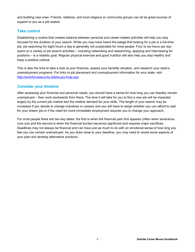and building new ones. Friends, relatives, and local religious or community groups can all be great sources of support to you as a job seeker.

## **Take control**

Establishing a routine that creates balance between personal and career-related activities will help you stay focused for the duration of your search. While you may have heard the adage that looking for a job is a full-time job, job searching for eight hours a day is generally not sustainable for most people. Four to six hours per day spent on a variety of job search activities – including networking and researching, applying and interviewing for positions – is a realistic goal. Regular physical exercise and good nutrition will also help you stay healthy and keep a positive outlook.

This is also the time to take a look at your finances, assess your benefits situation, and research your state's unemployment programs. For links to job placement and unemployment information for your state, visit [http://workforcesecurity.doleta.gov/map.asp.](http://workforcesecurity.doleta.gov/map.asp)

## **Consider your timeline**

After assessing your financial and personal needs, you should have a sense for how long you can feasibly remain unemployed – then work backwards from there. The time it will take for you to find a new job will be impacted largely by the current job market and the relative demand for your skills. The length of your search may be increased if you decide to change industries or careers and you will have to weigh whether you can afford to wait for your dream job or if the need for more immediate employment requires you to change your approach.

For most people there are two key dates: the first is when the financial pain first appears (often when severance runs out) and the second is when the financial burden becomes significant and requires major sacrifices. Deadlines may not always be financial and can have just as much to do with an emotional sense of how long you feel you can remain unemployed. As you draw close to your deadline, you may need to revisit some aspects of your plan and develop alternative solutions.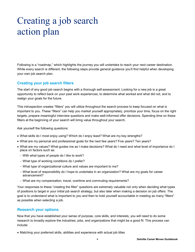# Creating a job search action plan

Following is a "roadmap," which highlights the journey you will undertake to reach your next career destination. While every search is different, the following steps provide general guidance you'll find helpful when developing your own job search plan.

#### **Creating your job search filters**

The start of any good job search begins with a thorough self-assessment. Looking for a new job is a great opportunity to reflect back on your past work experiences, to determine what worked and what did not, and to realign your goals for the future.

This introspection creates "filters" you will utilize throughout the search process to keep focused on what is important to you. These "filters" can help you market yourself appropriately, prioritize your time, focus on the right targets, prepare meaningful interview questions and make well-informed offer decisions. Spending time on these filters at the beginning of your search will bring value throughout your search.

Ask yourself the following questions:

- What skills do I most enjoy using? Which do I enjoy least? What are my key strengths?
- What are my personal and professional goals for the next few years? Five years? Ten years?
- What are my values? What guides me as I make decisions? What do I need and what level of importance do I place on factors such as:
	- With what types of people do I like to work?
	- What type of working conditions do I prefer?
	- What type of organizational culture and values are important to me?
	- What level of responsibility do I hope to undertake in an organization? What are my goals for career advancement?
	- What are my compensation, travel, overtime and commuting requirements?

Your responses to these "creating the filter" questions are extremely valuable not only when deciding what types of positions to target in your initial job search strategy, but also later when making a decision on job offers. The goal is to understand what is important to you and then to hold yourself accountable in meeting as many "filters" as possible when selecting a job.

#### **Research your options**

Now that you have established your sense of purpose, core skills, and interests, you will need to do some research to broadly explore the industries, jobs, and organizations that might be a good fit. This process can include:

Matching your preferred skills, abilities and experience with actual job titles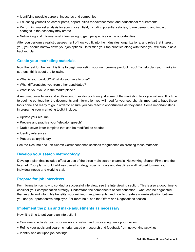- Identifying possible careers, industries and companies
- Educating yourself on career paths, opportunities for advancement, and educational requirements
- Performing market analysis for your chosen field, including potential salaries, future demand and impact changes in the economy may create
- Networking and informational interviewing to gain perspective on the opportunities

After you perform a realistic assessment of how you fit into the industries, organizations, and roles that interest you, you should narrow down your job options. Determine your top priorities along with those you will pursue as a back-up plan.

#### **Create your marketing materials**

Now the real fun begins. It is time to begin marketing your number-one product…you! To help plan your marketing strategy, think about the following:

- What is your product? What do you have to offer?
- What differentiates you from other candidates?
- What is your value in the marketplace?

A resume, cover letters and a 30-second Elevator pitch are just some of the marketing tools you will use. It is time to begin to put together the documents and information you will need for your search. It is important to have these tools done and ready to go in order to ensure you can react to opportunities as they arise. Some important steps in preparing your marketing toolkit include:

- Update your resume
- Prepare and practice your "elevator speech"
- Draft a cover letter template that can be modified as needed
- Identify references
- Prepare salary history

See the Resume and Job Search Correspondence sections for guidance on creating these materials.

#### **Develop your search methodology**

Develop a plan that includes effective use of the three main search channels: Networking, Search Firms and the Internet. Your plan should address overall strategy, specific goals and deadlines – all tailored to meet your individual needs and working style.

#### **Prepare for job interviews**

For information on how to conduct a successful interview, see the Interviewing section. This is also a good time to consider your compensation strategy. Understand the components of compensation – what can be negotiated, the tangible and intangible benefits, your minimum requirements, and how to create a win-win situation between you and your prospective employer. For more help, see the Offers and Negotiations section.

#### **Implement the plan and make adjustments as necessary**

Now, it is time to put your plan into action!

- Continue to actively build your network, creating and discovering new opportunities
- Refine your goals and search criteria, based on research and feedback from networking activities
- Identify and act upon job postings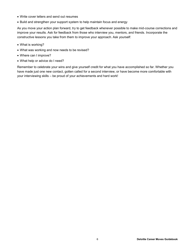- Write cover letters and send out resumes
- Build and strengthen your support system to help maintain focus and energy

As you move your action plan forward, try to get feedback whenever possible to make mid-course corrections and improve your results. Ask for feedback from those who interview you, mentors, and friends. Incorporate the constructive lessons you take from them to improve your approach. Ask yourself:

- What is working?
- What was working and now needs to be revised?
- Where can I improve?
- What help or advice do I need?

Remember to celebrate your wins and give yourself credit for what you have accomplished so far. Whether you have made just one new contact, gotten called for a second interview, or have become more comfortable with your interviewing skills – be proud of your achievements and hard work!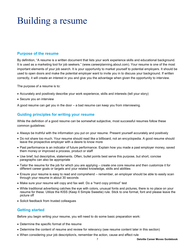# Building a resume

## **Purpose of the resume**

By definition, "A resume is a written document that lists your work experience skills and educational background. It is used as a marketing tool for job seekers." (<www.careerplanning.about.com>). Your resume is one of the most important elements of your job search. It is your opportunity to market yourself to potential employers. It should be used to open doors and make the potential employer want to invite you in to discuss your background. If written correctly, it will create an interest in you and give you the advantage when given the opportunity to interview.

The purpose of a resume is to:

- Accurately and positively describe your work experience, skills and interests (tell your story)
- Secure you an interview

A good resume can get you in the door – a bad resume can keep you from interviewing.

## **Guiding principles for writing your resume**

While the definition of a good resume can be somewhat subjective, most successful resumes follow these common guidelines:

- Always be truthful with the information you put on your resume. Present yourself accurately and positively
- Do not share too much. Your resume should read like a billboard, not an encyclopedia. A good resume should leave the prospective employer with a desire to know more
- Past performance is an indicator of future performance. Explain how you made a past employer money, saved them money or improved a process, product or staff
- Use brief, but descriptive, statements. Often, bullet points best serve this purpose, but short, concise paragraphs can also be appropriate
- Tailor the resume for the job for which you are applying create one core resume and then customize it for different career goals or targets and your related knowledge, skills and abilities
- Ensure your resume is easy to read and comprehend remember, an employer should be able to easily scan through your resume in about 30 seconds
- Make sure your resume will copy and fax well. Do a "hard copy printout" test
- While traditional advertising catches the eye with colors, unusual fonts and pictures, there is no place on your resume for these. Utilize the KISS (Keep It Simple Sweetie) rule. Stick to one format, font and please leave the picture off
- Solicit feedback from trusted colleagues

## **Getting started**

Before you begin writing your resume, you will need to do some basic preparation work:

- Determine the specific format of the resume
- Determine the content of resume and review for relevancy (see resume content later in this section)
- When considering your job description/s, remember the action, cause and effect rule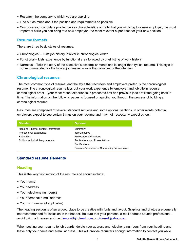- Research the company to which you are applying
- Find out as much about the position and requirements as possible
- Compose your candidate profile: the key characteristics or traits that you will bring to a new employer, the most important skills you can bring to a new employer, the most relevant experience for your new position

#### **Resume formats**

There are three basic styles of resumes:

- Chronological Lists job history in reverse chronological order
- Functional Lists experience by functional area followed by brief listing of work history
- Narrative Tells the story of the executive's accomplishments and is longer than typical resume. This style is not recommended for the typical job seeker – save the narrative for the interview

## **Chronological resumes**

The most common type of resume, and the style that recruiters and employers prefer, is the chronological resume. The chronological resume lays out your work experience by employer and job title in reverse chronological order – your most recent experience is presented first and previous jobs are listed going back in time. The information on the following pages is focused on guiding you through the process of building a chronological resume.

Resumes are composed of several standard sections and some optional sections. In other words potential employers expect to see certain things on your resume and may not necessarily expect others.

| <b>Standard</b>                     | <b>Optional</b>                              |
|-------------------------------------|----------------------------------------------|
| Heading – name, contact information | Summary                                      |
| <b>Professional Experience</b>      | Job Objective                                |
| Education                           | <b>Professional Affiliations</b>             |
| Skills - technical, language, etc.  | <b>Publications and Presentations</b>        |
|                                     | Certifications                               |
|                                     | Relevant Volunteer or Community Service Work |

## **Standard resume elements**

## **Heading**

This is the very first section of the resume and should include:

- Your name
- Your address
- Your telephone number(s)
- Your personal e-mail address
- Your fax number (if applicable)

The heading section is often a good place to be creative with fonts and layout. Graphics and photos are generally not recommended for inclusion in the header. Be sure that your personal e-mail address sounds professional – avoid using addresses such as [iamcool@hotmail.com](mailto:iamcool@hotmail.com) or [pickme@yahoo.com.](mailto:pickme@yahoo.com.)

When posting your resume to job boards, delete your address and telephone numbers from your heading and leave only your name and e-mail address. This will provide recruiters enough information to contact you while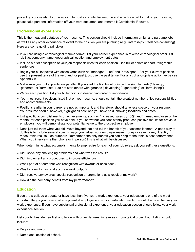protecting your safety. If you are going to post a confidential resume and attach a word format of your resume, please take personal information off your word document and rename it Confidential Resume.

## **Professional experience**

This is the meat and potatoes of your resume. This section should include information on full and part-time jobs, as well as any other experience relevant to the position you are pursuing (e.g., internships, freelance consulting). Here are some guiding principles:

- If you are using a chronological resume format; list your career experience in reverse chronological order, list job title, company name, geographical location and employment dates
- Include a brief description of your job responsibilities for each position. Use bullet points or short, telegraphic sentences
- Begin your bullet points with action verbs such as "managed," "led" and "developed." For your current position, use the present tense of the verb and for past jobs, use the past tense. For a list of appropriate action verbs see Appendix B
- Make sure your bullet points are parallel. If you start the first bullet point with a singular verb ("develop," "generate" or "formulate"), do not start others with gerunds ("developing," "generating" or "formulating")
- Within each position, list your bullet points in descending order of importance
- Your most recent position, listed first on your resume, should contain the greatest number of job responsibilities and accomplishments
- Positions earlier in your career are not as important, and therefore, should take less space on your resume. Your resume should, however, highlight all positions you have held, showing locations and dates
- List specific accomplishments or achievements, such as "increased sales by 10%" and "named employee of the month" for each position you have held. If you show that you consistently produced positive results for previous employers, you will demonstrate your potential value to the prospective employer
- Don't just tell them what you did. Move beyond that and tell the benefit of your accomplishment. A good way to do this is to include several specific ways you helped your employer make money or save money. Identify measurable results; use numbers. Remember, the only benefit you can bring to the table is past performance. When you interview (either phone or in person) this is what will be discussed

When determining what accomplishments to emphasize for each of your job roles, ask yourself these questions:

- Did I solve any challenging problems and what was the result?
- Did I implement any procedures to improve efficiency?
- Was I part of a team that was recognized with awards or accolades?
- Was I known for fast and accurate work output?
- Did I receive any awards, special recognition or promotions as a result of my work?
- How did the company benefit from my performance?

#### **Education**

If you are a college graduate or have less than five years work experience, your education is one of the most important things you have to offer a potential employer and so your education section should be listed before your work experience. If you have substantial professional experience, your education section should follow your work experience section.

List your highest degree first and follow with other degrees, in reverse chronological order. Each listing should include:

- Degree and major.
- Name and location of school.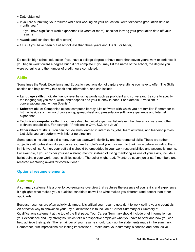- Date obtained.
- If you are submitting your resume while still working on your education, write "expected graduation date of month, year"
	- If you have significant work experience (10 years or more), consider leaving your graduation date off your resume
- Awards and scholarships (if relevant)
- GPA (if you have been out of school less than three years and it is 3.0 or better)

Do not list high school education if you have a college degree or have more than seven years work experience. If you began work toward a degree but did not complete it, you may list the name of the school, the degree you were pursuing and the number of credit hours completed.

## **Skills**

Sometimes the Work Experience and Education sections do not capture everything you have to offer. The Skills section can help convey this additional information, and can include:

- **Language skills:** Indicate fluency level by using words such as proficient and conversant. Be sure to specify the language(s) you read, write, and/or speak and your fluency in each. For example, "Proficient in conversational and written Spanish"
- **Software skills:** Companies expect computer literacy. List software with which you are familiar. Remember to list the basics such as word processing, spreadsheet and presentation software experience and Internet experience
- **Technical computer skills:** If you have deep technical expertise, list relevant hardware, software and other technical capabilities. For example, "Proficient in C++, SQL and Java"
- **Other relevant skills:** You can include skills learned in internships, jobs, team activities, and leadership roles. List skills you can perform with little or no direction

Some people include soft skills here, such as teamwork, flexibility and interpersonal skills. These are rather subjective attributes (how do you prove you are flexible?) and you may want to think twice before including them in this type of list. Rather, your soft skills should be embedded in your work responsibilities and accomplishments. For example, if you consider yourself a strong mentor, instead of listing mentoring as one of your skills, include a bullet point in your work responsibilities section. The bullet might read, "Mentored seven junior staff members and received mentoring award for contributions."

## **Optional resume elements**

## **Summary**

A summary statement is a one- to two-sentence overview that captures the essence of your skills and experience. It highlights what makes you a qualified candidate as well as what makes you different (and better) than other applicants.

Because resumes are often quickly skimmed, it is critical your resume gets right to work selling your credentials. An effective way to showcase your key qualifications is to include a Career Summary or Summary of Qualifications statement at the top of the first page. Your Career Summary should include brief information on your experience and key strengths, which tells a prospective employer what you have to offer and how you can help achieve their goals. The remainder of your resume should back up the statements made in the summary. Remember, first impressions are lasting impressions – make sure your summary is concise and persuasive.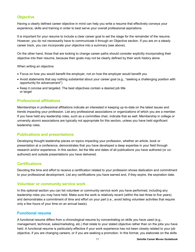## **Objective**

Having a clearly defined career objective in mind can help you write a resume that effectively conveys your experience, skills and training in order to best serve your overall professional aspirations.

It is important for your resume to include a clear career goal to set the stage for the remainder of the resume. However, you do not necessarily have to communicate it through an Objective section. If you are on a steady career track, you can incorporate your objective into a summary (see above).

On the other hand, those that are looking to change career paths should consider explicitly incorporating their objective into their resume, because their goals may not be clearly defined by their work history alone.

When writing an objective:

- Focus on how you would benefit the employer, not on how the employer would benefit you
- Avoid statements that say nothing substantial about your career goal (e.g., "seeking a challenging position with opportunity for advancement")
- Keep it concise and targeted. The best objectives contain a desired job title or target

## **Professional affiliations**

Memberships in professional affiliations indicate an interested in keeping up-to-date on the latest issues and trends impacting your profession. List any professional associations or organizations of which you are a member. If you have held any leadership roles, such as a committee chair, indicate that as well. Membership in college or university alumni associations are typically not appropriate for this section, unless you have held significant leadership roles.

#### **Publications and presentations**

Developing thought leadership pieces on topics impacting your profession, whether an article, book or presentation at a conference, demonstrates that you have developed a deep expertise in your field through research and/or experience. In this section, list the title and dates of all publications you have authored (or coauthored) and outside presentations you have delivered.

## **Certifications**

Devoting the time and effort to receive a certification related to your profession shows dedication and commitment to your professional development. List any certifications you have earned and, if they expire, the expiration date.

#### **Volunteer or community service work**

In this optional section you can list volunteer or community service work you have performed, including any leadership roles you may have held. Make sure the work is relatively recent (within the last three to five years) and demonstrates a commitment of time and effort on your part (i.e., avoid listing volunteer activities that require only a few hours of your time on an annual basis).

## **Functional resume**

A functional resume differs from a chronological resume by concentrating on skills you have used (e.g., management, technical, sales/marketing, etc.) that relate to your stated objective rather than on the jobs you have held. A functional resume is particularly effective if your work experience has not been closely related to your job objective, if you are changing careers, or if you are seeking a promotion. In this format, you elaborate on the skills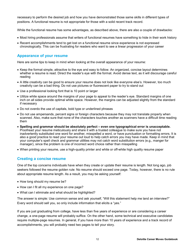necessary to perform the desired job and how you have demonstrated those same skills in different types of positions. A functional resume is not appropriate for those with a solid recent track record.

While the functional resume has some advantages, as described above, there are also a couple of drawbacks:

- Most hiring professionals assume that writers of functional resumes have something to hide in their work history
- Recent accomplishments tend to get lost on a functional resume since experience is not expressed chronologically. This can be frustrating for readers who want to see a linear progression of your career

#### **Appearance of your resume**

Here are some tips to keep in mind when looking at the overall appearance of your resume:

- Keep the format simple, attractive to the eye and easy to follow. An organized, concise layout determines whether a resume is read. Direct the reader's eye with the format. Avoid dense text, as it will discourage careful reading
- A little creativity can be good to ensure your resume does not look like everyone else's. However, too much creativity can be a bad thing. Do not use pictures or fluorescent paper to try to stand out
- Use a professional looking font that is 10 point or larger
- Utilize white space around the margins of your page to appeal to the reader's eye. Standard margins of one inch on all sides provide optimal white space. However, the margins can be adjusted slightly from the standard if necessary
- Do not overdo the use of capitals, bold type or underlined phrases
- Do not use ampersands, percent signs or foreign characters because they may not translate properly when scanned. Also, make sure that none of the characters touches another as scanners have a difficult time reading them
- **Spelling and grammar should be absolutely perfect – even one typographical error is unacceptable.** Proofread your resume meticulously and share it with a trusted colleague to make sure you have not inadvertently substituted one word for another, misspelled a word, or have punctuation or formatting errors. It is also a good practice to read your resume out loud to help catch errors you may have made. Keep in mind that your computer's spell check and grammar utilities may not catch word substitution errors (e.g., manger for manager), since the problem is one of incorrect word choice rather than misspelling
- When printing your resume, use a high-quality printer and white or off-white high quality resume paper

#### **Creating a concise resume**

One of the top concerns individuals have when they create or update their resume is length. Not long ago, job seekers followed the resume golden rule: No resume should exceed one page. Today, however, there is no rule about appropriate resume length. As a result, you may be asking yourself:

- How long should my resume be?
- How can I fit all my experience on one page?
- What can I eliminate and what should be highlighted?

The answer is simple: Use common sense and ask yourself, "Will this statement help me land an interview?" Every word should sell you, so only include information that elicits a "yes."

If you are just graduating from college, have less than five years of experience or are considering a career change, a one-page resume will probably suffice. On the other hand, some technical and executive candidates require multiple-page resumes. In general, if you have more than 10 years of experience and a track record of accomplishments, you will probably need two pages to tell your story.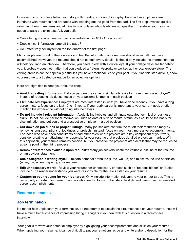However, do not confuse telling your story with creating your autobiography. Prospective employers are inundated with resumes and are faced with weeding out the good from the bad. The first step involves quickly skimming through resumes and eliminating candidates who clearly are not qualified. Therefore, your resume needs to pass the skim test. Ask yourself:

- Can a hiring manager see my main credentials within 10 to 15 seconds?
- Does critical information jump off the page?
- Do I effectively sell myself on the top quarter of the first page?

Many people are proud of their careers and feel the information on a resume should reflect all they have accomplished. However, the resume should not contain every detail – it should only include the information that will help you land an interview. Therefore, you need to edit with a critical eye. If your college days are far behind you, it probably does not matter that you pledged a fraternity/sorority or worked at the local grocery store. The editing process can be especially difficult if you have emotional ties to your past. If you find this step difficult, show your resume to a trusted colleague for an objective opinion.

Here are eight tips to keep your resume crisp:

- **Avoid repeating information:** Did you perform the same or similar job tasks for more than one employer? Instead of repeating job duties, focus on your accomplishments in each position
- **Eliminate old experience:** Employers are most interested in what you have done recently. If you have a long career history, focus on the last 10 to 15 years. If your early career is important to your current goal, briefly mention the experience without going into the details
- **Do not include irrelevant information:** Avoid listing hobbies and eliminate outdated technical or business skills. Do not include personal information, such as date of birth or marital status, as it could be the basis for discrimination and put you and a prospective employer in a bad position
- **Cut down on job duties or project listings:** Many job seekers can trim the fat off their resumes simply by removing long descriptions of job duties or projects. Instead, focus on your most impressive accomplishments. For those who have been consultants or had other roles where projects are a key component of your work, consider creating an attachment or appendix for your resume that provides detailed project summaries. With this approach, your resume remains concise, but you preserve the project-related details that may be requested at some point in the hiring process
- **Remove "references available upon request":** Many job seekers waste the valuable last line of the resume on an obvious statement
- **Use a telegraphic writing style:** Eliminate personal pronouns (I, me, we, us) and minimize the use of articles (a, an, the) when preparing your resume
- **Edit unnecessary words:** Review your resume for unnecessary phrases such as "responsible for" or "duties include." The reader understands you were responsible for the tasks listed on your resume
- **Customize your resume for your job target:** Only include information relevant to your career target. This is particularly important for career changers who need to focus on transferable skills and deemphasize unrelated career accomplishments

## **Resume dilemmas**

#### **Job termination**

No matter how unpleasant your termination, do not attempt to explain the circumstances on your resume. You will have a much better chance of impressing hiring managers if you deal with this question in a face-to-face interview.

Your goal is to wow your potential employer by highlighting your accomplishments and skills on your resume. When updating your resume, it can be difficult to put your emotions aside and write a strong description for the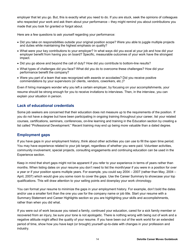employer that let you go. But, this is exactly what you need to do. If you are stuck, seek the opinions of colleagues who respected your work and ask them about your performance – they might remind you about contributions you made that you took for granted or forgot about.

Here are a few questions to ask yourself regarding your performance:

- Did you take on responsibilities outside your original position scope? Were you able to juggle multiple projects and duties while maintaining the highest emphasis on quality?
- What were your key contributions to your employer? In what ways did you excel at your job and how did your employer benefit from having you on board? Specific, measurable outcomes of your work have the strongest impact.
- Did you go above and beyond the call of duty? How did you contribute to bottom-line results?
- What types of challenges did you face? What did you do to overcome these challenges? How did your performance benefit the company?
- Were you part of a team that was recognized with awards or accolades? Did you receive positive commendations by your supervisors (or clients, vendors, coworkers, etc.)?

Even if hiring managers wonder why you left a certain employer, by focusing on your accomplishments, your resume should be strong enough for you to receive invitations to interviews. Then, in the interview, you can explain your situation in person.

## **Lack of educational credentials**

Some job seekers are concerned that their education does not measure up to the requirements of the position. If you do not have a degree but have been participating in ongoing training throughout your career, list your related courses, certifications, seminars, conferences, on-line learning and training in the Education section by creating a list called "Professional Development." Recent training may end up being more valuable than a dated degree.

## **Employment gaps**

If you have gaps in your employment history, think about other activities you can use to fill the open time period. You may have experience related to your job target, regardless of whether you were paid. Volunteer activities, community involvement, special projects, consulting engagements and continuing education can be used in the Experience section.

Keep in mind that short gaps might not be apparent if you refer to your experience in terms of years rather than months. When listing dates on your resume you don't need to list the month/year if you were in a position for over a year or if your position spans multiple years. For example, you could say 2004 – 2007 (rather than May, 2004 – April, 2007) which would give you some room to cover the gaps. Use the Career Summary to showcase your top qualifications. This will draw attention to your selling points and downplay your work chronology.

You can format your resume to minimize the gaps in your employment history. For example, don't bold the dates and/or use a smaller font than the one you use for the company name or job title. Start your resume with a Summary Statement and Career Highlights section so you are highlighting your skills and accomplishments, rather than when you did what.

If you were out of work because you raised a family, continued your education, cared for a sick family member or recovered from an injury, be sure your tone is not apologetic. There is nothing wrong with being out of work and a negative attitude might affect the quality of your resume. If you have been out of the work world for an extended period of time, show how you have kept (or brought) yourself up-to-date with changes in your profession and industry.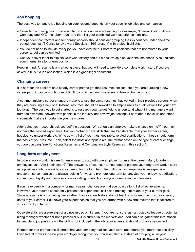## **Job hopping**

The best way to handle job hopping on your resume depends on your specific job titles and companies.

- Consider combining two or more similar positions under one heading. For example, "Internal Auditor, Acme Company and XYZ, Inc., 2/94-4/96" and then list your combined work experience highlights
- Independent contractors and temporary workers should consider grouping their experience under one-time period (such as IT Consultant/Network Specialist, 4/95-present) with project highlights
- You do not need to include every job you have ever held. Short-term positions that are not related to your career target can be omitted
- Use your cover letter to explain your work history and put a positive spin on your circumstances. Also, indicate your interest in a long-term position

Keep in mind: A resume is a marketing piece, but you will need to provide a complete work history if you are asked to fill out a job application, which is a signed legal document.

## **Changing careers**

It is hard for job seekers on a steady career path to get their resumes noticed, but if you are pursuing a new career path, it can be much more difficult to convince hiring managers to take a chance on you.

A common mistake career changers make is to use the same resumes that worked in their previous careers when they are pursuing a new one. Instead, resumes should be reworked to emphasize key qualifications for your new job target. The best way to get started is to research your target field to understand what hiring managers want from their workers; network with people in the industry and review job postings. Learn about the skills and other credentials that are important in your new career.

After doing your research, ask yourself the question: "Why should an employer take a chance on me?" You may not have the desired experience, but you probably have skills that are transferable from your former career, hobbies, volunteer work, etc. Write down a list of your most desirable, related qualifications – these should form the basis of your resume. Then, select the most appropriate resume format based on the type of career change you are pursuing (see Functional Resumes and Combination Style Resumes in this section).

## **Long-term employment**

In today's work world, it is rare for employees to stay with one employer for an entire career. Many long-term employees ask, "Am I a dinosaur?" The answer is, of course, no. You need to present your long-term work history as a positive attribute – evidence you are in for the long haul. Recruiting a new employee is an expensive endeavor, so companies are always looking for ways to promote long-term tenure. Use your longevity, dedication, commitment, loyalty and perseverance as selling points, both on your resume and in interviews.

If you have been with a company for many years, chances are that you boast a long list of achievements. However, your resume should only present the experience, skills and training that relate to your current goal. Since a resume is a marketing piece rather than a career history, do not feel that your resume must cover every detail of your career. Edit down your experience so that you are armed with a powerful resume that is tailored to your current job target.

Obsolete skills are a sure sign of a dinosaur, so omit them. If you are not sure, ask a trusted colleague or potential hiring manager whether or not a particular skill is current in the marketplace. You can also gather this information by searching job postings – if the skill is not included in the job requirements, it should probably be omitted.

Remember that promotions illustrate that your company realized your worth and offered you more responsibility. Even lateral moves indicate your employer recognized your diverse talents. Instead of grouping all of your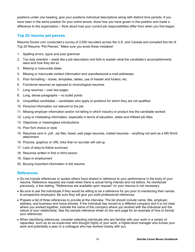positions under one heading, give your positions individual descriptions along with distinct time periods. If you have been in the same position for your entire tenure, show how you have grown in this position and made a difference to the organization – think about how your current job responsibilities differ from when you first began.

#### **Top 20 resume pet peeves**

Resume Doctor.com conducted a survey of 2,500 recruiters across the U.S. and Canada and compiled this list of Top 20 Resume "Pet Peeves." Make sure you avoid these mistakes!

- 1. Spelling errors, typos and poor grammar
- 2. Too duty oriented reads like a job description and fails to explain what the candidate's accomplishments were and how they did so
- 3. Missing or inaccurate dates
- 4. Missing or inaccurate contact information and unprofessional e-mail addresses
- 5. Poor formatting boxes, templates, tables, use of header and footers, etc.
- 6. Functional resumes as opposed to chronological resumes
- 7. Long resumes over two pages
- 8. Long, dense paragraphs no bullet points
- 9. Unqualified candidates candidates who apply to positions for which they are not qualified
- 10. Personal information not relevant to the job
- 11. Missing employer information and/or not telling in which industry or product line the candidate worked
- 12. Lying or misleading information, especially in terms of education, dates and inflated job titles
- 13. Objectives or meaningless introductions
- 14. Poor font choice or style
- 15. Resumes sent in .pdf, .zip files, faxed, web page resumes, mailed resumes anything not sent as a MS Word attachment
- 16. Pictures, graphics or URL links that no recruiter will call up
- 17. Lack of easy-to-follow summary
- 18. Resumes written in first or third person
- 19. Gaps in employment
- 20. Burying important information in the resume

## **References**

- Do not include references or quotes others have shared in reference to your performance in the body of your resume. Reference requests are made when there is actual hiring interest and not before. As mentioned previously, a line stating, "References are available upon request" on your resume is not necessary
- Be sure to ask the individuals if they would be willing to be a reference for you prior to mentioning their names to prospective employers. Be sure they will give you solid professional references
- Prepare a list of three references to provide at the interview. The list should include name, title, employer, address, and business and home phones. If the individual has moved to a different company and it is not clear where you worked together, indicate the name of the company where you worked with the individual and the nature of your relationship. See the sample reference sheet on the next page for an example of how to format your references
- When identifying references, consider selecting individuals who are familiar with your work in a variety of capacities, such as an ex-supervisor who thought highly of your work, a higher-level manager who knows your work and potentially a peer or a colleague who has worked closely with you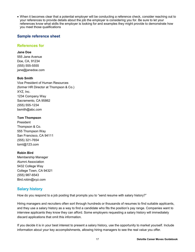When it becomes clear that a potential employer will be conducting a reference check, consider reaching out to your references to provide details about the job the employer is considering you for. Be sure to let your references know what skills the employer is looking for and examples they might provide to demonstrate how you meet those qualifications

## **Sample reference sheet**

## **References for**

#### **Jane Doe**

555 Jane Avenue Doe, CA, 91234 (555) 555-5555 [jane@janedoe.com](mailto:jane@janedoe.com)

#### **Bob Smith**

Vice President of Human Resources (former HR Director at Thompson & Co.) XYZ, Inc. 1234 Company Way Sacramento, CA 95862 (555) 555-1234 [bsmith@abc.com](mailto:bsmith@abc.com)

#### **Tom Thompson**

President Thompson & Co. 555 Thompson Way San Francisco, CA 94111 (555) 321-7654 [tomt@123.com](mailto:tomt@123.com)

#### **Robin Bird**

Membership Manager Alumni Association 5432 College Way College Town, CA 94321 (555) 987-6543 [Bird.robin@xyz.com](mailto:Bird.robin@xyz.com)

## **Salary history**

How do you respond to a job posting that prompts you to "send resume with salary history?"

Hiring managers and recruiters often sort through hundreds or thousands of resumes to find suitable applicants, and they use a salary history as a way to find a candidate who fits the position's pay range. Companies want to interview applicants they know they can afford. Some employers requesting a salary history will immediately discard applications that omit this information.

If you decide it is in your best interest to present a salary history, use the opportunity to market yourself. Include information about your key accomplishments, allowing hiring managers to see the real value you offer.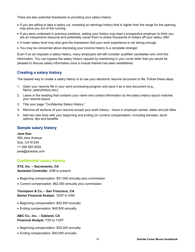There are also potential drawbacks to providing your salary history:

- If you are willing to take a salary cut, revealing an earnings history that is higher than the range for the opening may price you out of the running.
- If you were underpaid in previous positions, stating your history may lead a prospective employer to think you are an inexpensive resource and potentially cause them to shave thousands of dollars off your salary offer.
- A lower salary level may also give the impression that your work experience is not strong enough.
- You may be concerned about disclosing your income history to a complete stranger.

Even if an ad requests a salary history, many employers will still consider qualified candidates who omit this information. You can bypass the salary history request by mentioning in your cover letter that you would be pleased to discuss salary information once a mutual interest has been established.

## **Creating a salary history**

The easiest way to create a salary history is to use your electronic resume document or file. Follow these steps:

- 1. Open your resume file in your word processing program and save it as a new document (e.g., Name\_salaryhistory.doc).
- 2. Leave in the heading that contains your name and contact information so the salary history layout matches your resume layout.
- 3. Title your page "Confidential Salary History."
- 4. Remove all sections of your resume except your work history leave in employer names, dates and job titles.
- 5. Add two new lines with your beginning and ending (or current) compensation, including bonuses, stock options, tips and benefits.

## **Sample salary history**

**Jane Doe** 555 Jane Avenue Doe, CA 91234 +1 555 555 5555 [jane@janedoe.com](mailto:jane@janedoe.com)

## **Confidential salary history**

**XYZ, Inc. – Sacramento, CA Assistant Controller**, 5/99 to present

- Beginning compensation: \$51,000 annually plus commission
- Current compensation: \$62,000 annually plus commission

**Thompson & Co. – San Francisco, CA Senior Financial Analyst**, 12/97 to 5/99

- Beginning compensation: \$42,500 annually
- Ending compensation: \$49,500 annually

**ABC Co., Inc. – Oakland, CA Financial Analyst**, 7/93 to 12/97

- Beginning compensation: \$32,000 annually
- Ending compensation: \$40,000 annually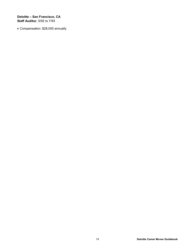**Deloitte – San Francisco, CA Staff Auditor**, 5/92 to 7/93

Compensation: \$28,000 annually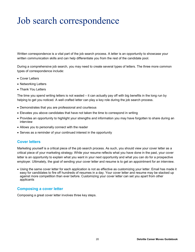# Job search correspondence

Written correspondence is a vital part of the job search process. A letter is an opportunity to showcase your written communication skills and can help differentiate you from the rest of the candidate pool.

During a comprehensive job search, you may need to create several types of letters. The three more common types of correspondence include:

- Cover Letters
- Networking Letters
- Thank You Letters

The time you spend writing letters is not wasted – it can actually pay off with big benefits in the long run by helping to get you noticed. A well crafted letter can play a key role during the job search process.

- Demonstrates that you are professional and courteous
- Elevates you above candidates that have not taken the time to correspond in writing
- Provides an opportunity to highlight your strengths and information you may have forgotten to share during an interview
- Allows you to personally connect with the reader
- Serves as a reminder of your continued interest in the opportunity

#### **Cover letters**

Marketing yourself is a critical piece of the job search process. As such, you should view your cover letter as a critical piece of your marketing strategy. While your resume reflects what you have done in the past, your cover letter is an opportunity to explain what you want in your next opportunity and what you can do for a prospective employer. Ultimately, the goal of sending your cover letter and resume is to get an appointment for an interview.

 Using the same cover letter for each application is not as effective as customizing your letter. Email has made it easy for candidates to fire off hundreds of resumes in a day. Your cover letter and resume may be stacked up against more competition than ever before. Customizing your cover letter can set you apart from other applicants

#### **Composing a cover letter**

Composing a great cover letter involves three key steps.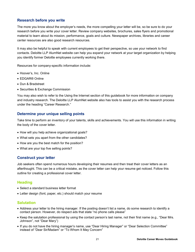#### **Research before you write**

The more you know about the employer's needs, the more compelling your letter will be, so be sure to do your research before you write your cover letter. Review company websites, brochures, sales flyers and promotional material to learn about its mission, performance, goals and culture. Newspaper archives, libraries and career center resources are also good research resources.

It may also be helpful to speak with current employees to get their perspective, so use your network to find contacts. Deloitte LLP AlumNet website can help you expand your network at your target organization by helping you identify former Deloitte employees currently working there.

Resources for company-specific information include:

- Hoover's, Inc. Online
- EDGAR® Online
- Dun & Bradstreet
- Securities & Exchange Commission

You may also wish to refer to the Using the Internet section of this guidebook for more information on company and industry research. The Deloitte LLP AlumNet website also has tools to assist you with the research process under the heading "Career Research."

#### **Determine your unique selling points**

Take time to perform an inventory of your talents, skills and achievements. You will use this information in writing the body of the cover letter.

- How will you help achieve organizational goals?
- What sets you apart from the other candidates?
- How are you the best match for the position?
- What are your top five selling points?

#### **Construct your letter**

Job seekers often spend numerous hours developing their resumes and then treat their cover letters as an afterthought. This can be a critical mistake, as the cover letter can help your resume get noticed. Follow this outline for creating a professional cover letter.

#### **Heading**

- Select a standard business letter format
- Letter design (font, paper, etc.) should match your resume

#### **Salutation**

- Address your letter to the hiring manager. If the posting doesn't list a name, do some research to identify a contact person. However, do respect ads that state "no phone calls please"
- Keep the salutation professional by using the contact person's last name, not their first name (e.g., "Dear Mrs. Johnson", not "Dear Mary")
- If you do not have the hiring manager's name, use "Dear Hiring Manager" or "Dear Selection Committee" instead of "Dear Sir/Madam" or "To Whom It May Concern"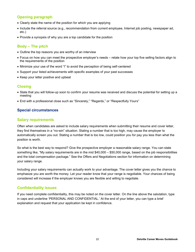## **Opening paragraph**

- Clearly state the name of the position for which you are applying
- Include the referral source (e.g., recommendation from current employee, Internet job posting, newspaper ad, etc.)
- Provide a synopsis of why you are a top candidate for the position

## **Body – The pitch**

- Outline the top reasons you are worthy of an interview
- Focus on how you can meet the prospective employer's needs relate how your top five selling factors align to the requirements of the position
- Minimize your use of the word "I" to avoid the perception of being self-centered
- Support your listed achievements with specific examples of your past successes
- Keep your letter positive and upbeat

## **Closing**

- State that you will follow-up soon to confirm your resume was received and discuss the potential for setting up a meeting
- End with a professional close such as "Sincerely," "Regards," or "Respectfully Yours"

## **Special circumstances**

#### **Salary requirements**

Often when candidates are asked to include salary requirements when submitting their resume and cover letter, they find themselves in a "no-win" situation. Stating a number that is too high, may cause the employer to automatically screen you out. Stating a number that is too low, could position you for pay you less than what the position is worth.

So what is the best way to respond? Give the prospective employer a reasonable salary range. You can state something like, "My salary requirements are in the mid \$40,000 – \$50,000 range, based on the job responsibilities and the total compensation package." See the Offers and Negotiations section for information on determining your salary range.

Including your salary requirements can actually work to your advantage. The cover letter gives you the chance to emphasize you are worth the money. Let your reader know that your range is negotiable. Your chances of being considered will increase if the employer knows you are flexible and willing to negotiate.

## **Confidentiality issues**

If you need complete confidentiality, this may be noted on the cover letter. On the line above the salutation, type in caps and underline 'PERSONAL AND CONFIDENTIAL.' At the end of your letter, you can type a brief explanation and request that your application be kept in confidence.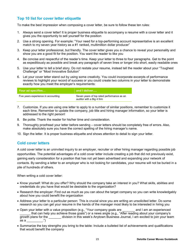## **Top 10 list for cover letter etiquette**

To make the best impression when composing a cover letter, be sure to follow these ten rules:

- 1. Always send a cover letter! It is proper business etiquette to accompany a resume with a cover letter and it gives you the opportunity to sell yourself for the position
- 2. Use a strong opening. For example: "Your need for a top-performing account representative is an excellent match to my seven year history as a #1 ranked, multimillion dollar producer"
- 3. Keep your letter professional, but friendly. The cover letter gives you a chance to reveal your personality and show you are a good fit for the position. You want the reader to like you
- 4. Be concise and respectful of the reader's time. Keep your letter to three to four paragraphs. Get to the point as expeditiously as possible and break any paragraph of seven lines or longer into short, easily readable ones
- 5. Use your letter to tell a brief story. Do not restate your resume, instead tell the reader about your "Toughest Challenge" or "Most Innovative Solution"
- 6. Let your cover letter stand out by using some creativity. You could incorporate excerpts of performance reviews to highlight your record of success or you could create two columns in your letter to demonstrate exactly how you meet the employer's requirements:

| Your ad specifies                   | $\parallel$ and I deliver                                               |
|-------------------------------------|-------------------------------------------------------------------------|
| Five years experience in accounting | Seven years of top rated performance as an<br>auditor with a Big 4 firm |

- 7. Customize. If you are using one letter to apply to a number of similar positions, remember to customize it each time. Remember to update the company, job title and hiring manager information, so your letter is addressed to the right person!
- 8. Be polite. Thank the reader for his/her time and consideration.
- 9. Thoroughly proofread your letter before sending cover letters should be completely free of errors. Also, make absolutely sure you have the correct spelling of the hiring manager's name.
- 10. Sign the letter. It is proper business etiquette and shows attention to detail to sign your letter.

#### **Cold cover letters**

A cold cover letter is an uninvited inquiry to an employer, recruiter or other hiring manager regarding possible job opportunities. The potential advantages of a cold cover letter include creating a job that did not previously exist, gaining early consideration for a position that has not yet been advertised and expanding your network of contacts. By sending a letter to an employer who is not looking for candidates, your resume will not be buried in a pile of hundreds of others.

When writing a cold cover letter:

- Know yourself: What do you offer? Why should the company take an interest in you? What skills, abilities and credentials do you have that would be desirable to the organization?
- Research the employer: Find out as much as you can about the target company so you can write knowledgably about how you could benefit the organization
- Address your letter to a particular person: This is crucial since you are writing an unsolicited letter. Do some research so you can get your resume in the hands of the manager most likely to be interested in hiring you
- Open your letter with a value proposition (e.g., "Your company goals are \_\_\_\_\_\_\_ and I am an experienced that can help you achieve those goals") or a news angle (e.g., "After reading about your company's growth plans for the division in this week's Anytown Business Journal, I am excited to join your team as a  $\frac{1}{2}$
- Summarize the key strengths you bring to the table: Include a bulleted list of achievements and qualifications that would benefit the company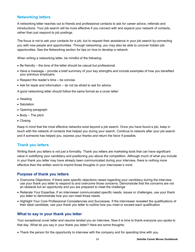## **Networking letters**

A networking letter reaches out to friends and professional contacts to ask for career advice, referrals and introductions. Your job search will be more effective if you connect with and expand your network of contacts, rather than just respond to job postings.

The focus is not to ask your contacts for a job, but to request their assistance in your job search by connecting you with new people and opportunities. Through networking, you may also be able to uncover hidden job opportunities. See the Networking section for tips on how to develop a network.

When writing a networking letter, be mindful of the following:

- Be friendly the tone of the letter should be casual but professional.
- Have a message provide a brief summary of your key strengths and include examples of how you benefited your previous employers.
- Respect the reader's time be concise.
- Ask for leads and information do not be afraid to ask for advice.

A good networking letter should follow the same format as a cover letter:

- Heading
- Salutation
- Opening paragraph
- $\bullet$  Body The pitch
- Closing

Keep in mind that the most effective networks exist beyond a job search. Once you have found a job, keep in touch with the network of contacts that helped you during your search. Continue to network after your job search and if someone has helped you, express your thanks and return the favor if possible.

#### **Thank you letters**

Writing thank you letters is not just a formality. Thank you letters are marketing tools that can have significant value in solidifying your candidacy and positioning you above the competition. Although much of what you include in your thank you letter may have already been communicated during your interview, there is nothing more effective than the written word to imprint those thoughts in your interviewer's mind.

## **Purpose of thank you letters**

- Overcome Objections. If there were specific objections raised regarding your candidacy during the interview, use your thank you letter to respond to and overcome those concerns. Demonstrate that the concerns are not an obstacle but an opportunity and you are prepared to meet the challenge
- Reiterate Your Expertise. If an interviewer communicated specific needs, issues or challenges, use your thank you letter to demonstrate how you can meet those needs
- Highlight Your Core Professional Competencies and Successes. If the interviewer revealed the qualifications of their ideal candidate, use your thank you letter to outline how you meet or exceed each qualification

## **What to say in your thank you letter**

Your exceptional cover letter and resume landed you an interview. Now it is time to thank everyone you spoke to that day. What do you say in your thank you letter? Here are some thoughts:

Thank the person for the opportunity to interview with the company and for spending time with you.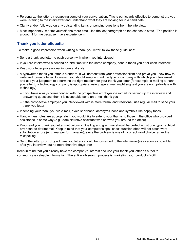- Personalize the letter by recapping some of your conversation. This is particularly effective to demonstrate you were listening to the interviewer and understand what they are looking for in a candidate.
- Clarify and/or follow-up on any outstanding items or pending questions from the interview.
- Most importantly, market yourself one more time. Use the last paragraph as the chance to state, "The position is a good fit for me because I have experience in

## **Thank you letter etiquette**

To make a good impression when writing a thank you letter, follow these guidelines:

- Send a thank you letter to each person with whom you interviewed
- If you are interviewed a second or third time with the same company, send a thank you after each interview
- Keep your letter professional in tone and style
- A typewritten thank you letter is standard. It will demonstrate your professionalism and prove you know how to write and format a letter. However, you should keep in mind the type of company with which you interviewed and use your judgment to determine the right medium for your thank you letter (for example, e-mailing a thank you letter to a technology company is appropriate; using regular mail might suggest you are not up-to-date with technology)
	- If you have always corresponded with the prospective employer via e-mail for setting up the interview and answering questions, then it is acceptable send an e-mail thank you
	- If the prospective employer you interviewed with is more formal and traditional, use regular mail to send your thank you letter
- If sending your thank you via e-mail, avoid shorthand, acronyms icons and symbols like happy faces
- Handwritten notes are appropriate if you would like to extend your thanks to those in the office who provided assistance in some way (e.g., administrative assistant who showed you around the office)
- Proofread your thank you letter meticulously. Spelling and grammar should be perfect just one typographical error can be detrimental. Keep in mind that your computer's spell check function often will not catch word substitution errors (e.g., manger for manager), since the problem is one of incorrect word choice rather than misspelling
- Send the letter **promptly** Thank you letters should be forwarded to the interviewer(s) as soon as possible after you interview, but no more than five days later

Keep in mind that you already have the company's interest and use your thank you letter as a tool to communicate valuable information. The entire job search process is marketing your product – YOU.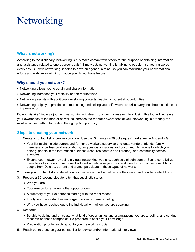# **Networking**

## **What is networking?**

According to the dictionary, networking is "To make contact with others for the purpose of obtaining information and assistance related to one's career goals." Simply put, networking is talking to people – something we do every day. But with networking, it helps to have an agenda in mind, so you can maximize your conversational efforts and walk away with information you did not have before.

## **Why should you network?**

- Networking allows you to obtain and share information
- Networking increases your visibility on the marketplace
- Networking assists with additional developing contacts, leading to potential opportunities
- Networking helps you practice communicating and selling yourself, which are skills everyone should continue to improve upon

Do not mistake "finding a job" with networking – instead, consider it a research tool. Using this tool will increase your awareness of the market as well as increase the market's awareness of you. Networking is probably the most effective method for finding the right job opportunity.

#### **Steps to creating your network**

- 1. Create a contact list of people you know; Use the "3 minutes 30 colleagues" worksheet in Appendix G
	- Your list might include current and former co-workers/supervisors, clients, vendors, friends, family, members of professional associations, religious organizations and/or community groups to which you belong, people in the information business (resource centers and libraries), and community service agencies
	- Expand your network by using a virtual networking web site, such as LinkedIn.com or Spoke.com. Utilize these tools to locate and reconnect with individuals from your past and identify new connections. Many people from Deloitte, current and alums, participate in these types of networks
- 2. Take your contact list and detail how you know each individual, where they work, and how to contact them
- 3. Prepare a 30-second elevator pitch that succinctly states:
	- Who you are
	- Your reason for exploring other opportunities
	- A summary of your experience starting with the most recent
	- The types of opportunities and organizations you are targeting
	- Why you have reached out to the individual with whom you are speaking
- 4. Research
	- Be able to define and articulate what kind of opportunities and organizations you are targeting, and conduct research on these companies. Be prepared to share your knowledge
	- Preparation prior to reaching out to your network is crucial
- 5. Reach out to those on your contact list for advice and/or informational interviews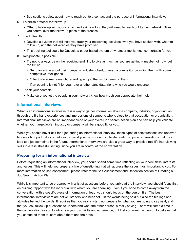- See sections below about how to reach out to a contact and the purpose of informational interviews
- 6. Establish protocol for follow up
	- Offer to follow up with your contact and ask how long they will need to reach out to their network. Gives you control over the follow-up piece of the process
- 7. Track Results
	- Develop a system that will help you track your networking activities; who you have spoken with, when to follow up, and the deliverables they have promised
	- This tracking tool could be Outlook, a paper-based system or whatever tool is most comfortable for you
- 8. Reciprocate, if possible
	- Try not to always be on the receiving end. Try to give as much as you are getting maybe not now, but in the future
		- Send an article about their company, industry, client, or even a competitor providing them with some competitive intelligence
		- Offer to do some research, regarding a topic that is of interest to them
		- $-$  If an opening is not fit for you, refer another candidate/friend who you would endorse
- 9. Thank your contacts
	- Make sure you let the people in your network know how much you appreciate their help

#### **Informational interviews**

What is an informational interview? It is a way to gather information about a company, industry, or job function through the firsthand experiences and impressions of someone who is close to that occupation or organization. Informational interviews are an important piece of your overall job search action plan and can help you validate whether your target job(s), industry or company will be a good fit for you.

While you should never ask for a job during an informational interview, these types of conversations can uncover hidden job opportunities or help you expand your network and cultivate relationships in organizations that may lead to a job sometime in the future. Informational interviews are also a great way to practice real life interviewing skills in a less stressful setting, since you are in control of the conversation.

## **Preparing for an informational interview**

Before requesting an informational interview, you should spend some time reflecting on your core skills, interests and values. This will help you prepare a line of questioning that will address the issues most important to you. For more information on self-assessment, please refer to the Self-Assessment and Reflection section of Creating a Job Search Action Plan.

While it is important to be prepared with a list of questions before you arrive at the interview, you should focus first on building rapport with the individual with whom you are speaking. Even if you hope to come away from the conversation with a specific piece of information or lead, you should focus on the person first. The best informational interviewers are active listeners who hear not just the words being said but also the feelings and attitudes behind the words. It requires that you really listen, not prepare for what you are going to say next, and that you ask follow-up questions to understand what the other person is really saying. There will come a time in the conversation for you to introduce your own skills and experience, but first you want this person to believe that you contacted them to learn about them and their role.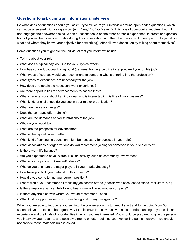## **Questions to ask during an informational interview**

So what kinds of questions should you ask? Try to structure your interview around open-ended questions, which cannot be answered with a single word (e.g., "yes," "no," or "seven"). This type of questioning requires thought and engages the answerer's mind. When questions focus on the other person's experience, interests or expertise, both of you will be more comfortable during the conversation, and the other person will often open up to you about what and whom they know (your objective for networking). After all, who doesn't enjoy talking about themselves?

Some questions you might ask the individual that you interview include:

- Tell me about your role.
- What does a typical day look like for you? Typical week?
- How has your educational background (degrees, training, certifications) prepared you for this job?
- What types of courses would you recommend to someone who is entering into the profession?
- What types of experience are necessary for the job?
- How does one obtain the necessary work experience?
- Are there opportunities for advancement? What are they?
- What characteristics should an individual who is interested in this line of work possess?
- What kinds of challenges do you see in your role or organization?
- What are the salary ranges?
- Does the company offer training?
- What are the demands and/or frustrations of the job?
- Who do you report to?
- What are the prospects for advancement?
- What is the typical career path?
- What kind of continuing education might be necessary for success in your role?
- What associations or organizations do you recommend joining for someone in your field or role?
- Is there work-life balance?
- Are you expected to have "extracurricular" activity, such as community involvement?
- What is your opinion of X market/industry?
- Who do you think are the major players in your market/industry?
- How have you built your network in this industry?
- How did you come to find your current position?
- Where would you recommend I focus my job search efforts (specific web sites, associations, recruiters, etc.)
- Is there anyone else I can talk to who has a similar title at another company?
- Is there anyone else with whom you would recommend I speak?
- What kind of opportunities do you see being a fit for my background?

When you are able to introduce yourself into the conversation, try to keep it short and to the point. Your 30 second elevator pitch can be a great way to help leave the individual with a clear understanding of your skills and experience and the kinds of opportunities in which you are interested. You should be prepared to give the person you interview your resume, and possibly a memo or letter, defining your key selling points; however, you should not provide these materials unless asked.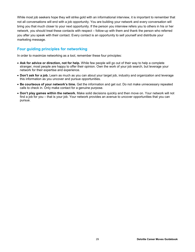While most job seekers hope they will strike gold with an informational interview, it is important to remember that not all conversations will end with a job opportunity. You are building your network and every conversation will bring you that much closer to your next opportunity. If the person you interview refers you to others in his or her network, you should treat these contacts with respect – follow-up with them and thank the person who referred you after you speak with their contact. Every contact is an opportunity to sell yourself and distribute your marketing message.

## **Four guiding principles for networking**

In order to maximize networking as a tool, remember these four principles:

- **Ask for advice or direction, not for help.** While few people will go out of their way to help a complete stranger, most people are happy to offer their opinion. Own the work of your job search, but leverage your network for their expertise and experience.
- **Don't ask for a job.** Learn as much as you can about your target job, industry and organization and leverage this information as you uncover and pursue opportunities.
- **Be courteous of your network's time.** Get the information and get out. Do not make unnecessary repeated calls to check in. Only make contact for a genuine purpose.
- **Don't play games within the network.** Make solid decisions quickly and then move on. Your network will not find a job for you – that is your job. Your network provides an avenue to uncover opportunities that you can pursue.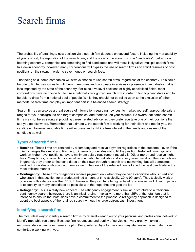## Search firms

The probability of attaining a new position via a search firm depends on several factors including the marketability of your skill set, the reputation of the search firm, and the state of the economy. In a "candidates' market" or a booming economy, companies are competing to find candidates and will most likely utilize multiple search firms. In a down economy, however, many corporations will bypass the use of search firms and solicit resumes or post positions on their own, in order to save money on search fees.

That being said, some companies will always choose to use search firms, regardless of the economy. This could be due to limited resources to cull through resumes and coordinate interviews or presence in an industry that is less impacted by the state of the economy. For executive level positions or highly specialized fields, most corporations have no choice but to use a nationally recognized search firm in order to find top candidates and to be able to draw from a national pool of people. While they should not be relied upon to the exclusion of other methods, search firms can play an important part in a balanced search strategy.

Search firms can also be a great source of information regarding how best to market yourself, appropriate salary ranges for your background and target companies, and feedback on your resume. Be aware that some search firms may not be as strong at providing career related advice, as they prefer you take one of their positions than see you go elsewhere. Remember that ultimately, the search firm is working for their client and not for you, the candidate. However, reputable firms will express and exhibit a true interest in the needs and desires of the candidate as well.

## **Types of search firms**

- **Retained:** These firms are retained by a company and receive payment regardless of the outcome even if the client changes their mind and fills the job internally or decides not to fill the position. Retained firms typically work on higher-level positions, have a minimum salary requirement (usually \$100k or more) and receive higher fees. Many times, retained firms specialize in a particular industry and are very selective about their candidates. In general, they prefer to find candidates on their own through research and networking, but will sometimes work with individuals who contact them as well. The goal of the retained firm is to find the best candidate in the most efficient manner
- **Contingency:** These firms or agencies receive payment only when they deliver a candidate who is hired and who stays in that position for a predetermined amount of time (typically, 30 to 90 days). They typically work on positions with salaries less than \$100K; however, they can handle higher level positions as well. Their objective is to identify as many candidates as possible with the hope that one gets the job
- **Retingency:** This is a fairly new concept. The retingency engagement is similar in structure to a traditional contingency search; however, there is an initial retainer (typically no more than 25% of the total fee) that is intended to ensure that both sides have a commitment to the process. A retingency approach is designed to adopt the best aspects of the retained search without the large upfront cash investment

## **Identifying a search firm**

The most ideal way to identify a search firm is by referral – reach out to your personal and professional network to identify reputable recruiters. Because firm reputations and quality of service can vary greatly, having a recommendation can be extremely helpful. Being referred by a former client may also make the recruiter more comfortable working with you.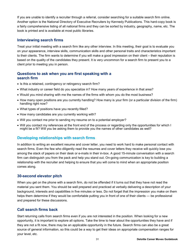If you are unable to identify a recruiter through a referral, consider searching for a suitable search firm online. Another option is the National Directory of Executive Recruiters by Kennedy Publications. This hard-copy book is a fairly comprehensive listing of all national firms and they can be sorted by industry, geography, name, etc. The book is printed and is available at most public libraries.

#### **Interviewing search firms**

Treat your initial meeting with a search firm like any other interview. In this meeting, their goal is to evaluate you on your appearance, interview skills, communication skills and other personal traits and characteristics important to their clients. The firm wants to determine if you will make a good impression on their client – their reputation is based on the quality of the candidates they present. It is very uncommon for a search firm to present you to a client prior to meeting you in person.

#### **Questions to ask when you are first speaking with a search firm**

- Is this a retained, contingency or retingency search firm?
- What industry or career field do you specialize in? How many years of experience in that area?
- Would you mind sharing with me the names of the firms with whom you do the most business?
- How many open positions are you currently handling? How many is your firm (or a particular division of the firm) handling right now?
- What types of positions have you recently filled?
- How many candidates are you currently working with?
- Will you contact me prior to sending my resume on to a potential employer?
- Will you contact my references at the front end of the process or regarding only the opportunities for which I might be a fit? Will you be asking them to provide you the names of other candidates as well?

## **Developing relationships with search firms**

In addition to writing an excellent resume and cover letter, you need to work hard to make personal contact with search firms. Even the few who diligently read the resumes and cover letters they receive will quickly lose you among the stack of papers on their desk or e-mails in their in-box. A good 15-minute conversation with a search firm can distinguish you from the pack and help you stand out. On-going communication is key to building a relationship with the recruiter and helping to ensure that you will come to mind when an appropriate position comes along.

#### **30-second elevator pitch**

When you get on the phone with a search firm, do not be offended if it turns out that they have not read the material you sent them. You should be well prepared and practiced at verbally delivering a description of your background, interests and capabilities in five minutes or less. Do not forget that the impression you make on them helps them determine if they would be comfortable putting you in front of one of their clients — be professional and prepared for these discussions.

## **Call search firms back**

Start returning calls from search firms even if you are not interested in the position. When looking for a new opportunity, it is important to explore all options. Take the time to hear about the opportunities they have and if they are not a fit now, there may be an applicable opportunity in the future. Search firms can also be a great source of general information, so this could be a way to get their ideas on appropriate compensation ranges for your level, etc.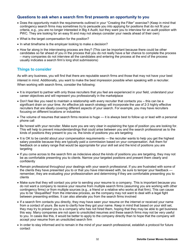## **Questions to ask when a search firm first presents an opportunity to you**

- Does the opportunity match the requirements outlined in your "Creating the Filter" exercise? (Keep in mind that contingency search firms may sometimes try to persuade you into applying for positions that do not fit your criteria, e.g., you are no longer interested in Big 4 Audit, but they want you to interview for an audit position with PWC. They are looking for an easy fit and may not always consider your needs ahead of their own)
- What is the target compensation for the position?
- In what timeframe is the employer looking to make a decision?
- How far along in the interviewing process are they? (This can be important because there could be other candidates so far ahead of you in the process that you do not really have a fair chance to complete the process – many companies do not interview all the candidates and entering the process at the end of the process usually indicates a search firm's long shot submissions)

## **Things to consider**

As with any business, you will find that there are reputable search firms and those that may not have your best interest in mind. Additionally, you want to make the best impression possible when speaking with a recruiter. When working with search firms, consider the following:

- It is important to partner with only those recruiters that you feel are experienced in your field, understand your career objectives and will represent you professionally in the marketplace
- Don't feel like you need to maintain a relationship with every recruiter that contacts you this can be a significant drain on your time. An effective job search strategy will incorporate the use of 2-3 highly effective recruiters that are ideally covering different aspects of your search. For example, you may have recruiters focusing on different locations or industries
- The volume of resumes that search firms receive is huge it is always best to follow up or lead with a personal phone call
- Be honest with your recruiter. Make sure you are very clear in explaining the type of position you are looking for. This will help to prevent misunderstandings that could arise between you and the search professional as to the kinds of positions they present to you vs. the kinds of positions you are targeting
- It is OK to be candid about your compensation requirements the recruiter wants to help you get the highest salary possible because they are typically paid a commission based on your compensation. Ask them for feedback on a salary range that would be appropriate for your skill set and the kind of positions you are targeting
- If you come across to the search firm as indecisive about the kinds of positions you are targeting, they may not be as comfortable presenting you to clients. Narrow your targeted positions and present them clearly and confidently
- Remain professional throughout your dealings with your search professional. If you are frustrated with some of the clients they have presented you to or that you have interviewed with, be sure to temper your feedback remember, they are evaluating your professionalism and determining if they are comfortable presenting you to clients
- Make sure that they will contact you prior to sending your resume to a company. This is important because you do not want a company to receive your resume from multiple search firms (assuming you are working with other contingency firms) or from multiple sources (e.g., a friend or a relative who works at that firm). This can cause you to be "disqualified" from the interview process, as the company may not want to deal with a legal fight between presenting entities. It can also alienate you from the search firms involved
- If a search firm contacts you directly, they may have seen your resume on the internet or received your name from a contact of yours. Be sure to clarify how they got your name. Keep in mind that based on your skill set, they may try to present you to a company who has not hired them, hoping that they may be able to get business this way. Many companies are not open to unsolicited resumes and these search firms may not be very useful to you. In cases like this, it would be better to apply to the company directly than to hope that the company will accept your resume from an unsolicited search firm
- In order to stay informed and to remain in the mind of your search professional, establish a protocol for future contact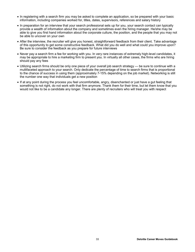- In registering with a search firm you may be asked to complete an application, so be prepared with your basic information, including companies worked for, titles, dates, supervisors, references and salary history
- In preparation for an interview that your search professional sets up for you, your search contact can typically provide a wealth of information about the company and sometimes even the hiring manager. He/she may be able to give you first hand information about the corporate culture, the position, and the people that you may not be able to uncover on your own
- After the interview, the recruiter will give you honest, straightforward feedback from their client. Take advantage of this opportunity to get some constructive feedback. What did you do well and what could you improve upon? Be sure to consider the feedback as you prepare for future interviews
- Never pay a search firm a fee for working with you. In very rare instances of extremely high-level candidates, it may be appropriate to hire a marketing firm to present you. In virtually all other cases, the firms who are hiring should pay any fees
- Utilizing search firms should be only one piece of your overall job search strategy be sure to continue with a multifaceted approach to your search. Only dedicate the percentage of time to search firms that is proportional to the chance of success in using them (approximately 7-15% depending on the job market). Networking is still the number one way that individuals get a new position
- If at any point during the process you feel uncomfortable, angry, disenchanted or just have a gut feeling that something is not right, do not work with that firm anymore. Thank them for their time, but let them know that you would not like to be a candidate any longer. There are plenty of recruiters who will treat you with respect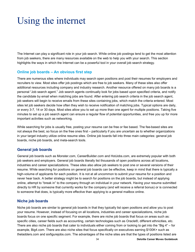# Using the internet

The Internet can play a significant role in your job search. While online job postings tend to get the most attention from job seekers, there are many resources available on the web to help you with your search. This section highlights the ways in which the Internet can be a powerful tool in your overall job search strategy.

#### **Online job boards – An obvious first step**

There are numerous sites where individuals may search open positions and post their resumes for employers and recruiters to view. Most sites offer job postings which are free to job seekers. Many of these sites also offer additional resources including company and industry research. Another resource offered on many job boards is a personal "Job search agent." Job search agents continually look for jobs based upon specified criteria, and notify the candidate by email when matching jobs are found. After entering job search criteria in the job search agent, job seekers will begin to receive emails from these sites containing jobs, which match the criteria entered. Most sites let job seekers decide how often they wish to receive notification of matching jobs. Typical options are daily, or every 3-7, 14 or 30 days. Most sites allow you to set up more than one agent for multiple positions. Taking five minutes to set up a job search agent can ensure a regular flow of potential opportunities, and free you up for more important activities such as networking.

While searching for jobs is usually free, posting your resume can be free or fee based. The fee-based sites are not always the best, so focus on the free ones first – particularly if you are uncertain as to whether organizations in your target industry utilize online resume sites. Online job boards fall into three main categories: general job boards, niche job boards, and meta-search tools.

#### **General job boards**

General job boards such as Monster.com, CareerBuilder.com and HotJobs.com, are extremely popular with both job seekers and employers. General job boards literally list thousands of open positions across all locations, industries and career specializations. These sites also allow job seekers to post one or several versions of their resume. While searching for positions on general job boards can be effective, keep in mind that there is typically a high-volume of applicants for each position. It is not at all uncommon to submit your resume for a position and never hear back. A better strategy might be to search for positions on the job boards, but instead of applying online, attempt to "break in" to the company through an individual in your network. Having your resume submitted directly to HR by someone that currently works for the company (and will receive a referral bonus) or is connected to someone that does, is typically more effective than applying to a general mailbox online.

#### **Niche job boards**

Niche job boards are similar to general job boards in that they typically list open positions and allow you to post your resume. However, instead of focusing on all locations, industries and career specializations, niche job boards focus on one specific segment. For example, there are niche job boards that focus on areas such as: specific cities, career fields such as accounting, certain technologies such as Oracle®, different ethnicities, etc. There are also niche job boards that cater to individuals either coming from or looking to get into the "Big 4" – for example, Big4.com. There are also niche sites that focus specifically on executives earning \$100K+ such as theladders.com and sixfigurejobs.com. The advantages of the niche sites are that the types of positions listed are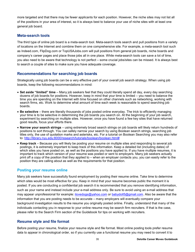more targeted and that there may be fewer applicants for each position. However, the niche sites may not list all of the positions in your area of interest, so it is always best to balance your use of niche sites with at least one general job board.

#### **Meta-search tools**

The third type of online job board is a meta-search tool. Meta-search tools search and pull positions from a variety of locations on the Internet and combine them on one comprehensive site. For example, a meta-search tool such as Indeed.com, FlipDog.com or TopUSAJobs.com will pull positions from general job boards, niche boards and company's career pages and place those jobs all in one place. While meta-search tools can save a lot of time, you also need to be aware that technology is not perfect – some crucial jobs/sites can be missed. It is always best to search a couple of sites to make sure you have adequate coverage.

## **Recommendations for searching job boards**

Strategically using job boards can be a very effective part of your overall job search strategy. When using job boards, keep the following recommendations in mind:

- **Set aside "limited" time** Many job seekers feel that they could literally spend all day, every day searching dozens of job boards for positions. However, keep in mind that your time is limited – you need to balance the time you are spending on the Internet with time focused on other channels such as networking, working with search firms, etc. Work to determine what amount of time each week is reasonable to spend searching job boards.
- **Be selective** there are literally thousands of jobs posted online everyday. The trick to efficiently managing your time is to be selective in determining the job boards you search on. At the beginning of your job search, experiment by searching on multiple sites. However, once you have found a few key sites that have returned good results, focus your efforts there.
- **Narrow your search strings** using extremely broad search strings on job boards will likely return hundreds of positions to sort through. You can safely narrow your search by using Boolean search strings, searching job titles only, the use of quotation marks and asterisks, etc. For a tutorial on Boolean Searching you may also refer to:<http://library.nyu.edu:8000/research/tutorials/boolean/boolean.html#>
- **Keep track** Because you will likely be posting your resume on multiple sites and responding to several job postings, it is extremely important to keep track of this information. Keep a detailed list (including dates) of which sites you have posted on, as well as the positions you have applied to. If you have multiple resumes, it is important to track which version of your resume was posted or sent to employers. Many job seekers actually print off a copy of the position that they applied to – when an employer contacts you, you can easily refer to the position they are calling about as well as the requirements for that position.

#### **Posting your resume online**

Many job seekers have successfully found employment by posting their resume online. Take time to determine which sites would be most effective for you. Keep in mind that your resume becomes public the moment it is posted. If you are conducting a confidential job search it is recommended that you remove identifying information, such as your name and instead include your e-mail address only. Be sure to avoid using an e-mail address that may appear unprofessional for example: [ilovedogs@yahoo.com](mailto:ilovedogs@yahoo.com) or [babydoll5@gmail.com.](mailto:babydoll5@gmail.com.) Also be aware that the information that you are posting needs to be accurate – many employers will eventually compare your background investigation results to the resume you originally posted online. Finally, understand that many of the individuals contacting you in response to your online resume may be search firm recruiters. If that is the case, please refer to the Search Firm section of the Guidebook for tips on working with recruiters.

## **Resume style and file format**

Before posting your resume, finalize your resume style and file format. Most online posting tools prefer resume data to appear in chronological order, so if you currently use a functional resume you may need to convert it to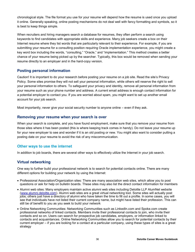chronological style. The file format you use for your resume will depend how the resume is used once you upload it online. Generally speaking, online posting mechanisms do not deal well with fancy formatting and symbols, so it is best to keep things simple.

When recruiters and hiring managers search a database for resumes, they often perform a search using keywords to find candidates with appropriate skills and experience. Many job seekers create a box on their Internet resume where they list words that are particularly relevant to their experience. For example, if you are submitting your resume for a consulting position requiring Oracle implementation experience, you might create a key word box including the words, "consulting," "Oracle," and "implementation." This method creates a better chance of your resume being picked up by the searcher. Typically, this box would be removed when sending your resume directly to an employer and in the hard-copy version.

## **Posting personal information**

Caution! It is important to do your research before posting your resume on a job site. Read the site's Privacy Policy. Some sites promise they will not sell your personal information, while others will reserve the right to sell your personal information to others. To safeguard your privacy and identity, remove all personal information from your resume such as your phone number and address. A current email address is enough contact information for a potential employer to contact you. If you are worried about spam, you might want to set up another email account for your job search.

Most importantly, never give your social security number to anyone online – even if they ask.

#### **Removing your resume when your search is over**

When your search is complete, and you have found employment, make sure that you remove your resume from those sites where it has been posted (this is where keeping track comes in handy). Do not leave your resume up for your new employer to see and wonder if it is an old posting or new. You might also want to consider putting a posting date on your resume to avoid the risk of any miscommunication.

#### **Other ways to use the internet**

In addition to job boards, there are several other ways to effectively utilize the Internet in your job search.

## **Virtual networking**

One way to further build your professional network is to search for potential contacts online. There are many different options for building your network by using the Internet:

- Professional Association/Organization sites: There are many association web sites, which allow you to post questions or ask for help on bulletin boards. These sites may also list the direct contact information for members
- Alumni web sites: Many employers maintain active alumni web sites including Deloitte LLP AlumNet website ([www.alumni.deloitte.com\)](www.alumni.deloitte.com). Alumni web sites are a great virtual networking tool. Some sites will actually post jobs; others just have a directory of alumni who have taken the time to fill out a profile. In some cases, you will see that individuals have not listed their current company name, but might have listed their profession. This can still be of benefit to you as you seek to build your network
- Online Networking Communities: Networking Communities such as LinkedIn.com and Spoke.com create professional networks of linked contacts. Members invite their professional contacts to join, who invite their contacts and so on. Users can search for prospective job candidates, employers, or information linked to contacts and acquaintances. Online Networking Communities allow you to search for potential contacts by their current employer – if you are looking for a contact at a particular company, using these types of sites is a great strategy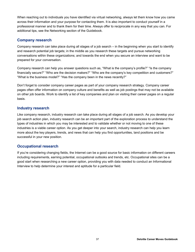When reaching out to individuals you have identified via virtual networking, always let them know how you came across their information and your purpose for contacting them. It is also important to conduct yourself in a professional manner and to thank them for their time. Always offer to reciprocate in any way that you can. For additional tips, see the Networking section of the Guidebook.

### **Company research**

Company research can take place during all stages of a job search – in the beginning when you start to identify and research potential job targets; in the middle as you research these targets and pursue networking conversations within these organizations; and towards the end when you secure an interview and want to be prepared for your conversation.

Company research can help you answer questions such as, "What is the company's profile?" "Is the company financially secure?" "Who are the decision makers?" "Who are the company's key competition and customers?" "What is the business model?" "Has the company been in the news recently?"

Don't forget to consider company career pages as part of your company research strategy. Company career pages often offer information on company culture and benefits as well as job postings that may not be available on other job boards. Work to identify a list of key companies and plan on visiting their career pages on a regular basis.

#### **Industry research**

Like company research, industry research can take place during all stages of a job search. As you develop your job search action plan, industry research can be an important part of the exploration process to understand the types of industries in which you may be interested and to validate whether or not moving to one of these industries is a viable career option. As you get deeper into your search, industry research can help you learn more about the key players, trends, and news that can help you find opportunities, land positions and be successful in your new position.

## **Occupational research**

If you're considering changing fields, the Internet can be a good source for basic information on different careers including requirements, earning potential, occupational outlooks and trends, etc. Occupational sites can be a good start when researching a new career option, providing you with data needed to conduct an Informational Interview to help determine your interest and aptitude for a particular field.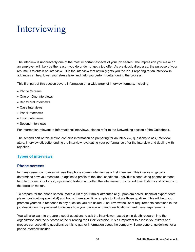## Interviewing

The interview is undoubtedly one of the most important aspects of your job search. The impression you make on an employer will likely be the reason you do or do not get a job offer. As previously discussed, the purpose of your resume is to obtain an interview – it is the interview that actually gets you the job. Preparing for an interview in advance can help lower your stress level and help you perform better during the process.

This first part of this section covers information on a wide array of interview formats, including:

- Phone Screens
- One-on-One Interviews
- Behavioral Interviews
- Case Interviews
- Panel interviews
- **.** Lunch interviews
- Second Interviews

For information relevant to Informational interviews, please refer to the Networking section of the Guidebook.

The second part of this section contains information on preparing for an interview, questions to ask, interview attire, interview etiquette, ending the interview, evaluating your performance after the interview and dealing with rejection.

## **Types of interviews**

#### **Phone screens**

In many cases, companies will use the phone screen interview as a first interview. This interview typically determines how you measure up against a profile of the ideal candidate. Individuals conducting phones screens tend to proceed in a logical, systematic fashion and often the interviewer must report their findings and opinions to the decision maker.

To prepare for the phone screen, make a list of your major attributes (e.g., problem-solver, financial expert, team player, cost-cutting specialist) and two or three specific examples to illustrate those qualities. This will help you promote yourself in response to any question you are asked. Also, review the list of requirements contained in the job description. Be prepared to discuss how your background and qualifications meet these requirements.

You will also want to prepare a set of questions to ask the interviewer, based on in-depth research into the organization and the outcome of the "Creating the Filter" exercise. It is as important to assess your filters and prepare corresponding questions as it is to gather information about the company. Some general guidelines for a phone interview include: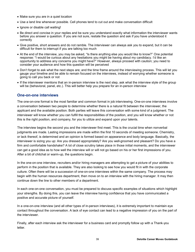- Make sure you are in a quiet location
- Use a land line whenever possible. Cell phones tend to cut out and make conversation difficult
- Ignore or disable call waiting!
- Be direct and concise in your replies and be sure you understand exactly what information the interviewer wants before you answer a question. If you are not sure, restate the question and ask if you have understood it correctly
- Give positive, short answers and do not ramble. The interviewer can always ask you to expand, but it can be difficult for them to interrupt if you are talking too much
- At the end of the interview, you may be asked, "Is there anything else you would like to know?" One potential response: "I would be curious about any hesitations you might be having about my candidacy. I'd like an opportunity to address any concerns you might have?" However, always proceed with caution; you need to consider your audience and how this question will be perceived
- Don't forget to ask what the next steps are; and the time frame around the interviewing process. This will let you gauge your timeline and be able to remain focused on the interviews, instead of worrying whether someone is going to call you back or not
- If the interviewer mentions that an in-person interview is the next step, ask what the interview style of the group will be (behavioral, panel, etc.). This will better help you prepare for an in-person interview

#### **One-on-one interviews**

The one-on-one format is the most familiar and common format in job interviewing. One-on-one interviews involve a conversation between two people to determine whether there is a natural fit between the interviewer, the applicant and the available position. Both parties will leave this conversation with some kind of a judgment. The interviewer will know whether you can fulfill the responsibilities of the position, and you will know whether or not this is the right position, and company, for you to utilize and expand upon your talents.

The interview begins the second you and the interviewer first meet. This is the crucial time when nonverbal judgments are made. Lasting impressions are made within the first 10 seconds of meeting someone. Chemistry, or lack thereof, is determined and an opinion is formed based on appearance and body language. Basically, the interviewer is sizing you up: Are you dressed appropriately? Are you well-groomed and pleasant? Do you have a firm and comfortable handshake? A lot of close scrutiny takes place in those initial moments, and the interviewer can get a good idea as to how well the interview will or will not go based on his or her first impressions of you. After a bit of chitchat or warm-up, the questions begin.

In the one-on-one interview, recruiters and/or hiring managers are attempting to get a picture of your abilities to perform in the position that is available. They are also looking to see how you would fit in with the corporate culture. Often there will be a succession of one-on-one interviews within the same company. The process may begin with the human resources department, then move on to an interview with the hiring manager. It may then continue down the line to other members of a department.

In each one-on-one conversation, you must be prepared to discuss specific examples of situations which highlight your strengths. By doing this, you can leave the interview having confidence that you have communicated a positive and accurate picture of yourself.

In a one-on-one interview (and all other types of in-person interviews), it is extremely important to maintain eye contact throughout the conversation. A lack of eye contact can lead to a negative impression of you on the part of the interviewer.

Finally, after each interview ask the interviewer for a business card and promptly follow up with a Thank-you letter.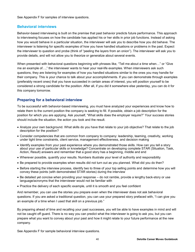See Appendix F for samples of interview questions.

### **Behavioral interviews**

Behavior-based interviewing is built on the premise that past behavior predicts future performance. This approach to interviewing focuses on how the candidate has applied his or her skills in prior job functions. Instead of asking how you would behave in a particular situation, the interviewer will ask you to describe how you did behave. The interviewer is listening for specific examples of how you have handled situations or problems in the past. Expect the interviewer to question and probe (think of "peeling the layers from an onion"). The interviewer will ask you to provide details, and will not allow you to theorize or generalize about several events.

When presented with behavioral questions beginning with phrases like, "Tell me about a time when…" or "Give me an example of…," the interviewer wants to hear your real-life examples. When interviewers ask such questions, they are listening for examples of how you handled situations similar to the ones you may handle for their company. This is your chance to talk about your accomplishments. If you can demonstrate through examples (preferably recent ones) that you have succeeded in certain areas of interest, you will position yourself to be considered a strong candidate for the position. After all, if you did it somewhere else yesterday, you can do it for this company tomorrow.

## **Preparing for a behavioral interview**

To be successful with behavior-based interviewing, you must have analyzed your experiences and know how to relate them to the current position the company is seeking to fill. If possible, obtain a job description for the position for which you are applying. Ask yourself, "What skills does the employer require?" Your success stories should include the situation, the action you took and the result.

- Analyze your own background. What skills do you have that relate to your job objective? That relate to the job description for the position?
- Consider competencies that are common from company to company: leadership, teaming, creativity, working under tight time constraints, client service, management effectiveness, and decision making
- Identify examples from your past experience where you demonstrated those skills. How can you tell a story about your use of particular skills or knowledge? Concentrate on developing complete STAR (Situation, Task, Action, Result) answers and remember that a good story has a beginning, middle and end
- Wherever possible, quantify your results. Numbers illustrate your level of authority and responsibility
- Be prepared to provide examples when results did not turn out as you planned. What did you do then?
- Before starting the interview process, identify two to three of your top selling points and determine how you will convey these points (with demonstrated STAR stories) during the interview
- Be detailed yet concise when providing your response do not ramble, provide a lengthy back-story or use language/acronyms that the interviewer would not be familiar with
- Practice the delivery of each specific example, until it is smooth and you feel confident

And remember, you can use the stories you prepare even when the interviewer does not ask behavioral questions. If you are asked a traditional question, you can use your prepared story prefaced with, "I can give you an example of a time when I used that skill on a previous job."

By preparing ahead of time and recalling your past successes, you will be able to have examples in mind and will not be caught off guard. There is no way you can predict what the interviewer is going to ask you, but you can prepare what you want to convey about your past and how it might relate to your future performance at the new company.

See Appendix F for sample behavioral interview questions.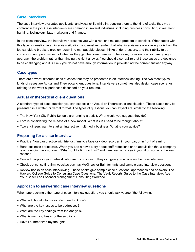## **Case interviews**

The case interview evaluates applicants' analytical skills while introducing them to the kind of tasks they may confront in the job. Case interviews are common in several industries, including business consulting, investment banking, technology, law, marketing and finance.

In the case interview, the interviewer presents you with a real or simulated problem to consider. When faced with this type of question in an interview situation, you must remember that what interviewers are looking for is how the job candidate breaks a problem down into manageable pieces, thinks under pressure, and their ability to be convincing and persuasive, not whether they get the correct answer. Therefore, focus on how you are going to approach the problem rather than finding the right answer. You should also realize that these cases are designed to be challenging and it is likely you do not have enough information to provide/find the correct answer anyway.

#### **Case types**

There are several different kinds of cases that may be presented in an interview setting. The two most typical kinds of cases are Actual and Theoretical client questions. Interviewers sometimes also design case scenarios relating to the work experiences described on your resume.

## **Actual or theoretical client questions**

A standard type of case question you can expect is an Actual or Theoretical client situation. These cases may be presented in a written or verbal format. The types of questions you can expect are similar to the following:

- The New York City Public Schools are running a deficit. What would you suggest they do?
- Ford is considering the release of a new model. What issues need to be thought about?
- Two engineers want to start an interactive multimedia business. What is your advice?

#### **Preparing for a case interview**

- Practice! You can practice with friends, family, a tape or video recorder, in your car, or in front of a mirror
- Read business periodicals. When you see a news story about staff reductions or an acquisition that a company is announcing, ask yourself, "Why would a firm do this?" and then read on to see if you hit on some of the key reasons
- Contact people in your network who are in consulting. They can give you advice on the case interview
- Check out consulting firm websites such as McKinsey or Bain for hints and sample case interview questions
- Review books on case interviewing. These books give sample case questions, approaches and answers: The Harvard College Guide to Consulting Case Questions; The Vault Reports Guide to the Case Interview; Ace Your Case! The Essential Management Consulting Workbook

## **Approach to answering case interview questions**

When approaching either type of case interview question, you should ask yourself the following:

- What additional information do I need to know?
- What are the key issues to be addressed?
- What are the key findings from the analysis?
- What is my hypothesis for the solution?
- Have I summarized my thoughts?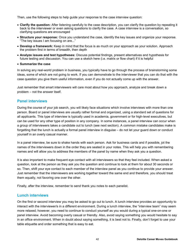Then, use the following steps to help guide your response to the case interview question:

- **Clarify the question:** After listening carefully to the case description, you can clarify the question by repeating it back to the interviewer or even asking questions to clarify the case. A case interview is a conversation, so clarifying questions are encouraged
- **Structure your response:** Once you understand the case, identify the key issues and organize your response. "The key issues I am focusing on are..."
- **Develop a framework:** Keep in mind that the focus is as much on your approach as your solution. Approach the problem first in terms of breadth, then depth
- **Analyze issues and test hypotheses:** Discuss potential findings, present alternatives and hypothesis for future testing and discussion. You can use a sketch here (i.e. matrix or flow chart) if it is helpful
- **Summarize the case**

In solving any real-world problem in business, you typically have to go through the process of brainstorming some ideas, some of which are not going to work. If you can demonstrate to the interviewer that you can do that with the case question you give them useful information, even if you do not actually come up with the answer.

Just remember that smart interviewers will care most about how you approach, analyze and break down a problem – not the answer itself.

#### **Panel interviews**

During the course of your job search, you will likely face situations which involve interviews with more than one person. Board or panel interviews are usually rather formal and organized, using a standard set of questions for all applicants. This type of interview is typically used in academia, government or for high-level executives, but can be used for any other type of position in any company. In some instances, a panel interview can occur when a group of interviewers takes a candidate out to lunch (see next section). A common mistake candidates make is forgetting that the lunch is actually a formal panel interview in disguise – do not let your guard down or conduct yourself in an overly casual manner.

In a panel interview, be sure to shake hands with each person. Ask for business cards and if possible, jot the names of the interviewers down in the order they are seated in your notes. This will help you with remembering names and will allow you to address the members of the panel by name when they ask you a question.

It is also important to make frequent eye contact with all interviewers so that they feel included. When asked a question, look at the person as they ask you the question and continue to look at them for about 30 seconds or so. Then, shift your eye contact to each member of the interview panel as you continue to provide your answer. Just remember that the interviewers are working together toward the same end and therefore, you should treat them equally, not favoring one over the other.

Finally, after the interview, remember to send thank you notes to each panelist.

#### **Lunch interviews**

On the first or second interview you may be asked to go out to lunch. A lunch interview provides an opportunity to interact with the interviewer/s in a different environment. During a lunch interview, the "interview team" may seem more relaxed; however, you need to continue to conduct yourself as you would during a typical one-on-one or panel interview. Avoid becoming overly casual or friendly. Also, avoid saying something you would hesitate to say in an office environment. When in doubt about saying something, it is best not to. Finally, don't forget to use your table etiquette and order something that is easy to eat.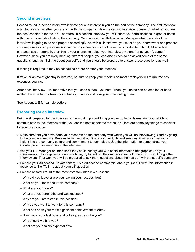## **Second interviews**

Second round in-person interviews indicate serious interest in you on the part of the company. The first interview often focuses on whether you are a fit with the company, while the second interview focuses on whether you are the best candidate for the job. Therefore, in a second interview you will share your qualifications in greater depth with one or more individuals at the company. You can ask the HR/Recruiting Manager what the style of the interviews is going to be and prepare accordingly. As with all interviews, you must do your homework and prepare your responses and questions in advance. If you feel you did not have the opportunity to highlight a certain characteristic or strength, then this is your chance to adjust your interview style and "bring your A game." However, since you are likely meeting different people, you can also expect to be asked some of the same questions, such as "Tell me about yourself", and you should be prepared to answer these questions as well.

If testing is required, it may be scheduled before or after your interview.

If travel or an overnight stay is involved, be sure to keep your receipts as most employers will reimburse any expenses you incur.

After each interview, it is imperative that you send a thank you note. Thank you notes can be emailed or hand written. Be sure to proof-read your thank you notes and take your time writing them.

See Appendix E for sample Letters.

#### **Preparing for an interview**

Being well prepared for the interview is the most important thing you can do towards ensuring your ability to communicate to the interviewer that you are the best candidate for the job. Here are some key things to consider for your preparation:

- Make sure that you have done your research on the company with which you will be interviewing. Start by going to the company website. Besides telling you about financials, products and services, it will also give some insight into the company culture and commitment to technology. Use the information to demonstrate your knowledge and interest during the interview
- Ask your HR Manager or Recruiter if they could supply you with basic information (biographies) on your interviewers. If biographies are not available, try to find out their names ahead of time so you can Google the interviewers. That way, you will be prepared to ask them questions about their career with the specific company
- Prepare your 30-second Elevator pitch; it is a 30-second commercial about yourself. Utilize this information in response to the "Tell me about yourself" question
- Prepare answers to 10 of the most common interview questions:
	- Why did you leave or are you leaving your last position?
	- What do you know about this company?
	- What are your goals?
	- What are your strengths and weaknesses?
	- Why are you interested in this position?
	- Why do you want to work for this company?
	- What has been your most significant achievement to date?
	- How would your last boss and colleagues describe you?
	- Why should we hire you?
	- What are your salary expectations?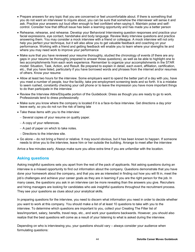- Prepare answers for any topic that you are concerned or feel uncomfortable about. If there is something that you do not want an interviewer to inquire about, you can be sure that somehow the interviewer will sense it and ask. Practice your answers out loud often enough to feel confident when saying it. Maintain poise and selfcontrol. Consider how that difficult issue has been a learning opportunity and has made you a better person
- Rehearse, rehearse, and rehearse. Develop your Behavioral Interviewing question responses and practice your facial expressions, eye contact, handshake and body language. Review likely interview questions and practice answering them. You may consider a mock interview with a friend or colleague. A mock interview will not only help you perfect your technique, but it will also allow you to get valuable feedback and coaching on your performance. Working with a friend and getting feedback will enable you to learn where your strengths lie and where you may need work to improve your performance
- Make sure that you have reviewed your resume thoroughly, studied the chronology of events (if there are any gaps in your resume be thoroughly prepared to answer those questions), as well as be able to highlight one to two accomplishments from each work experience. Remember to organize your accomplishments in the STAR model: Situation, Task, Action, and Result. Be prepared to explain in detail, each event, affiliation, certification, etc., that you have listed, particularly if you have borrowed words and phrases from the internet and/or resumes of others. Know your resume
- Allow at least two hours for the interview. Some employers want to spend the better part of a day with you, have you meet a number of people, tour the facility, take pre-employment screening tests and so forth. It is a mistake to seem rushed, constantly checking your cell phone or to leave the impression you have more important things to do than participate in the interview
- Review the Interview Attire/Etiquette portion of the Guidebook: Dress as though you are ready to go to work. Professionals tend to dress professionally
- Make sure you know where the company is located if it is a face-to-face interview. Get directions a day prior leave early, so you do not run the risk of being late
- Take these items with you to the interview:
	- Several copies of your resume on quality paper.
	- A copy of your references.
	- $-$  A pad of paper on which to take notes.
	- Directions to the interview site.
- Go alone do not bring a friend or relative. It may sound obvious, but it has been known to happen. If someone needs to drive you to the interview, leave him or her outside the building. Arrange to meet after the interview

Arrive a few minutes early. Always make sure you allow extra time if you are unfamiliar with the location.

## **Asking questions**

Asking insightful questions sets you apart from the rest of the pack of applicants. Not asking questions during an interview is a missed opportunity to find out information about the company. Questions demonstrate that you have done your homework about the company, and that you are as interested in finding out how you will fit in, meet the job's challenges and achieve your career goals as they are in learning if you are the right person for the job. In many cases, the questions you ask in an interview can be more revealing than the answers you give. Recruiters and hiring managers are looking for candidates who ask insightful questions throughout the recruitment process. They see your questions as clues about your analytical skills.

In preparing questions for the interview, you need to discern what information you need in order to decide whether you want to work at this company. You should make a list of at least 10 questions to take with you to the interview. To determine which questions are important to you, collect your Creating The Filter list of less/important, salary, benefits, travel reqs, etc., and work your questions backwards. However, you should also realize that the best questions will come as a result of your listening to what is asked during the interview.

Depending on who is interviewing you, your questions should vary – always consider your audience when formulating questions: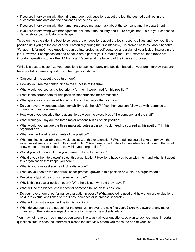- If you are interviewing with the hiring manager, ask questions about the job, the desired qualities in the successful candidate and the challenges of the position
- If you are interviewing with the human resources manager, ask about the company and the department
- If you are interviewing with management, ask about the industry and future projections. This is your chance to demonstrate your industry knowledge

To be on the safe side, it is best to concentrate on questions about the job's responsibilities and how you fit the position until you get the actual offer. Particularly during the first interview, it is premature to ask about benefits. "What's in it for me?" type questions can be interpreted as self-centered and a sign of your lack of interest in the job. However, if compensation and benefits are a part of your "Creating the Filter" exercise, then these are important questions to ask the HR Manager/Recruiter at the tail end of the interview process.

While it is best to customize your questions to each company and position based on your pre-interview research, here is a list of general questions to help get you started:

- Can you tell me about the culture here?
- How do you see me contributing to the success of the firm?
- What would you see as the top priority for me if I were hired for this position?
- What is the career path for this position (opportunities for promotion)?
- What qualities are you most hoping to find in the people that you hire?
- Do you have any concerns about my ability to do the job? (If so, then you can follow-up with response to counteract their concerns)
- How would you describe the relationship between the executives of the company and the staff?
- What would you say are the three major responsibilities of this position?
- What would you say are the three major attributes a person would need to succeed at this position? In this organization?
- What are the travel requirements of the position?
- What training is available that would assist with this role/function? What training could I take on my own that would assist me to succeed in this role/function? Are there opportunities for cross-functional training that would allow me to move into other roles within your corporation?
- Would you tell me about how your career got you to this point?
- Why did you (the interviewer) select this organization? How long have you been with them and what is it about this organization that keeps you here?
- What is your greatest source of job satisfaction?
- What do you see as the opportunities for greatest growth in this position or within this organization?
- Describe a typical day for someone in this role?
- Why is this particular position open? (Who held it last, why did they leave?)
- What will be the biggest challenges for someone taking on this position?
- Do you have a formal performance evaluation process? (What method is used and how often are evaluations held, are evaluations linked to merit pay increases or is process separate?)
- What will my first assignment be in this position?
- What do you see as the outlook for the organization over the next five years? (Are you aware of any major changes on the horizon – impact of legislation, specific new clients, etc.?).

You may not have as much time as you would like to ask all your questions, so plan to ask your most important questions first, in case the interviewer closes the interview before you reach the end of your list.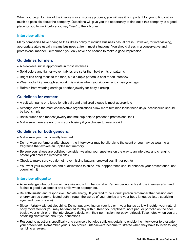When you begin to think of the interview as a two-way process, you will see it is important for you to find out as much as possible about the company. Questions will give you the opportunity to find out if this company is a good place for you to work before you say "Yes" to the job offer.

#### **Interview attire**

Many companies have changed their dress policy to include business casual dress. However, for interviewing, appropriate attire usually means business attire in most situations. You should dress in a conservative and professional manner. Remember, you only have one chance to make a good impression.

### **Guidelines for men:**

- A two-piece suit is appropriate in most instances
- Solid colors and tighter-woven fabrics are safer than bold prints or patterns
- Bright ties bring focus to the face, but a simple pattern is best for an interview
- Wear socks high enough so no skin is visible when you sit down and cross your legs
- Refrain from wearing earrings or other jewelry for body piercing

#### **Guidelines for women:**

- A suit with pants or a knee-length skirt and a tailored blouse is most appropriate
- Although even the most conservative organizations allow more feminine looks these days, accessories should be kept simple
- Basic pumps and modest jewelry and makeup help to present a professional look
- Make sure there are no runs in your hosiery if you choose to wear a skirt

#### **Guidelines for both genders:**

- Make sure your hair is neatly trimmed
- Do not wear perfume or aftershave the interviewer may be allergic to the scent or you may be wearing a fragrance that evokes an unpleasant memory
- Be sure your shoes are polished (consider wearing your sneakers on the way to an interview and changing before you enter the interview site)
- Check to make sure you do not have missing buttons, crooked ties, lint or pet fur
- You want your experience and qualifications to shine. Your appearance should enhance your presentation, not overwhelm it

#### **Interview etiquette**

- Acknowledge introductions with a smile and a firm handshake. Remember not to break the interviewer's hand. Maintain good eye contact and smile when appropriate.
- Be enthusiastic and responsive. Radiate energy. If you tend to be a quiet person remember that passion and energy can be communicated both through the words of your stories and your body language (e.g., sparkling eyes and tone of voice).
- Sit comfortably without slouching. Do not put anything on your lap or in your hands as it will restrict your natural body movement or you may be tempted to play with it. Keep your clipboard, note pad, or portfolio on the floor beside your chair or on the interviewer's desk, with their permission, for easy retrieval. Take notes when you are obtaining clarification about your questions.
- Respond to questions specifically and concisely but give sufficient details to enable the interviewer to evaluate your credentials. Remember your STAR stories. Interviewers become frustrated when they have to listen to long rambling answers.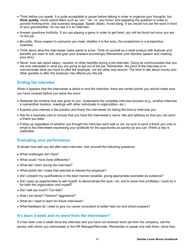- Think before you speak. It is quite acceptable to pause before talking in order to organize your thoughts, but **think quietly**. Avoid verbal fillers such as "um," "ah," or "you know" and repeating the question in order to provide thinking time. Use business language. Speak clearly. Avoid slang. If you would not use the word in front of your grandmother, do not use it in an interview.
- Answer questions truthfully. If you are playing a game in order to get hired, you will be found out once you are on the job.
- Be polite. Show respect to everyone you meet, whether it is the boss, the receptionist or a prospective coworker.
- Think about what the interviewer really wants to know. Think of yourself as a retail product with features and benefits you want to sell, and gear your answers accordingly.(Remember your elevator speech and creating your story.
- Never, ever ask about salary, vacation or other benefits during a job interview. Doing so communicates that you are only interested in what you are going to get out of the job. Remember, the point of the interview is to communicate what you have to offer the employer, not the other way around. The time to talk about money and other goodies is after the employer has offered you the job.

#### **Ending the interview**

When it appears that the interviewer is about to end the interview, there are certain points you should make sure you have covered before you leave the room:

- Reiterate the timeline that was given to you. Understand the complete interview process (e.g., another interview in same/other location, meetings with other individuals in organization, etc.)
- Express your interest in the position and thank the interviewer for taking the time to interview you
- Ask for a business card or ensure that you have the interviewer's name, title and address so that you can send a thank-you letter
- Follow up regardless of whether you thought the interview went well or not, be sure to send a thank you note or email to the interviewer expressing your gratitude for the opportunity as quickly as you can. Within a day is preferable

## **Evaluating your performance**

Evaluate how well you did after each interview. Ask yourself the following questions:

- What challenges did I face?
- What could I have done differently?
- What did I learn during the interview?
- What points did I make that seemed to interest the employer?
- Did I present my qualifications in the best manner possible, giving appropriate examples as evidence?
- Did I pass up opportunities to sell myself, to demonstrate the work I do, and to show how profitably I could do it for both the organization and myself?
- Did I talk too much? Too little?
- Was I too tense? Passive? Aggressive?
- What do I need to learn for future interviews?
- What feedback do I need to give my career consultant to better help me and others prepare?

#### **It's been a week and no word from the Interviewer?**

If it has been over a week since the interview and you have not received word yet from the company, call the person with whom you interviewed or the HR Manager/Recruiter. Remember to speak only with them, since they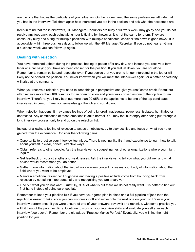are the one that knows the particulars of your situation. On the phone, keep the same professional attitude that you had in the interview. Tell them again how interested you are in the position and ask what the next steps are.

Keep in mind that the interviewers, HR Managers/Recruiters are busy a full work week may go by and you do not receive any feedback, each painstaking hour is ticking by, however, it is not the same for them. They are continually busy and hiring for multiple positions with multiple candidates, consider "no news is good news". It is acceptable within three business days to follow up with the HR Manager/Recruiter. If you do not hear anything in a business week you can follow up again.

#### **Dealing with rejection**

You have remained upbeat during the process, hoping to get an offer any day, and instead you receive a form letter or a call saying you have not been chosen for the position. If you feel let down, you are not alone. Remember to remain polite and respectful even if you decide that you are no longer interested in the job or will likely not be offered the position. You never know when you will meet the interviewer again, or a better opportunity will arise at the company.

When you receive a rejection, you need to keep things in perspective and give yourself some credit. Recruiters often receive more than 100 resumes for an open position and yours was chosen as one of the top few for an interview. Therefore, you likely beat out more than 90-95% of the applicants to be one of the top candidates interviewed in person. True, someone else got the job and you did not.

When rejection happens, it may cause feelings of being ignored, inadequate, powerless, isolated, humiliated or depressed. Any combination of these emotions is quite normal. You may feel hurt angry after being put through a long interview process, only to end up on the rejection list.

Instead of allowing a feeling of rejection to act as an obstacle, try to stay positive and focus on what you have gained from the experience. Consider the following gains:

- Opportunity to practice your interview technique. There is nothing like first-hand experience to learn how to talk about yourself in clear, honest, effective ways.
- Obtain referrals to other people: Ask the interviewer to suggest names of other organizations where you might inquire.
- Get feedback on your strengths and weaknesses: Ask the interviewer to tell you what you did well and what he/she would recommend you do better.
- Gather more information about the field of work every contact increases your body of information about the field where you want to be employed.
- Maintain emotional resilience: Toughness and having a positive attitude come from bouncing back from rejection by not taking it too personally and recognizing you are a survivor.
- Find out what you do not want. Truthfully, 90% of what is out there we do not really want. It is better to find out first-hand instead of being surprised later.

Remember to keep your pipeline full: If you have your game plan in place and a full pipeline of jobs then the rejection is easier to take since you can just cross it off and move onto the next one on your list. Review your interview performance. If you were unsure of one of your answers, review it and rethink it, with some practice you will hit it out of the park next time. Continue to work on your interview skills and evaluate yourself after each interview (see above). Remember the old adage "Practice Makes Perfect." Eventually, you will find the right position for you.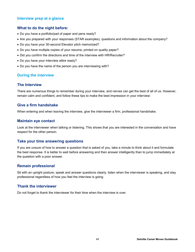## **Interview prep at a glance**

#### **What to do the night before:**

- Do you have a portfolio/pad of paper and pens ready?
- Are you prepared with your responses (STAR examples), questions and information about the company?
- Do you have your 30-second Elevator pitch memorized?
- Do you have multiple copies of your resume, printed on quality paper?
- Did you confirm the directions and time of the interview with HR/Recruiter?
- Do you have your interview attire ready?
- Do you have the name of the person you are interviewing with?

#### **During the interview**

#### **The Interview**

There are numerous things to remember during your interview, and nerves can get the best of all of us. However, remain calm and confident, and follow these tips to make the best impression in your interview:

#### **Give a firm handshake**

When entering and when leaving the interview, give the interviewer a firm, professional handshake.

#### **Maintain eye contact**

Look at the interviewer when talking or listening. This shows that you are interested in the conversation and have respect for the other person.

#### **Take your time answering questions**

If you are unsure of how to answer a question that is asked of you, take a minute to think about it and formulate the best response. It is better to wait before answering and then answer intelligently than to jump immediately at the question with a poor answer.

#### **Remain professional**

Sit with an upright posture, speak and answer questions clearly, listen when the interviewer is speaking, and stay professional regardless of how you feel the interview is going.

#### **Thank the interviewer**

Do not forget to thank the interviewer for their time when the interview is over.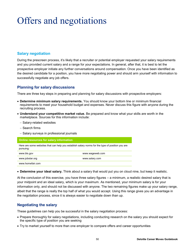## Offers and negotiations

## **Salary negotiation**

During the prescreen process, it's likely that a recruiter or potential employer requested your salary requirements and you provided current salary and a range for your expectations. In general, after that, it is best to let the prospective employer initiate any further conversations around compensation. Once you have been identified as the desired candidate for a position, you have more negotiating power and should arm yourself with information to successfully negotiate any job offers.

## **Planning for salary discussions**

There are three key steps in preparing and planning for salary discussions with prospective employers:

- **Determine minimum salary requirements.** You should know your bottom line or minimum financial requirements to meet your household budget and expenses. Never discuss this figure with anyone during the recruiting process.
- **Understand your competitive market value.** Be prepared and know what your skills are worth in the marketplace. Sources for this information include:
	- Salary-related websites
	- Search firms
	- Salary surveys in professional journals

**Online resources for salary information**

Here are some websites that can help you establish salary norms for the type of position you are pursuing:

| www.bls.gov      | www.wageweb.com |
|------------------|-----------------|
| www.jobstar.org  | www.salary.com  |
| www.homefair.com |                 |

**Determine your ideal salary.** Think about a salary that would put you on cloud nine, but keep it realistic.

At the conclusion of this exercise, you have three salary figures – a minimum, a realistic desired salary that is your midpoint and an ideal salary, which is your maximum. As mentioned, your minimum salary is for your information only, and should not be discussed with anyone. The two remaining figures make up your salary range, albeit that the range is really the top half of what you would accept. Using this range gives you an advantage in the negotiation process, since it is always easier to negotiate down than up.

## **Negotiating the salary**

These guidelines can help you be successful in the salary negotiation process:

- Prepare thoroughly for salary negotiations, including conducting research on the salary you should expect for the specific type of position you are seeking
- Try to market yourself to more than one employer to compare offers and career opportunities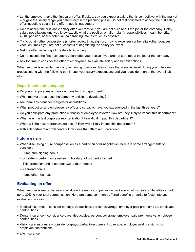- Let the employer make the first salary offer. If asked, say you expect a salary that is competitive with the market – or give the salary range you determined in the planning phase. Do not feel obligated to accept the first salary offer, negotiate salary if the offer made is inadequate
- Do not accept the first viable salary offer you receive if you are not sure about the job or the company. Delay salary negotiations until you know exactly what the position entails – clarify responsibilities, health benefits, 401K, pension, bonus potential, paid training, etc. as much as possible
- Try to obtain other concessions (shorter review time, sign on, moving expenses) or benefits (other bonuses, vacation time) if you are not successful at negotiating the salary you want
- Get the offer, including all the details, in writing
- Do not accept the first acceptable salary offer you receive if you are not sure about the job or the company
- Ask for time to consider the offer of employment to evaluate salary and benefit options

When an offer is extended, ask any remaining questions. Responses that were received during your interview process along with the following can impact your salary expectations and your consideration of the overall job offer.

## **Department and company**

- Do you anticipate any expansion plans for this department?
- What market areas does the company anticipate developing?
- Are there any plans for mergers or acquisitions?
- What production and employee lay-offs and cutbacks have you experienced in the last three years?
- Do you anticipate any production cutbacks or employee layoffs? How are they likely to impact this department?
- When was the last corporate reorganization? How did it impact this department?
- When will the next reorganization occur? How will it likely impact this department?
- Is this department a profit center? How does that affect remuneration?

#### **Future salary**

- When discussing future compensation as a part of an offer negotiation, here are some arrangements to consider:
	- $-$  Lump-sum signing bonus
	- Short-term performance review with salary adjustment attached
	- Title promotion and raise after two to four months
	- Year-end bonus
	- $-$  Items other than cash

## **Evaluating an offer**

When an offer is made, be sure to evaluate the entire compensation package – not just salary. Benefits can add up to 30% to your total compensation! Here are some commonly offered benefits or perks to factor into your evaluation process:

- Medical insurance consider co-pays, deductibles, percent coverage, employer paid premiums vs. employee contributions
- Dental insurance consider co-pays, deductibles, percent coverage, employer paid premiums vs. employee contributions
- Vision care insurance consider co-pays, deductibles, percent coverage, employer paid premiums vs. employee contributions
- Life insurance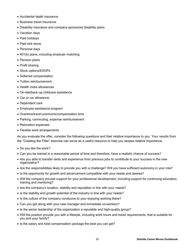- Accidental death insurance
- Business travel insurance
- Disability insurance and company sponsored disability plans
- Vacation days
- Paid holidays
- Paid sick leave
- Personal days
- 401(k) plans, including employer matching
- Pension plans
- Profit sharing
- Stock options/ESOPs
- Deferred compensation
- Tuition reimbursement
- Health clubs allowances
- On-site/back-up childcare assistance
- Car or car allowance
- Dependent care
- Employee assistance program
- Overtime/travel premiums/compensation time
- Parking, commuting, expense reimbursement
- Relocation expenses
- Flexible work arrangements

As you evaluate the offer, consider the following questions and their relative importance to you. Your results from the "Creating the Filter" exercise can serve as a useful resource to help you assess relative importance.

- Do you like the work?
- Can you be trained in a reasonable period of time and therefore, have a realistic chance of success?
- Are you able to transfer skills and experience from previous jobs to contribute to your success in the new organization?
- Are the responsibilities likely to provide you with a challenge? Will you have sufficient autonomy in your role?
- Is the opportunity for growth and advancement compatible with your needs and desires?
- Will the company provide support for your professional development, including support for continuing education, training and mentoring?
- Are the company's location, stability and reputation in line with your needs?
- Is the stability and growth potential of the industry in line with your needs?
- Is the culture of the company conducive to your enjoying working there?
- Can you get along with your new manager and immediate co-workers?
- Is the senior leadership of the organization a reputable and high-quality group?
- Will the position provide you with a lifestyle, including work hours and travel requirements, that is suitable for you and your family?
- Is the salary and total compensation package the best you can get?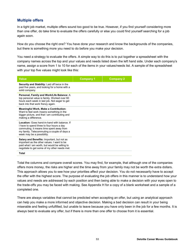## **Multiple offers**

In a tight job market, multiple offers sound too good to be true. However, if you find yourself considering more than one offer, do take time to evaluate the offers carefully or else you could find yourself searching for a job again soon.

How do you choose the right one? You have done your research and know the backgrounds of the companies, but there is something more you need to do before you make your decision.

You need a strategy to evaluate the offers. A simple way to do this is to put together a spreadsheet with the company names across the top and your values and needs listed down the left hand side. Under each company's name, assign a score from 1 to 10 for each of the items in your values/needs list. A sample of the spreadsheet with your top five values might look like this:

| <b>Value</b>                                                                                                                                                                                                       | <b>Company 1</b> | <b>Company 2</b> |
|--------------------------------------------------------------------------------------------------------------------------------------------------------------------------------------------------------------------|------------------|------------------|
| <b>Security and Stability:</b> Laid off twice in the<br>past five years, and looking for a home with a<br>solid company.                                                                                           |                  |                  |
| Personal, Family and Work/Life Balance: A<br>top personal value is family. Worked over 60<br>hours each week in last job. Not eager to get<br>back into that work frenzy again.                                    |                  |                  |
| <b>Meaningful Work, Make a Contribution:</b><br>Want to feel work means something in the<br>bigger picture, and that I am contributing and<br>making a difference.                                                 |                  |                  |
| Location: Goes hand-in-hand with balance. If<br>I have to spend three to four hours a day<br>commuting, it means time spent away from<br>my family. Telecommuting a couple of days a<br>week may be a possibility. |                  |                  |
| Salary and Benefits: Important, but not as<br>important as the other values. I want to be<br>paid what I am worth, but would be willing to<br>negotiate to get some of my other needs met.                         |                  |                  |
| Total                                                                                                                                                                                                              |                  |                  |

Total the columns and compare overall scores. You may find, for example, that although one of the companies offers more money, the risks are higher and the time away from your family may not be worth the extra dollars. This approach allows you to see how your priorities affect your decision. You do not necessarily have to accept the offer with the highest score. The purpose of evaluating the job offers in this manner is to understand how your values and needs are addressed by each position and then being able to make a decision with your eyes open to the trade-offs you may be faced with making. See Appendix H for a copy of a blank worksheet and a sample of a completed one.

There are always variables that cannot be predicted when accepting an offer, but using an analytical approach can help you make a more informed and objective decision. Making a bad decision can result in your being miserable and feeling unfulfilled, but unable to leave because you have only been in the job for a few months. It is always best to evaluate any offer, but if there is more than one offer to choose from it is essential.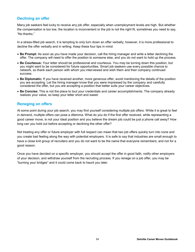## **Declining an offer**

Many job seekers feel lucky to receive any job offer, especially when unemployment levels are high. But whether the compensation is too low, the location is inconvenient or the job is not the right fit, sometimes you need to say, "No thanks."

In a stress-filled job search, it is tempting to only turn down an offer verbally; however, it is more professional to decline the offer verbally and in writing. Keep these four tips in mind:

- **Be Prompt:** As soon as you have made your decision, call the hiring manager and write a letter declining the offer. The company will need to offer the position to someone else, and you do not want to hold up the process.
- **Be Courteous:** Your letter should be professional and courteous. You may be turning down this position, but you might want to be considered for future opportunities. Smart job seekers use every possible chance to network, so thank each person with whom you interviewed and wish them and their company continued success.
- **Be Diplomatic:** If you have received another, more generous offer, avoid mentioning the details of the position you are accepting. Let the hiring manager know that you were impressed by the company and carefully considered the offer, but you are accepting a position that better suits your career objectives.
- **Be Concise:** This is not the place to tout your credentials and career accomplishments. The company already realizes your value, so keep your letter short and sweet.

## **Reneging on offers**

At some point during your job search, you may find yourself considering multiple job offers. While it is great to feel in demand, multiple offers can pose a dilemma. What do you do if the first offer received, while representing a good career move, is not your ideal position and you believe the dream job could be just a phone call away? How long can you hold out before accepting or declining the other offer?

Not treating any offer or future employer with full respect can mean that two job offers quickly turn into none and you create bad feeling along the way with potential employers. It is safe to say that industries are small enough to have a close knit group of recruiters and you do not want to be the name that everyone remembers; and not for a good reason.

Once you have decided on a specific employer, you should accept the offer in good faith, notify other employers of your decision, and withdraw yourself from the recruiting process. If you renege on a job offer, you may be "burning your bridges" and it could come back to haunt you later.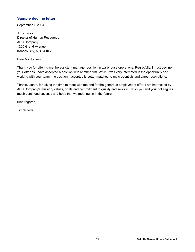## **Sample decline letter**

September 7, 2004

Judy Larson Director of Human Resources ABC Company 1200 Grand Avenue Kansas City, MO 64106

Dear Ms. Larson:

Thank you for offering me the assistant manager position in warehouse operations. Regretfully, I must decline your offer as I have accepted a position with another firm. While I was very interested in the opportunity and working with your team, the position I accepted is better matched to my credentials and career aspirations.

Thanks, again, for taking the time to meet with me and for the generous employment offer. I am impressed by ABC Company's mission, values, goals and commitment to quality and service. I wish you and your colleagues much continued success and hope that we meet again in the future.

Kind regards,

Tim Woods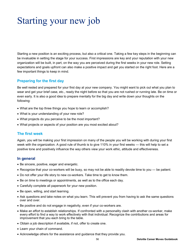# Starting your new job

Starting a new position is an exciting process, but also a critical one. Taking a few key steps in the beginning can be invaluable in setting the stage for your success. First impressions are key and your reputation with your new organization will be built, in part, on the way you are perceived during the first weeks in your new role. Setting expectations and goals upfront can also make a positive impact and get you started on the right foot. Here are a few important things to keep in mind.

## **Preparing for the first day**

Be well rested and prepared for your first day at your new company. You might want to pick out what you plan to wear and get your brief case, etc., ready the night before so that you are not rushed or running late. Be on time or even early. It is also a good idea to prepare mentally for the big day and write down your thoughts on the following:

- What are the top three things you hope to learn or accomplish?
- What is your understanding of your new role?
- What projects do you perceive to be the most important?
- What projects or aspects of your position are you most excited about?

## **The first week**

Again, you will be making your first impression on many of the people you will be working with during your first week with the organization. A good rule of thumb is to give 110% in your first weeks — this will help to set a positive tone and positively influence the way others view your work ethic, attitude and effectiveness.

## **In general**

- Be sincere, positive, eager and energetic.
- Recognize that your co-workers will be busy, so may not be able to readily devote time to you be patient.
- Do not offer your life story to new co-workers. Take time to get to know them.
- Be on time to meetings or appointments, as well as to the office each day.
- Carefully complete all paperwork for your new position.
- Be open, willing, and start learning.
- Ask questions and take notes on what you learn. This will prevent you from having to ask the same questions over and over.
- Be positive and do not engage in negativity, even if your co-workers are.
- Make an effort to establish relationships. If confronted with a personality clash with another co-worker, make every effort to find a way to work effectively with that individual. Recognize the contributions and areas for improvement that you each bring to the table.
- Obtain a job description if available, if not, offer to create one.
- Learn your chain of command.
- Acknowledge others for the assistance and guidance that they provide you.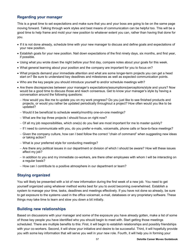## **Regarding your manager**

This is a great time to set expectations and make sure that you and your boss are going to be on the same page moving forward. Talking through work styles and best means of communication can be helpful too. This will be a good time to help frame and mold your new position to whatever extent you can, rather than having that done for you.

- If it is not done already, schedule time with your new manager to discuss and define goals and expectations of your new position.
- Establish goals for your new position. Nail down expectations of the first ninety days, six months, and first year, if possible.
- Using what you wrote down the night before your first day, compare notes about your goals for this week.
- What general learning about your position and the company are important for you to focus on?
- What projects demand your immediate attention and what are some longer-term projects you can get a head start on? Be sure to understand key deadlines and milestones as well as expected communication points.
- Who are the key people you should introduce yourself to and/or schedule meetings with?
- Are there discrepancies between your manager's expectations/assumptions/perceptions/style and yours? Now would be a good time to discuss those and reach consensus. Get to know your manager's style by having a conversation around the following questions:
	- How would you like me to update you on my work progress? Do you just like to see finished products and projects, or would you rather be updated periodically throughout a project? How often would you like to be updated?
	- Would it be beneficial to schedule weekly/monthly one-on-one meetings?
	- What are the top three projects I should focus on right now?
	- Of all my job responsibilities, which one(s) do you feel are most important for me to master quickly?
	- If I need to communicate with you, do you prefer e-mails, voicemails, phone calls or face-to-face meetings?
	- Given the company culture, how can I best follow the correct "chain of command" when suggesting new ideas or taking action?
	- What is your preferred style for conducting meetings?
	- Are there any political issues in our department or division of which I should be aware? How will these issues affect my job?
	- In addition to you and my immediate co-workers, are there other employees with whom I will be interacting on a regular basis?
	- How can I contribute to a positive atmosphere in our department or team?

## **Staying organized**

You will likely be presented with a lot of new information during the first week of a new job. You need to get yourself organized using whatever method works best for you to avoid becoming overwhelmed. Establish a system to manage your time, tasks, deadlines and meetings effectively. If you have not done so already, be sure to get exposure to the systems used in the office voicemail, e-mail, databases or any proprietary software. These things may take time to learn and slow you down a bit initially.

## **Building new relationships**

Based on discussions with your manager and some of the exposure you have already gotten, make a list of some of those key people you have identified who you should begin to meet with. Start getting those meetings scheduled. There are multiple benefits to this: First, it will begin to establish relationships and possibly friendships with your co-workers. Second, it will show your initiative and desire to be successful. Third, it will hopefully provide you with some key information that will serve you well in your new role. Fourth, it will help you in forming your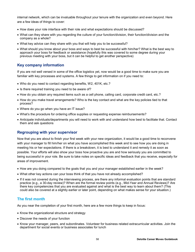internal network, which can be invaluable throughout your tenure with the organization and even beyond. Here are a few ideas of things to cover:

- How does your role interface with their role and what expectations should be discussed?
- What can they share with you regarding the culture of your function/division, their function/division and the company as a whole?
- What key advice can they share with you that will help you to be successful?
- What should you know about your boss and ways to best be successful with him/her? What is the best way to approach your boss for feedback or assistance (hopefully this was covered to some degree during your previous meeting with your boss, but it can be helpful to get another perspective)

#### **Key company information**

If you are not well versed in some of the office logistics yet, now would be a good time to make sure you are familiar with key processes and systems. A few things to get information on if you need to:

- Who do you need to contact regarding benefits, W2, 401K, etc.?
- Is there required training you need to be aware of?
- How do you obtain any required items such as a cell phone, calling card, corporate credit card, etc.?
- How do you make travel arrangements? Who is the key contact and what are the key policies tied to that process?
- Where do you go when you have an IT issue?
- What's the procedure for ordering office supplies or requesting expense reimbursements?
- Anticipate individuals/departments you will need to work with and understand how best to facilitate that. Contact them and ask questions

#### **Regrouping with your supervisor**

Now that you are about to finish your first week with your new organization, it would be a good time to reconvene with your manager to fill him/her on what you have accomplished this week and to see how you are doing in meeting his or her expectations. If there is a breakdown, it is best to understand it and remedy it as soon as possible. Your efforts will also show your boss how proactive you are and how seriously you are committed to being successful in your role. Be sure to take notes on specific ideas and feedback that you receive, especially for areas of improvement.

- How are you doing compared to the goals that you and your manager established earlier in the week?
- What other key actions can your boss think of that you have not already accomplished?
- If it was not covered during the interviewing process, are there any informal evaluation points that are standard practice (e.g., a 30-day review)? When are the formal review points (e.g., Mid-Year and Annual Reviews)? Are there key competencies that you are evaluated against and what is the best way to learn about them? (This could also be covered at a slightly earlier or later point, depending on what makes sense for your situation.)

#### **The first month**

As you near the completion of your first month, here are a few more things to keep in focus:

- Know the organizational structure and strategy
- Discover the needs of your function
- Know your manager, peers, and subordinates. Volunteer for business related extracurricular activities. Join the department for social events or business associates for lunch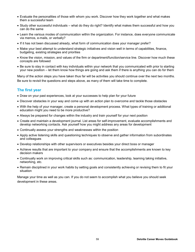- Evaluate the personalities of those with whom you work. Discover how they work together and what makes them a successful team
- Study other successful individuals what do they do right? Identify what makes them successful and how you can do the same
- Learn the various modes of communication within the organization. For instance, does everyone communicate via memos, e-mails, or verbally?
- If it has not been discussed already, what form of communication does your manager prefer?
- Make your best attempt to understand strategic initiatives and vision well in terms of capabilities, finance, budgeting, existing strategies and priorities
- Know the vision, mission, and values of the firm or department/function/service line. Discover how much these concepts are followed
- Be sure to stay in contact with key individuals within your network that you communicated with prior to starting your new position – let them know how things are going and ask them if there is anything you can do for them

Many of the action steps you have taken thus far will be activities you should continue over the next two months. Be sure to revisit the questions and steps above, as many of them will take time to complete.

## **The first year**

- Draw on your past experiences, look at your successes to help plan for your future
- Discover obstacles in your way and come up with an action plan to overcome and tackle those obstacles
- With the help of your manager, create a personal development process. What types of training or additional education might you need to be more productive?
- Always be prepared for changes within the industry and train yourself for your next position
- Create and maintain a development journal. List areas for self-improvement, evaluate accomplishments and develop networking contacts. Ask yourself how you might address any areas for development
- Continually assess your strengths and weaknesses within the position
- Apply active listening skills and questioning techniques to observe and gather information from subordinates and colleagues
- Develop relationships with other supervisors or executives besides your direct boss or manager
- Achieve results that are important to your company and ensure that the accomplishments are known to key decision makers
- Continually work on improving critical skills such as: communication, leadership, teaming taking initiative, networking, etc.
- Remain disciplined in your work habits by setting goals and consistently achieving or revising them to fit your situation

Manage your time as well as you can. If you do not seem to accomplish what you believe you should seek development in these areas.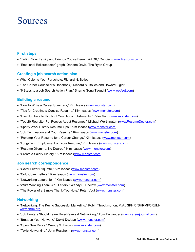## Sources

## **First steps**

- "Telling Your Family and Friends You've Been Laid Off," Ceridian ([www.lifeworks.com\)](www.lifeworks.com)
- "Emotional Rollercoaster" graph, Darlene Davis, The Ryan Group

#### **Creating a job search action plan**

- What Color is Your Parachute, Richard N. Bolles
- "The Career Counselor's Handbook," Richard N. Bolles and Howard Figler
- "6 Steps to a Job Search Action Plan," Sherrie Gong Taguchi (<www.wetfeet.com>)

#### **Building a resume**

- "How to Write a Career Summary," Kim Isaacs [\(www.monster.com\)](www.monster.com)
- "Tips for Creating a Concise Resume," Kim Isaacs (<www.monster.com>)
- "Use Numbers to Highlight Your Accomplishments," Peter Vogt (<www.monster.com>)
- "Top 20 Recruiter Pet Peeves About Resumes," Michael Worthington [\(www.ResumeDoctor.com](www.ResumeDoctor.com))
- "Spotty Work History Resume Tips," Kim Isaacs (<www.monster.com>)
- "Job Termination and Your Resume," Kim Isaacs (<www.monster.com>)
- "Revamp Your Resume for a Career Change," Kim Isaacs (<www.monster.com>)
- "Long-Term Employment on Your Resume," Kim Isaacs (<www.monster.com>)
- "Resume Dilemma: No Degree," Kim Isaacs [\(www.monster.com](www.monster.com))
- "Create a Salary History," Kim Isaacs [\(www.monster.com](www.monster.com))

#### **Job search correspondence**

- "Cover Letter Etiquette," Kim Isaacs [\(www.monster.com](www.monster.com))
- "Cold Cover Letters," Kim Isaacs [\(www.monster.com](www.monster.com))
- "Networking Letters 101," Kim Isaacs ([www.monster.com\)](www.monster.com)
- "Write Winning Thank-You Letters," Wendy S. Enelow (<www.monster.com>)
- "The Power of a Simple Thank-You Note," Peter Vogt (<www.monster.com>)

#### **Networking**

- "Networking: The Key to Successful Marketing," Robin Throckmorton, M.A., SPHR (SHRMFORUM<www.shrm.org>)
- "Job Hunters Should Learn Role-Reversal Networking," Tom Englander [\(www.careerjournal.com\)](www.careerjournal.com)
- "Broaden Your Network," David DeJean (<www.monster.com>)
- "Open New Doors," Wendy S. Enlow (<www.monster.com>)
- . "Toxic Networking," John Rossheim ([www.monster.com\)](www.monster.com)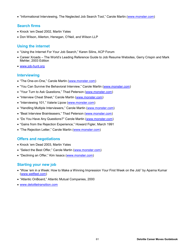"Informational Interviewing, The Neglected Job Search Tool," Carole Martin [\(www.monster.com](www.monster.com))

## **Search firms**

- Knock 'em Dead 2002, Martin Yates
- Don Wilson, Allerton, Henegan, O'Neil, and Wilson LLP

## **Using the internet**

- "Using the Internet For Your Job Search," Karen Silins, ACP Forum
- Career Xroads The World's Leading Reference Guide to Job Resume Websites, Gerry Crispin and Mark Mehler, 2003 Edition
- <www.job-hunt.org>

## **Interviewing**

- "The One-on-One," Carole Martin [\(www.monster.com\)](www.monster.com)
- "You Can Survive the Behavioral Interview," Carole Martin [\(www.monster.com\)](www.monster.com)
- "Your Turn to Ask Questions," Thad Peterson [\(www.monster.com\)](www.monster.com)
- "Interview Cheat Sheet," Carole Martin [\(www.monster.com\)](www.monster.com)
- "Interviewing 101," Valerie Lipow (<www.monster.com>)
- "Handling Multiple Interviewers," Carole Martin [\(www.monster.com\)](www.monster.com)
- "Beat Interview Brainteasers," Thad Peterson (<www.monster.com>)
- "Do You Have Any Questions?" Carole Martin (<www.monster.com>)
- "Gains from the Rejection Experience," Howard Figler, March 1991
- "The Rejection Letter," Carole Martin (<www.monster.com>)

## **Offers and negotiations**

- Knock 'em Dead 2003, Martin Yates
- "Select the Best Offer," Carole Martin [\(www.monster.com](www.monster.com))
- "Declining an Offer," Kim Issacs [\(www.monster.com](www.monster.com))

## **Starting your new job**

- "Wow 'em in a Week: How to Make a Winning Impression Your First Week on the Job" by Aparna Kumar (<www.wetfeet.com>)
- "Atlantic OnBoard," Atlantic Mutual Companies, 2000
- <www.deloittetransition.com>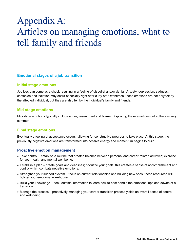## Appendix A: Articles on managing emotions, what to tell family and friends

#### **Emotional stages of a job transition**

#### **Initial stage emotions**

Job loss can come as a shock resulting in a feeling of disbelief and/or denial. Anxiety, depression, sadness, confusion and isolation may occur especially right after a lay-off. Oftentimes, these emotions are not only felt by the affected individual, but they are also felt by the individual's family and friends.

#### **Mid-stage emotions**

Mid-stage emotions typically include anger, resentment and blame. Displacing these emotions onto others is very common.

## **Final stage emotions**

Eventually a feeling of acceptance occurs, allowing for constructive progress to take place. At this stage, the previously negative emotions are transformed into positive energy and momentum begins to build.

## **Proactive emotion management**

- Take control establish a routine that creates balance between personal and career-related activities; exercise for your health and mental well-being.
- Establish a plan create goals and deadlines; prioritize your goals; this creates a sense of accomplishment and control which combats negative emotions.
- Strengthen your support system focus on current relationships and building new ones; these resources will bolster your emotional warehouse.
- Build your knowledge seek outside information to learn how to best handle the emotional ups and downs of a transition.
- Manage the process proactively managing your career transition process yields an overall sense of control and well-being.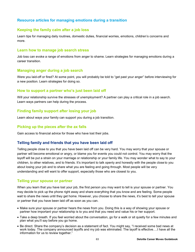## **Resource articles for managing emotions during a transition**

#### **Keeping the family calm after a job loss**

Learn tips for managing daily routines, domestic duties, financial worries, emotions, children's concerns and more.

#### **Learn how to manage job search stress**

Job loss can evoke a range of emotions from anger to shame. Learn strategies for managing emotions during a career transition.

#### **Managing anger during a job search**

Were you laid-off or fired? At some point, you will probably be told to "get past your anger" before interviewing for a new position. Learn strategies for doing so.

#### **How to support a partner who's just been laid off**

Will your relationship survive the stresses of unemployment? A partner can play a critical role in a job search. Learn ways partners can help during the process.

## **Finding family support after losing your job**

Learn about ways your family can support you during a job transition.

### **Picking up the pieces after the ax falls**

Gain access to financial advice for those who have lost their jobs.

## **Telling family and friends that you have been laid off**

Telling people close to you that you have been laid off can be very hard. You may worry that your spouse or partner will become emotional or angry, or blame you for events you could not control. You may worry that the layoff will be put a strain on your marriage or relationship or your family life. You may wonder what to say to your children, to other relatives, and to friends. It's important to talk openly and honestly with the people close to you about losing your job and to share what you are feeling and going through. Most people will be very understanding and will want to offer support, especially those who are closest to you.

#### **Telling your spouse or partner**

When you learn that you have lost your job, the first person you may want to tell is your spouse or partner. You may decide to pick up the phone right away and share everything that you know and are feeling. Some people wait to share the news until they get home. However, you choose to share the news, it's best to tell your spouse or partner that you have been laid off as soon as you can.

- Make sure your spouse or partner hears the news from you. Doing this is a way of showing your spouse or partner how important your relationship is to you and that you need and value his or her support.
- Take a deep breath. If you feel worried about the conversation, go for a walk or sit quietly for a few minutes and plan what you'll say before you go home.
- Be direct. Share the company's decision as a statement of fact. You might say, "I received some bad news at work today. The company announced layoffs and my job was eliminated. The layoff is effective….I have all the information for us to review together."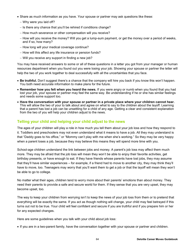- Share as much information as you have. Your spouse or partner may ask questions like these:
	- Why were you laid off?
	- $-$  Is there any chance that you'll be rehired if conditions change?
	- How much severance or other compensation will you receive?
	- How will you receive the money? Will you get a lump-sum payment, or get the money over a period of weeks, and if so, how many?
	- How long will your medical coverage continue?
	- How will this affect any life insurance or pension funds?
	- Will you receive any support in finding a new job?

You may have received answers to some or all of these questions in a letter you got from your manager or human resources department when you found out you were losing your job. Showing your spouse or partner the letter will help the two of you work together to deal successfully with all the uncertainties that you face.

- **Be truthful.** Don't suggest there's a chance that the company will hire you back if you know this won't happen. You both need accurate information to make plans for the future.
- **Remember how you felt when you heard the news.** If you were angry or numb when you found that you had lost your job, your spouse or partner may feel the same way. Be understanding if he or she has similar feelings and needs some support too.
- **Have the conversation with your spouse or partner in a private place where your children cannot hear.** This will allow the two of your to talk about and agree on what to say to the children about the layoff. Learning that a parent has lost a job can be unsettling for a child of any age. Getting a clear and consistent explanation from the two of you will help your children adjust to the news.

#### **Telling your child and helping your child adjust to the news**

The ages of your children will play a role in how much you tell them about your job loss and how they respond to it. Toddlers and preschoolers may not even understand what it means to have a job. All they may understand is that "Daddy goes to his office," or "Mommy can't play with me when she's working." So they may be very happy when a parent loses a job, because they may believe this means they will spend more time with you.

School-age children understand the link between jobs and money. A parent's job loss may affect them much more. They may be afraid that the job loss will mean they won't be able to enjoy their favorite activities, get birthday presents, or have enough to eat. If they have friends whose parents have lost jobs, they may assume that they'll have similar experiences – for example, if a friend had to move to another city, they may think they'll have to move, too. Teenagers may worry that you'll want them to get a job or that the layoff will mean they won't be able to go to college.

No matter what their ages, children tend to worry more about their parents' emotions than about money. They need their parents to provide a safe and secure world for them. If they sense that you are very upset, they may become upset, too.

The way to keep your children from worrying isn't to keep the news of your job loss from them or to pretend that everything will be exactly the same. If you act as though nothing will change, your child may feel betrayed if this turns out not to be true. Your child will feel confident and secure if you are truthful and if you prepare him or her for any expected changes.

Here are some guidelines when you talk with your child about job loss:

If you are in a two-parent family, have the conversation together with your spouse or partner and children.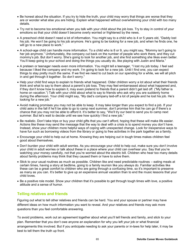- Be honest about the situation. If you try to hide the truth, your child may worry that things are worse that they are or wonder what else you are hiding. Explain what happened without overwhelming your child with too many details.
- Try not to become too emotional when you talk with your child about the job loss. Try to stay in control of your emotions so that your child doesn't become overly worried or frightened by the news.
- A preschool child doesn't need a lot of information. You might say to a child who is 4 or 5 years old, "Daddy lost his job. He won't be going to his job anymore. He's going to be looking for a new job, and when he finds one, he will go to a new place to work."
- A school-age child can handle more information. To a child who is 8 or 9, you might say, "Mommy isn't going to her job anymore." Unfortunately, the company cut back on the number of people who work there, and they cut mommy's job. But don't worry. She's going to look for another job, and she find something she likes even better. You'll keep going to your school and doing the things you usually do, like playing with Justin and Maria."
- A preteen or teenager needs even more information. You might tell a teenager, "I lost my job today. I feel sad because I liked the company and my work. I'm going to look for a new job. Until I find one, you can expect things to stay pretty much the same. If we find we need to cut back on our spending for a while, we will all pitch in and get through it together. So don't worry."
- Help your child find ways to explain to friends what happened. Older children worry a lot about what their friends think and what to say to them about a parent's job loss. They may feel embarrassed about what happened and, if they don't know how to explain it, may even pretend to friends that a parent didn't get laid off. ("My father is home on vacation.") Talk with your child about what to say to friends who ask why you are suddenly home during the afternoon. Your child might say, "My dad's company laid-off a lot of people and he lost his job. He's looking for a new job."
- Avoid making promises you may not be able to keep. It may take longer than you expect to find a job. If your child asks in the fall if he'll be able to go to camp next summer, don't promise him that he can go if there's a chance that you may not be able to afford it. It's better to say, "We'll try our best to send you to camp next summer. But let's wait to decide until we see how quickly I find a new job."
- Be realistic. Don't take trips or buy your child gifts that you can't afford, hoping that these will make life easier. Actions like these may send the message that the way to deal with a crisis is to spend money you don't have. Instead, show your children more helpful ways of coping with unexpected change. Look for inexpensive ways to have fun such as borrowing videos from the library or going to free activities in the park together as a family.
- Encourage your child to help out at home. Knowing they are helping out in tough times makes children feel good about themselves.
- Don't burden your child with adult worries. As you encourage your child to help out, make sure you don't involve your child in adult worries or talk about these in a place where your child can overhear you. Say that you're watching your money carefully, not that you're worried about the electric bill. Children who hear too many details about family problems may think that they caused them or have to solve them.
- Stick to your usual routines as much as possible. Children like and need predictable routines eating meals at certain times, having a story at bedtime, going to a family reunion like you always do. Familiar activities like these can be a great comfort to children who are going through a confusing time, so it's important to preserve as many as you can. It's better to give up an expensive annual vacation than to end the music lessons that your child loves.
- Be a positive role model. Show your children that it's possible to get through tough times with love, a positive attitude and a sense of humor.

## **Telling relatives and friends**

Figuring out what to tell other relatives and friends can be hard. You and your spouse or partner may have different ideas on how much information you want to reveal. And your relatives and friends may ask more questions than you feel comfortable answering.

To avoid problems, work out an agreement together about what you'll tell friends and family, and stick to your plan. Remember that you don't owe anyone an explanation for why you left your job or what financial arrangements this involved. But if you anticipate needing to ask your parents or in-laws for help later, it may be best to tell them the truth up front.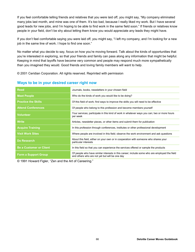If you feel comfortable telling friends and relatives that you were laid off, you might say, "My company eliminated many jobs last month, and mine was one of them. It's too bad, because I really liked my work. But I have several good leads for new jobs, and I'm hoping to be able to find work in the same field soon." If friends or relatives know people in your field, don't be shy about letting them know you would appreciate any leads they might have.

If you don't feel comfortable saying you were laid off, you might say, "I left my company, and I'm looking for a new job in the same line of work. I hope to find one soon."

No matter what you decide to say, focus on how you're moving forward. Talk about the kinds of opportunities that you're interested in exploring, so that your friends and family can pass along any information that might be helpful. Keeping in mind that layoffs have become very common and people may respond much more sympathetically than you imagined they would. Good friends and loving family members will want to help.

© 2001 Ceridian Corporation. All rights reserved. Reprinted with permission

| <b>Read</b>                    | Journals, books, newsletters in your chosen field                                                                                              |
|--------------------------------|------------------------------------------------------------------------------------------------------------------------------------------------|
| <b>Meet People</b>             | Who do the kinds of work you would like to be doing?                                                                                           |
| <b>Practice the Skills</b>     | Of this field of work; find ways to improve the skills you will need to be effective                                                           |
| <b>Attend Conferences</b>      | Of people who belong to this profession and become members yourself                                                                            |
| <b>Volunteer</b>               | Your services; participate in this kind of work in whatever ways you can; two or more hours<br>per week                                        |
| <b>Write</b>                   | Articles, newsletter pieces, or other items and submit them for publication                                                                    |
| <b>Acquire Training</b>        | In this profession through conferences, institutes or other professional development                                                           |
| <b>Visit Work Sites</b>        | Where people are involved in this field; observe the work environment and ask questions                                                        |
| Do Research                    | About this field, either on your own or in cooperation with someone who shares your<br>particular interests                                    |
| <b>Be a Customer or Client</b> | In this field so that you can experience the services offered or sample the products                                                           |
| <b>Form a Support Group</b>    | Of people who have similar interests in this career; include some who are employed the field<br>and others who are not yet but will be one day |

#### **Ways to be in your desired career right now**

© 1991 Howard Figler, "Zen and the Art of Careering."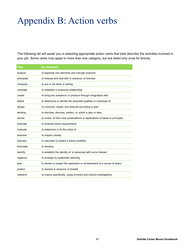# Appendix B: Action verbs

The following list will assist you in selecting appropriate action verbs that best describe the activities involved in your job. Some verbs may apply to more than one category, but are listed only once for brevity.

| <b>Plan</b> | (to develop)                                                               |
|-------------|----------------------------------------------------------------------------|
| analyze     | to separate into elements and critically examine                           |
| anticipate  | to foresee and deal with in advance; to forecast                           |
| compose     | to put or set down in writing                                              |
| correlate   | to establish a reciprocal relationship                                     |
| create      | to bring into existence; to produce through imaginative skill              |
| define      | to determine or identify the essential qualities or meanings of            |
| design      | to conceive, create, and execute according to plan                         |
| develop     | to disclose, discover, perfect, or unfold a plan or idea                   |
| devise      | to invent, to form new combinations or applications of ideas or principles |
| estimate    | to forecast future requirements                                            |
| evaluate    | to determine or fix the value of                                           |
| examine     | to inspect closely                                                         |
| forecast    | to calculate or predict a future condition                                 |
| formulate   | to develop                                                                 |
| identify    | to establish the identity of; to associate with some interest              |
| organize    | to arrange by systematic planning                                          |
| plan        | to devise or project the realization or achievement of a course of action  |
| predict     | to declare in advance; to foretell                                         |
| research    | to inquire specifically, using involved and critical investigations        |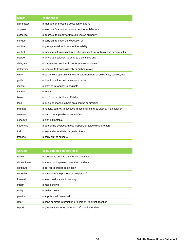| <b>Direct</b> | (to manage)                                                                  |
|---------------|------------------------------------------------------------------------------|
| administer    | to manage or direct the execution of affairs                                 |
| approve       | to exercise final authority; to accept as satisfactory                       |
| authorize     | to approve; to empower through vested authority                              |
| conduct       | to carry on; to direct the execution of                                      |
| confirm       | to give approval to; to assure the validity of                               |
| control       | to measure/interpret/evaluate actions to conform with plans/desired results  |
| decide        | to arrive at a solution; to bring to a definitive end                        |
| delegate      | to commission another to perform tasks or duties                             |
| determine     | to resolve; to fix conclusively or authoritatively                           |
| direct        | to guide work operations through establishment of objectives, policies, etc. |
| guide         | to direct or influence in a way or course                                    |
| initiate      | to start; to introduce; to originate                                         |
| instruct      | to teach                                                                     |
| issue         | to put forth or distribute officially                                        |
| lead          | to guide or channel others on a course or direction                          |
| manage        | to handle, control; to succeed in accomplishing; to alter by manipulation    |
| oversee       | to watch; to supervise or superintend                                        |
| schedule      | to plan a timetable                                                          |
| supervise     | to personally oversee, direct, inspect, or guide work of others              |
| train         | to teach, demonstrate, or guide others                                       |
| transact      | to carry out; to execute                                                     |

| <b>Service</b> | (to supply goods/services)                                     |
|----------------|----------------------------------------------------------------|
| deliver        | to convey; to send to an intended destination                  |
| disseminate    | to spread or disperse information or ideas                     |
| distribute     | to deliver to proper destination                               |
| expedite       | to accelerate the process or progress of                       |
| forward        | to send; to dispatch; to convey                                |
| inform         | to make known                                                  |
| notify         | to make known                                                  |
| provide        | to supply what is needed                                       |
| refer          | to send or direct information or decision; to direct attention |
| report         | to give an account of; to furnish information or data          |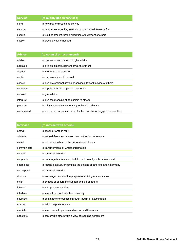| l Service | (to supply goods/services)                                    |
|-----------|---------------------------------------------------------------|
| send      | to forward; to dispatch; to convey                            |
| service   | to perform services for; to repair or provide maintenance for |
| submit    | to yield or present for the discretion or judgment of others  |
| supply    | to provide what is needed                                     |

| <b>Advise</b> | (to counsel or recommend)                                                 |
|---------------|---------------------------------------------------------------------------|
| advise        | to counsel or recommend; to give advice                                   |
| appraise      | to give an expert judgment of worth or merit                              |
| apprise       | to inform: to make aware                                                  |
| confer        | to compare views; to consult                                              |
| consult       | to give professional advise or services; to seek advice of others         |
| contribute    | to supply or furnish a part; to cooperate                                 |
| counsel       | to give advice                                                            |
| interpret     | to give the meaning of; to explain to others                              |
| promote       | to cultivate; to advance to a higher level; to elevate                    |
| recommend     | to advise or counsel a course of action; to offer or suggest for adoption |

| <b>Interface</b> | (to interact with others)                                               |
|------------------|-------------------------------------------------------------------------|
| answer           | to speak or write in reply                                              |
| arbitrate        | to settle differences between two parties in controversy                |
| assist           | to help or aid others in the performance of work                        |
| communicate      | to transmit verbal or written information                               |
| contact          | to communicate with                                                     |
| cooperate        | to work together in unison; to take part; to act jointly or in concert  |
| coordinate       | to regulate, adjust, or combine the actions of others to attain harmony |
| correspond       | to communicate with                                                     |
| discuss          | to exchange views for the purpose of arriving at a conclusion           |
| enlist           | to engage or secure the support and aid of others                       |
| interact         | to act upon one another                                                 |
| interface        | to interact or coordinate harmoniously                                  |
| interview        | to obtain facts or opinions through inquiry or examination              |
| market           | to sell; to expose for sale                                             |
| mediate          | to interpose with parties and reconcile differences                     |
| negotiate        | to confer with others with a view of reaching agreement                 |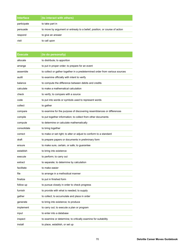| <b>Interface</b> | (to interact with others)                                                  |
|------------------|----------------------------------------------------------------------------|
| participate      | to take part in                                                            |
| persuade         | to move by argument or entreaty to a belief, position, or course of action |
| respond          | to give an answer                                                          |
| visit            | to call upon                                                               |

| Execute     | (to do personally)                                                          |
|-------------|-----------------------------------------------------------------------------|
| allocate    | to distribute; to apportion                                                 |
| arrange     | to put in proper order; to prepare for an event                             |
| assemble    | to collect or gather together in a predetermined order from various sources |
| audit       | to examine officially with intent to verify                                 |
| balance     | to compute the difference between debits and credits                        |
| calculate   | to make a mathematical calculation                                          |
| check       | to verify; to compare with a source                                         |
| code        | to put into words or symbols used to represent words                        |
| collect     | to gather                                                                   |
| compare     | to examine for the purpose of discovering resemblances or differences       |
| compile     | to put together information; to collect from other documents                |
| compute     | to determine or calculate mathematically                                    |
| consolidate | to bring together                                                           |
| correct     | to make or set right; to alter or adjust to conform to a standard           |
| draft       | to prepare papers or documents in preliminary form                          |
| ensure      | to make sure, certain, or safe; to guarantee                                |
| establish   | to bring into existence                                                     |
| execute     | to perform; to carry out                                                    |
| extract     | to separate; to determine by calculation                                    |
| facilitate  | to make easier                                                              |
| file        | to arrange in a methodical manner                                           |
| finalize    | to put in finished form                                                     |
| follow up   | to pursue closely in order to check progress                                |
| furnish     | to provide with what is needed; to supply                                   |
| gather      | to collect; to accumulate and place in order                                |
| generate    | to bring into existence; to produce                                         |
| implement   | to carry out; to execute a plan or program                                  |
| input       | to enter into a database                                                    |
| inspect     | to examine or determine; to critically examine for suitability              |
| install     | to place, establish, or set up                                              |
|             |                                                                             |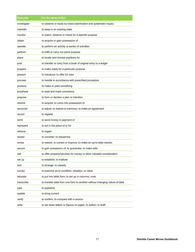| Execute     | (to do personally)                                                        |  |  |
|-------------|---------------------------------------------------------------------------|--|--|
| investigate | to observe or study by close examination and systematic inquiry           |  |  |
| maintain    | to keep in an existing state                                              |  |  |
| monitor     | to watch, observe or check for a specific purpose                         |  |  |
| obtain      | to acquire or gain possession of                                          |  |  |
| operate     | to perform an activity or series of activities                            |  |  |
| perform     | to fulfill or carry out some purpose                                      |  |  |
| place       | to locate and choose positions for                                        |  |  |
| post        | to transfer or carry from a book of original entry to a ledger            |  |  |
| prepare     | to make ready for a particular purpose                                    |  |  |
| present     | to introduce; to offer for view                                           |  |  |
| process     | to handle in accordance with prescribed procedure                         |  |  |
| produce     | to make or yield something                                                |  |  |
| proofread   | to read and mark corrections                                              |  |  |
| propose     | to form or declare a plan or intention                                    |  |  |
| receive     | to acquire; to come into possession of                                    |  |  |
| reconcile   | to adjust; to restore to harmony; to make an agreement                    |  |  |
| record      | to register                                                               |  |  |
| remit       | to send money in payment of                                               |  |  |
| represent   | to act in the place of or for                                             |  |  |
| retrieve    | to regain                                                                 |  |  |
| review      | to consider; to reexamine                                                 |  |  |
| revise      | to rework; to correct or improve; to make an up-to-date version           |  |  |
| secure      | to gain possession of; to guarantee; to make safe                         |  |  |
| sell        | to offer property/services for money or other valuable consideration      |  |  |
| set up      | to establish; to institute                                                |  |  |
| sort        | to arrange; to classify                                                   |  |  |
| survey      | to examine as to condition, situation, or value                           |  |  |
| tabulate    | to put into table form; to set up in columns, rows                        |  |  |
| transcribe  | to transfer data from one form to another without changing nature of data |  |  |
| type        | to typewrite                                                              |  |  |
| update      | to bring current                                                          |  |  |
| verify      | to confirm; to compare with a source                                      |  |  |
| write       | to set down letters or figures on paper; to author; to draft              |  |  |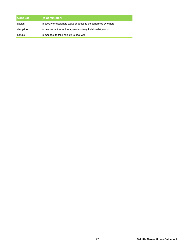| <b>Conduct</b> | (to administer)                                                   |
|----------------|-------------------------------------------------------------------|
| assign         | to specify or designate tasks or duties to be performed by others |
| discipline     | to take corrective action against contrary individuals/groups     |
| handle         | to manage; to take hold of; to deal with                          |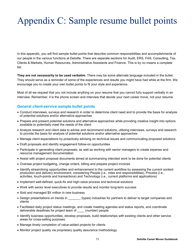# Appendix C: Sample resume bullet points

In this appendix, you will find sample bullet points that describe common responsibilities and accomplishments of our people in the various functions at Deloitte. There are separate sections for Audit, ERS, FAS, Consulting, Tax, Clients & Markets, Human Resources, Administrative Assistants and Finance. This is by no means a complete list.

**They are not necessarily to be used verbatim**. There may be some alternate language included in the bullet. They should serve as a reminder of some of the experiences and results you might have had while at the firm. We encourage you to create your own bullet points to fit your style and experience.

Most of all we request that you not include anything on your resume that you cannot fully support verbally in an interview. Remember, it is the phone screen and interview that decide your next career move, not your resume.

# **General client-service sample bullet points**

- Conduct interviews, surveys and research in order to determine client need and to provide the basis for analysis of potential solutions and/or alternative approaches
- Prepare and present potential solutions and alternative approaches while providing creative insight into options available to potentially meet the needs of the client
- Analyze research and client data to advise and recommend solutions, utilizing interviews, surveys and research to provide the basis for analysis of potential solutions and/or alternative approaches
- Manage client expectations by proactively advising on technical issues and communicating proposed solutions
- Draft proposals and identify engagement follow-on opportunities
- Participate in generating client proposals, as well as working with senior managers to create expense and resource management documentation
- Assist with project proposal documents aimed at summarizing intended work to be done for potential clients
- Oversee project budgeting, change orders, billing and prepare project invoices
- Identify streamlining opportunities and enhancement to the current workflow by assessing the current content production and delivery environment, considering People (i.e., roles and responsibilities), Process (i.e., activities, touch-points and transactions) and Technology (i.e., current platforms and applications)
- Implement well-defined, quick-fix and high-value process and technical solutions
- Work with senior level executives to provide results and monitor long-term success
- Sold and managed \$X million in new business
- Design presentations on trends in **the set in the set of the set of the set of the set of the set of the set of the set of the set of the set of the set of partners in deliver to target companies and** clients
- Facilitated daily project status meetings, and create meeting agendas and status reports, and coordinate deliverable deadlines for project team of \_\_\_\_ (number) people
- Identify business opportunities, develop proposals, build relationships with existing clients and other service areas for cross-selling purposes
- Manage timely completion of value-added projects for clients
- Monitor project quality via proprietary quality assurance methodology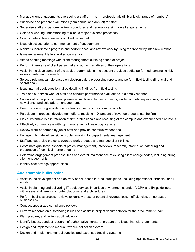- Manage client engagements overseeing a staff of to professionals (fill blank with range of numbers)
- Supervise and prepare evaluations (semiannual and annual) for staff
- Supervise staff and perform review procedures and general oversight on all engagements
- Gained a working understanding of client's major business processes
- Conduct interactive interviews of client personnel
- Issue objectives prior to commencement of engagement
- Monitor subordinate's progress and performance, and review work by using the "review by interview method"
- Issue engagement letters and scope memos
- Attend opening meetings with client management outlining scope of project
- Perform interviews of client personnel and author narratives of their operations
- Assist in the development of the audit program taking into account previous audits performed, continuing risk assessments, and research
- Select a relevant sample based on electronic data processing reports and perform field testing (financial and operational)
- Issue internal audit questionnaires detailing findings from field testing
- Train and supervise work of staff and conduct performance evaluations in a timely manner
- Cross-sold other product lines, presented multiple solutions to clients, wrote competitive proposals, penetrated new clients, and sold add-on engagements
- Demonstrate strong knowledge of client's industry or functional specialty
- Participate in proposal development efforts resulting in X amount of revenue brought into the firm
- Play substantive role in retention of firm professionals and recruiting at the campus and experienced-hire levels
- Effectively communicate with top management of large corporations
- Review work performed by junior staff and provide constructive feedback
- Engage in high-level, sensitive problem-solving for departmental management
- Staff and supervise projects, oversee work product, and manage client billings
- Coordinate qualitative aspects of project management, interviews, research, information gathering and preparation of technical memorandums
- Determine engagement proposal fees and overall maintenance of existing client charge codes, including billing client engagements
- Identify cost-savings opportunities

## **Audit sample bullet point**

- Assist in the development and delivery of risk-based internal audit plans, including operational, financial, and IT audits
- Assist in planning and delivering IT audit services in various environments, under AICPA and IIA guidelines, within several different computer platforms and architectures
- Perform business process reviews to identify areas of potential revenue loss, inefficiencies, or increased business risk
- Conduct specialized compliance reviews
- Perform research on outstanding issues and assist in project documentation for the procurement team
- Plan, prepare, and review audit fieldwork
- Identify issues, conduct research of authoritative literature, prepare and issue financial statements
- Design and implement a manual revenue collection system
- Design and implement manual supplies and expenses tracking systems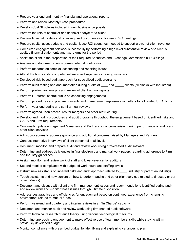- Prepare year-end and monthly financial and operational reports
- Perform and review Monthly Close procedures
- Develop Cost Structures included in new business proposals
- Perform the role of controller and financial analyst for a client
- Prepare financial models and other required documentation for use in VC meetings
- Prepare capital asset budgets and capital lease ROI scenarios, needed to support growth of client revenue
- Completed engagement fieldwork successfully by performing a high-level substantive review of a client's audited financial statements and tax returns for the period
- Assist the client in the preparation of their required Securities and Exchange Commission (SEC)"filings
- Analyze and document client's current internal control risk
- Perform research on complex accounting and reporting issues
- Attend the firm's audit, computer software and supervisory training seminars
- Developed risk-based audit approach for specialized audit programs
- Perform audit testing and documentation during audits of \_\_\_\_\_ and \_\_\_\_\_ clients (fill blanks with industries)
- Perform preliminary analysis and review of client annual reports
- Perform IT internal control audits on consulting engagements
- Perform procedures and prepare consents and management representation letters for all related SEC filings
- Perform year-end audits and semi-annual reviews
- Perform agreed upon procedures for mergers and other restructuring
- Develop and modify procedures and audit programs throughout the engagement based on identified risks and GAAS and Firm requirements
- Continually update engagement Managers and Partners of concerns arising during performance of audits and other client services
- Adjust procedures to address guidance and additional concerns raised by Managers and Partners
- Conduct interactive interviews of client personnel at all levels
- Document, monitor, and prepare audit and review work using firm-created audit software
- Determine and address deficiencies in final electronic and manual work papers regarding adherence to Firm and Industry guidelines
- Assign, monitor, and review work of staff and lower-level senior auditors
- Set and monitor compliance with budgeted work hours and staffing levels
- Instruct new assistants on inherent risks and audit approach related to \_\_\_\_\_ (industry or part of an industry)
- Teach assistants and new seniors on how to perform audits and other client services related to (industry or part of an industry)
- Document and discuss with client and firm management issues and recommendations identified during audit and review work and monitor those issues through ultimate disposition
- Address best practices and efficiencies for engagement based on continued experience from changing environment related to mutual funds
- Perform year-end and quarterly and interim reviews in an "In Charge" capacity
- Document and monitor audit and review work using firm created audit software
- Perform technical research of audit theory using various technological mediums
- Determine approach to engagement to make effective use of team members' skills while staying within previously developed budget
- Monitor compliance with prescribed budget by identifying and explaining variances to plan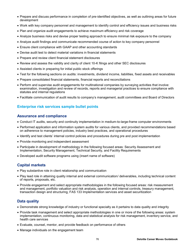- Prepare and discuss performance in completion of pre-identified objectives, as well as outlining areas for future development
- Work with key company personnel and management to identify control and efficiency issues and business risks
- Plan and organize audit engagements to achieve maximum efficiency and risk coverage
- Analyze business risks and devise proper testing approach to ensure minimal risk exposure to the company
- Analyze audit findings and communicate recommended course of action to key company personnel
- Ensure client compliance with GAAP and other accounting standards
- Devise audit test to detect material variations in financial statements
- Prepare and review client financial statement disclosures
- Review and assess the validity and clarity of client 10-K filings and other SEC disclosures
- Assisted clients in preparing for initial public stock offerings
- Test for the following sections on audits: investments, dividend income, liabilities, fixed assets and receivables
- Prepare consolidated financial statements, financial reports and reconciliations
- Perform and supervise audit engagements for multinational companies by surveying activities that involve: examination, investigation and review of records, reports and managerial practices to ensure compliance with statutes and internal regulations
- Facilitate communication of audit results to company's management, audit committees and Board of Directors

# **Enterprise risk services sample bullet points**

## **Assurance and compliance**

- Conduct IT audits, security and continuity implementation in medium-to-large-frame computer environments
- Performed application and information system audits for various clients, and provided recommendations based on adherence to management policies, industry best practices, and operational procedures
- Identify and test clients' internal control policies and procedures during pre and post implementation
- Provide monitoring and independent assessment
- Participate in development of methodology in the following focused areas: Security Assessment and Implementation, Security Management, Technical Security, and Facility Requirements
- Developed audit software programs using (insert name of software)

# **Capital markets**

- Play substantive role in client relationship and communication
- Play lead role in attaining quality internal and external communication/ deliverables, including technical content of reports, proposals, etc.
- Provide engagement and select appropriate methodologies in the following focused areas: risk measurement and management, portfolio valuation and risk analysis, operation and internal controls, treasury management, transaction design and structuring, FAS 133 Implementation services and asset securitization

# **Data quality**

- Demonstrate strong knowledge of industry or functional specialty as it pertains to data quality and integrity
- Provide task management and select appropriate methodologies in one or more of the following areas: system implementation, continuous monitoring, data and statistical analysis for risk management, inventory service, and health care services
- Evaluate, counsel, mentor, and provide feedback on performance of others
- Manage individuals on the engagement team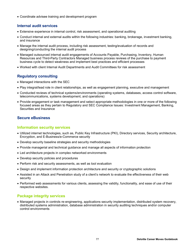Coordinate advisee training and development program

## **Internal audit services**

- Extensive experience in internal control, risk assessment, and operational auditing
- Conduct internal and external audits within the following industries: banking, brokerage, investment banking, and insurance
- Manage the internal audit process, including risk assessment, testing/evaluation of records and designing/conducting the internal audit process
- Managed outsourced internal audit engagements of Accounts Payable, Purchasing, Inventory, Human Resources and Third-Party Contractors Managed business process reviews of the purchase to payment business cycle to detect weakness and implement best practices and efficient processes
- Worked with client Internal Audit Departments and Audit Committees for risk assessment

# **Regulatory consulting**

- Managed interactions with the SEC
- Play integral/lead role in client relationships, as well as engagement planning, executive and management
- Conducted reviews of technical systems/environments (operating systems, databases, access control software, telecommunications, systems development, and operations)
- Provide engagement or task management and select appropriate methodologies in one or more of the following focused areas as they pertain to Regulatory and SEC Compliance Issues: Investment Management, Banking, Securities and Insurance

# **Secure eBusiness**

# **Information security services**

- Utilized internet technologies, such as, Public Key Infrastructure (PKI), Directory services, Security architecture, Encryption, and E-Business/e-Commerce security
- Develop security baseline strategies and security methodologies
- Provide managerial and technical guidance and manage all aspects of information protection
- Led architecture projects in complex networked environments
- Develop security policies and procedures
- Perform risk and security assessments, as well as tool evaluation
- Design and implement information protection architecture and security or cryptographic solutions
- Assisted in an Attack and Penetration study of a client's network to evaluate the effectiveness of their web security
- Performed web assessments for various clients, assessing the validity, functionality, and ease of use of their respective websites.

# **Package integrity services**

 Managed projects in controls re-engineering, applications security implementation, distributed system recovery, distributed systems administration, database administration in security auditing techniques and/or computer control environments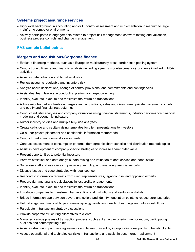## **Systems project assurance services**

- High-level background in accounting and/or IT control assessment and implementation in medium to large mainframe computer environments
- Actively participated in engagements related to project risk management, software testing and validation, business process controls and change management

# **FAS sample bullet points**

## **Mergers and acquisitions/Corporate finance**

- Evaluate financing methods, such as a European multicurrency cross-border cash pooling system
- Conduct due diligence and financial analysis (including synergy models/scenarios) for clients involved in M&A activities
- Assist in data collection and target evaluation
- Review accounts receivable and inventory risk
- Analyze board declarations, change of control provisions, and commitments and contingencies
- Assist deal team leaders in conducting preliminary target collecting
- Identify, evaluate, execute and maximize the return on transactions
- Advise middle-market clients on mergers and acquisitions, sales and divestitures, private placements of debt and equity and financial restructurings
- Conduct industry analyses and company valuations using financial statements, industry performance, financial modeling and economic indicators
- Author industry studies and multiple buy-side analyses
- Create sell-side and capital-raising templates for client presentations to investors
- Co-author private placement and confidential information memoranda
- Conduct market and demand assessments
- Conduct assessment of consumption patterns, demographic characteristics and distribution methodologies
- Assist in development of company-specific strategies to increase shareholder value
- Present opportunities to potential investors
- Perform statistical and data analysis, data mining and valuation of debt service and bond issues
- Supervise staff and associates in preparing, sampling and analyzing financial records
- Discuss issues and case strategies with legal counsel
- Respond to information requests from client representatives, legal counsel and opposing experts
- Prepare damage analysis calculations in lost profits engagements
- Identify, evaluate, execute and maximize the return on transactions
- Introduce companies to investment bankers, financial institutions and venture capitalists
- Bridge information gap between buyers and sellers and identify negotiation points to reduce purchase price
- Help strategic and financial buyers assess synergy validation, quality of earnings and future cash flows
- Participate in transaction strategy discussions
- Provide corporate structuring alternatives to clients
- Managed various phases of transaction process, such as drafting an offering memorandum, participating in auctions and contemplating a bid
- Assist in structuring purchase agreements and letters of intent by incorporating deal points to benefit clients
- Assess operational and technological risks in transactions and assist in post merger realignment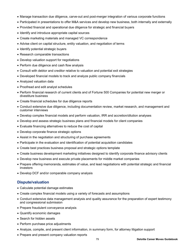- Manage transaction due diligence, carve-out and post-merger integration of various corporate functions
- Participated in presentations to offer M&A services and develop new business, both internally and externally
- Provided financial and operational due diligence for strategic and financial buyers
- Identify and introduce appropriate capital sources
- Create marketing materials and managed VC correspondence
- Advise client on capital structure, entity valuation, and negotiation of terms
- Identify potential strategic buyers
- Research comparable transactions
- Develop valuation support for negotiations
- Perform due diligence and cash flow analysis
- Consult with debtor and creditor relative to valuation and potential exit strategies
- Developed financial models to track and analyze public company financials
- Analyzed valuation data
- Proofread and edit analyst schedules
- Perform financial research of current clients and of Fortune 500 Companies for potential new merger or divestiture business
- Create financial schedules for due diligence reports
- Conduct extensive due diligence, including documentation review, market research, and management and customer interviews
- Develop complex financial models and perform valuation, IRR and accretion/dilution analyses
- Develop and assess strategic business plans and financial models for client companies
- Evaluate financing alternatives to reduce the cost of capital
- Develop corporate finance strategic options
- Assist in the negotiation and structuring of purchase agreements
- Participate in the evaluation and identification of potential acquisition candidates
- Create best practices business proposal and strategic options template
- Create business development marketing initiatives designed to identify corporate finance advisory clients
- Develop new business and execute private placements for middle market companies
- Prepare offering memoranda, estimates of value, and lead negotiations with potential strategic and financial investors
- Develop DCF and/or comparable company analysis

## **Dispute/valuation**

- Calculate potential damage estimates
- Create complex financial models using a variety of forecasts and assumptions
- Conduct extensive data management analysis and quality assurance for the preparation of expert testimony and congressional submission
- Prepare fraudulent conveyance analysis
- Quantify economic damages
- Search for hidden assets
- Perform purchase price adjustments
- Analyze, compile, and present client information, in summary form, for attorney litigation support
- Prepare and present company valuation reports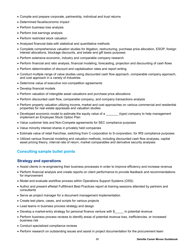- Compile and prepare corporate, partnership, individual and trust returns
- Determined fiscal/economic impact
- Perform business loss analysis
- Perform lost earnings analysis
- Perform restricted stock valuation
- Analyzed financial data with statistical and quantitative methods
- Complete comprehensive valuation studies for litigation, restructuring, purchase price allocation, ESOP, foreign interest allocations, blockage discounts, and estate and gift taxes purposes
- Perform extensive economic, industry and comparable company research
- Perform financial and ratio analysis, financial modeling, forecasting, projection and discounting of cash flows
- Perform determination of discount and capitalization rates and report writing
- Conduct multiple range of value studies using discounted cash flow approach, comparable company approach, and cost approach in a variety of industries
- Determine value of executive non-competition agreements
- Develop financial models
- Perform valuation of intangible asset valuations and purchase price allocations
- Perform discounted cash flow, comparable company, and company transactions analysis
- Perform property valuation utilizing income, market and cost approaches on various commercial and residential properties for real estate appraisals and valuation studies
- Developed economic model to estimate the equity value of a \_\_\_\_\_\_\_ (type) company to help management implement an Employee Stock Option Plan
- Value customer lists and Non-Compete agreements for SEC compliance purposes
- Value minority interest shares in privately held companies
- Estimate value of retail franchise, switching from C-corporation to S-corporation, for IRS compliance purposes
- Utilized various financial modeling and valuation methods, including discounted cash flow analyses, capital asset pricing theory, internal rate of return, market comparables and derivative security analyses

# **Consulting sample bullet points**

## **Strategy and operations**

- Assist clients in re-engineering their business processes in order to improve efficiency and increase revenue
- Perform financial analysis and create reports on client performance to provide feedback and recommendations for improvement
- Model and evaluate workflow process within Operations Support Systems (OSS)
- Author and present eRetail Fulfillment Best Practices report at training sessions attended by partners and consultants
- Serve as project manager for a document management implementation
- Create test plans, cases, and scripts for various projects
- Lead teams in business process strategy and design
- Develop a market-entry strategy for personal finance venture with \$\_\_\_\_\_ in potential revenue
- Perform business process reviews to identify areas of potential revenue loss, inefficiencies, or increased business risk
- Conduct specialized compliance reviews
- Perform research on outstanding issues and assist in project documentation for the procurement team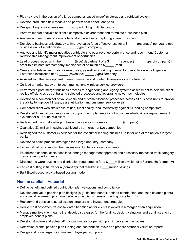- Play key role in the design of a large computer-based microfilm storage and retrieval system
- Develop production flow models and perform cost-benefit analyses
- Design billing requirements matrix to support billing multiple payors
- Perform market analysis of client's competitive environment and formulate a business plan
- Analyze and recommend various tactical approaches to capturing share for a client
- Develop a business unit strategy to improve sales force effectiveness for a \$\_\_\_\_\_ (revenues) per year global business unit of a nationwide \_\_\_\_\_\_\_\_ (type of company)
- Analyze and identify major negative contributors to poor revenue performance and recommend Customer Relationship Management improvement opportunities
- Lead process redesign in the \_\_\_\_\_\_\_\_\_\_ (type) department of a \$\_\_\_\_\_\_ (revenues) \_\_\_\_\_\_ (type of company) in order to eliminate intercompany imbalances of as much as \$ (result)
- Create a high-level summary for executives, as well as a training manual for users, following a Hyperion Enterprise installation at a \$ (revenues) (type) company
- Assisted with the development of new commerce and content businesses via the Internet
- Co-lead a market study on telecommunications wireless service providers
- Performed a post-merger business process re-engineering and legacy systems assessment to help the client realize efficiencies by centralizing selected processes and leveraging newer technologies
- Developed a common set of value-chain and customer-focused processes across all business units to provide the ability to improve fill rates, asset utilization and customer service levels
- Compared client web site's ease of use, functionality, and interactivity against its leading competitors
- Developed financial business case to support the implementation of a business-to-business e-procurement systems for a Fortune 500 client
- Redesigned the small dollar purchasing processes for a major (company)
- Quantified \$X million in savings achieved by a merger of two companies
- Redesigned the customer experience for the consumer lending business units for one of the nation's largest banks
- Developed sales process strategies for a large (industry) company
- Led modification of supply chain assessment initiative for a (company).
- Established channel costs baselines, change management approach and necessary metrics to track category management performance
- Directed the warehousing and distribution requirements for a \$ \_\_\_\_million division of a Fortune 50 (company)
- Led cost cutting initiative for a (company) that resulted in \$ \_\_\_\_million savings
- Built Excel-based activity-based costing model

## **Human capital – Actuarial**

- Define benefit and defined contribution plan valuations and compliance
- Develop and value pension plan designs (e.g., defined benefit, defined contribution, and cash balance plans) and special retirement programs reducing the clients' pension funding costs by %
- Recommend pension asset allocation structure and investment strategies
- Derive most cost-effective consolidated benefit plan for clients involved in a merger or an acquisition
- Manage multiple client teams that develop strategies for the funding, design, valuation, and administration of employee benefit plans
- Develop structure and actuarial/financial models for pension plan improvement initiatives
- Determine clients' pension plan funding and contribution levels and prepare actuarial valuation reports
- Design and price large union multi-employer pension plans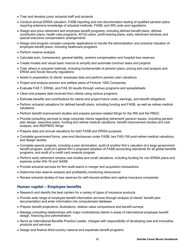- Train and develop junior actuarial staff and students
- Conduct annual ERISA valuation, FASB reporting and non-discrimination testing of qualified pension plans requiring extensive knowledge of actuarial methods, FASB, and IRS code and regulations
- Design and price retirement and employee benefit programs, including defined benefit plans, defined contribution plans, health care programs, 401(k) plans, profit-sharing plans, early retirement windows and special executive compensation arrangements
- Design and program complex computer applications to handle the administration and actuarial valuation of employee benefit plans, including healthcare programs
- Perform reserve analysis
- Calculate auto, homeowners, general liability, workers compensation and hospital loss reserves
- Create models and visual basic macros to simplify and automate common tasks and projects
- Train others in actuarial methods, including fundamentals of pension plans, pricing and cost analysis and ERISA and Social Security regulations
- Assist in preparation of clients' employee data and perform pension plan valuations
- Project and analyze pension and welfare plans of Fortune 1000 Companies
- Evaluate FAS 7, ERISA, and FAS 35 results through various programs and spreadsheets
- Clean and prepare data received from clients using various programs
- Estimate benefits and contributions for clients and project future costs, earnings, and benefit obligations
- Perform actuarial valuations for defined benefit plans, including funding and FASB, as well as retiree medical valuations
- Perform benefit improvement studies and prepare pension-related filings for the IRS and the PBGC
- Provide consulting services to large corporate clients regarding retirement/ pension issues, including pension plan design, executive plans, funding and retiree medical valuations, benefit improvement studies and cost analysis, and IRS/PBGC filings
- Prepare data and annual valuations for both FASB and ERISA purposes
- Complete government forms, year-end disclosures under FASB, two FAS-106 post-retiree medical valuations, and design studies
- Complete special projects, including a plan termination, audit of another firm's valuation of a large government benefit program, audit of a global firm's proposed adoption of FASB accounting standards for all global benefits programs, and audit of a credit card rewards program
- Perform early retirement window cost studies and small valuations, including funding for non-ERISA plans and expense under IAS-19 and GASB
- Provide actuarial services for firm audit teams in merger and acquisition transactions
- Determine loss reserve analysis and profitability monitoring reinsurance
- Review actuarial studies of loss reserves for self-insured entities and captive insurance companies

# **Human capital – Employee benefits**

- Research and identify the best carriers for a variety of types of insurance products
- Provide wide range of employee benefit information services through analysis of clients' benefit plan documentation and enter information into computerized database
- Prepare benefit projections, illustrations, relative value comparisons and benefit surveys
- Manage consulting relationships with major multinational clients in areas of international employee benefit design, financing and administration
- Serve as International Benefits Practice Leader, charged with responsibility of developing new and innovative products and services
- Design and finance third-country national and expatriate benefit programs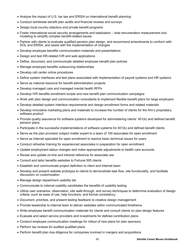- Analyze the impact of U.S. tax law and ERISA on international benefit planning
- Conduct worldwide benefit plan audits and financial reviews and surveys
- Design local country statutory and private benefit programs
- Foster international social security arrangements and totalization total remuneration measurement and modeling to simplify complex benefit-related issues
- Partner with clients to evaluate qualified pension plan design, and recommend amendments to conform with DOL and ERISA, and assist with the implementation of changes
- Develop employee benefits communication materials and presentations
- Design and test HR-related IVR and web applications
- Define, document, and communicate detailed employee benefit plan policies
- Manage employee benefits outsourcing relationships
- Develop call center online procedures
- Define system interfaces and test plans associated with implementation of payroll systems and HR systems
- Serve as national resource for benefit administration projects
- Develop managed care and managed mental health RFPs
- Develop IVR benefits enrollment scripts and new benefit plan communication campaigns
- Work with plan design and communication consultants to implement flexible benefit plans for large employers
- Develop detailed system interface requirements and design enrollment forms and related materials
- Develop innovative marketing plans and materials to increase the number of clients for the firm's proprietary software product
- Provide quality assurance for software systems developed for administering clients' 401(k) and defined benefit pension plans
- Participate in the successful implementations of software systems for 401(k) and defined benefit clients
- Serve as the plan provision subject matter expert to a team of 100 associates for open enrollment
- Serve as Internet specialist for open enrollment to resolve basic technical issues for users
- Conduct refresher training for experienced associates in preparation for open enrollment
- Update employment status changes and make appropriate adjustments to health care accounts
- Revise and update on-line and intranet reference for associate use
- Consult and tailor benefits websites to Fortune 500 clients
- Establish and communicate project definition to client and Internet team
- Develop and present website prototype to clients to demonstrate task flow, site functionality, and facilitate discussion on customization
- Manage design department usability lab
- Communicate to internal usability candidates the benefits of usability testing
- Utilize user scenarios, observation, site walk-through, and survey techniques to determine evaluation of design criteria, such as ease of use, help functions, and format consistency
- Document, prioritize, and present testing feedback to creative design management
- Provide leadership to internal team to deliver websites within communicated timeframe
- Write employee benefit communication materials for clients and consult clients on plan design features
- Evaluate and select service providers and investments for defined contribution plans
- Conduct employee communication meetings for rollout of new plans for plan sponsors
- Perform tax reviews for audited qualified plans
- Perform benefit plan due diligence for companies involved in mergers and acquisitions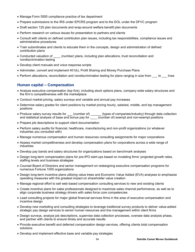- Manage Form 5500 compliance practice of tax department
- Prepare submissions to the IRS under EPCRS program and to the DOL under the DFVC program
- Draft section 125 plan documents and wrap-around welfare benefit plan documents
- Perform research on various issues for presentation to partners and clients
- Consult with clients on defined contribution plan issues, including tax responsibilities, compliance issues and administrative procedures
- Train subordinates and clients to educate them in the concepts, design and administration of defined contribution plans
- Conducted valuation of \_\_\_\_\_ (number) plans, including plan allocations, trust reconciliation and nondiscrimination testing
- Develop client manuals and voice response scripts
- Administer, convert and implement 401(k), Profit Sharing and Money Purchase Plans
- Perform allocations, reconciliation and nondiscrimination testing for plans ranging in size from to lives

## **Human capital – Compensation**

- Analyze executive compensation (top five), including stock options plans, company-wide salary structures and the firm's competitiveness with the marketplace
- Conduct market pricing, salary surveys and variable and annual pay increases
- Determine salary grades for client positions by market pricing hourly, salaried, middle, and top management positions
- Produce salary survey results for \_\_\_\_ (number of) \_\_\_\_\_\_\_ (types of companies/industry) through data collection and statistical analysis of base and bonus pay for  $\overline{a}$  (number of) exempt and non-exempt positions
- Prepare job descriptions to support client documentation
- Perform salary audits for financial, healthcare, manufacturing and non-profit organizations (or whatever industries you consulted with)
- Manage numerous compensation and human resources consulting assignments for major corporations
- Assess market competitiveness and develop compensation plans for corporations across a wide range of industries
- Develop pay bands and salary structures for organizations based on benchmark analyses
- Design long-term compensation plans for pre-IPO start-ups based on modeling firms' projected growth rates, staffing levels and business strategies
- Counsel Board of Directors and senior management on redesigning executive compensation programs for numerous Fortune 1000 organizations
- Design long-term incentive plans utilizing value trees and Economic Value Added (EVA) analyses to emphasize operating measures with the greatest impact on shareholder value creation
- Manage regional effort to sell web-based compensation consulting services to new and existing clients
- Create incentive plans for sales professionals designed to maximize sales channel performance, as well as to align corporate business strategy drivers with sales force core competencies
- Lead consulting projects for major global financial services firms in the area of executive compensation and incentive design
- Develop new marketing and consulting strategies to leverage traditional survey products to deliver value-added strategic pay design services to senior human resources and line management within client firms
- Design surveys, analyze job descriptions, supervise data collection processes, oversee data analysis phase, and partner with clients to ensure timely and accurate results
- Provide executive benefit and deferred compensation design services, offering clients total compensation solutions
- Develop and implement effective base and variable pay strategies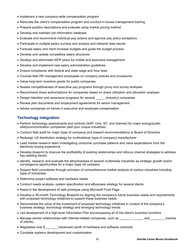- Implement a new company-wide compensation program
- Renovate the client's compensation program and conduct in-house management training
- Prepare position descriptions and evaluate using market pricing method
- Develop and maintain job information database
- Evaluate and recommend individual pay actions and approve pay policy exceptions
- Participate in multiple salary surveys and analyze and interpret data results
- Forecast salary and merit increase budgets and guide the budget process
- Develop and update competitive salary structures
- Develop and administer KEIP plans for middle and executive management
- Develop and implement new salary administration guidelines
- Ensure compliance with federal and state wage and hour laws
- Counsel field HR management employees on company policies and procedures
- Value long-term incentive grants for public companies
- Assess competitiveness of executive pay programs through proxy and survey analyses
- Recommend share authorizations for companies based on share utilization and allocation analyses
- Design retention and severance programs for several \_\_\_\_\_\_ (industry) companies
- Review plan documents and employment agreements for senior management
- Advise companies on trends in executive and employee compensation

# **Technology integration**

- Perform technology assessments and controls (SAP, Unix, NT, and Internet) for major energy/public utility/communication companies (add your unique industries)
- Conduct field audit for major (type of company) and present recommendations to Board of Directors
- Redesign US distribution strategy for multinational (type of company) manufacturer
- Lead market research team investigating consumer purchase patterns and value expectations from the electronic buying experience
- Develop blueprint to improve the profitability of existing relationships and refocus channel strategies to address key retailing trends
- Identify, research and evaluate the attractiveness of several multimedia industries as strategic growth and/or convergence opportunities for a major (type of) company
- Support field consultants through provision of comprehensive market analysis of various industries including (type of industries)
- Determine project software and hardware needs
- Conduct needs analysis, system specification and eBusiness strategy for several clients
- Assist in the development of web prototype using Microsoft Front Page
- Develop a 36-month Technology Blueprint by aligning the company's future business needs and requirements with proposed technology initiatives to support these business needs
- Demonstrate the value of the investment of proposed technology initiatives in context of the company's business strategy, technology strategy and emerging technology trends
- Led development of a high-level Information Plan encompassing all of the client's business functions
- Manage vendor relationships with internet-related companies, such as \_\_\_\_\_, \_\_\_\_\_, and \_\_\_\_\_\_\_ (names of clients)
- Negotiated over \$\_\_\_\_\_\_\_ (revenues) worth of hardware and software contracts
- Complete systems development and customization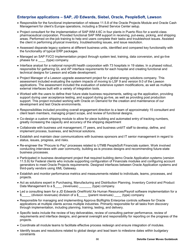# **Enterprise applications – SAP, JD Edwards, Siebel, Oracle, PeopleSoft, Lawson**

- Responsible for the functional implementation of release 11.5.8 of the Oracle Projects Module and Oracle Cash Management for client's Europe operations, including a Shared Service Center setup.
- Project consultant for the implementation of SAP WM 4.6C in four plants in Puerto Rico for a world-class pharmaceutical corporation. Provided functional SAP WM support in receiving, put-away, picking, and shipping areas. Performed on-the-job training to help end users complete their tasks and troubleshoot issues. Assisted the client in performing physical inventory, troubleshooting issues, and issue resolution.
- Assessed disparate legacy systems at different business units, identified and compared key functionality with the functionality of typical ERP packages.
- Managed an SAP FI/CO implementation project through system test, training, data conversion, and go-live phases for a (type) company.
- Interface analyst for a national nonprofit health corporation with 73 hospitals in 19 states. In a phased rollout, responsible for gathering GL and AP interface requirements for each hospital and creating functional and technical designs for Lawson and eGate development.
- Project Manager of a Lawson upgrade assessment project for a global energy solutions company. This assessment included evaluating the system impacts of moving to LSF 9 and version 9.0 of the Lawson applications. The assessment included the evaluation of extensive system modifications, as well as multiple external interfaces built with a variety of integration tools.
- Worked with the users to define their future state business requirements, setting up the application, providing support during user acceptance testing, and support during go-live, as well as providing post production support. This project included working with Oracle on Demand for the creation and maintenance of our development and test Oracle environments.
- Responsibilities included providing overall engagement direction to a team of approximately 15 consultant and client team members, managing project scope, and review of functional designs.
- Co-design a custom shipping module to allow for piece building and automated entry of tracking numbers, greatly increasing the capacity and accuracy of the shipping department
- Collaborate with business unit management, IT peers, and business unit/IT staff to develop, define, and implement process, business, and technical solutions.
- Establish and maintain clear communications with business sponsors and IT senior management in regard to status, issues, progress, and risks.
- Re-engineer the "Procure to Pay" processes related to UTMB PeopleSoft Financials system. Work involved conducting interviews with user community, building as-is process designs and recommending future-state business processes.
- Participated in business development project that required building demo Oracle Application systems (version 11.5.9) for Federal clients who include supporting configuration of Financials modules and configuring account generators to meet Oracle Projects requirements. Designed interfaces between Oracle Application systems and third-party vendors using XML Gateway.
- Establish and monitor performance metrics and measurements related to individuals, teams, processes, and projects.
- Act as solutions expert in Purchasing, Manufacturing and Distribution Planning, Inventory Control and Product Data Management to a \$\_\_\_\_ (revenues) \_\_\_\_\_\_ (type) company.
- Led a consulting team for a JD Edwards OneWorld Xe Human Resources/Payroll software implementation for a \$\_\_\_\_\_ (division revenues) division of a \$\_\_\_\_\_ (parent revenues) \_\_\_\_ (type) company
- Responsible for managing and implementing Approva BizRights Enterprise controls software for Oracle applications at multiple clients across multiple industries. Primarily responsible for all tasks from discovery through implementation, including planning, training, testing, and delivery.
- Specific tasks include the review of key deliverables, review of consulting partner performance, review of requirements and interface designs, and general oversight and responsibility for reporting on the progress of the projects.
- Coordinate all module teams to facilitate effective process redesign and ensure integration of modules.
- Identify issues and resolutions related to global design and lead team to milestone dates within budgetary constraints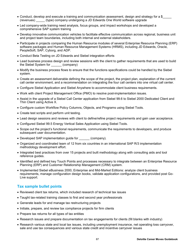- Conduct, develop and execute a training and communication assessment, design and strategy for a \$\_\_\_\_\_ (revenues) \_\_\_\_\_ (type) company undergoing a JD Edwards One World software upgrade
- Led company-wide training need analysis, focus groups, and impact workshops and developed a comprehensive SAP system training
- Develop innovative communication vehicles to facilitate effective communication across regional, business unit and project team boundaries, including both internal and external stakeholders.
- Participate in projects comparing the Human Resource modules of several Enterprise Resource Planning (ERP) software packages and Human Resource Management Systems (HRMS), including JD Edwards, Oracle, PeopleSoft, SAP, Cyborg, and ADP.
- Conduct Beta Testing on JD Edwards and Siebel integration efforts
- Lead business process design and review sessions with the client to gather requirements that are used to build the Siebel System for \_\_\_\_\_\_ (company)
- Modify the business process flows to ensure that the functions specifications could be handled by the Siebel system.
- Create an assessment deliverable defining the scope of the project, the project plan, explanation of the current call center environment, and a recommendation on integrating the four call centers into one virtual call center.
- Configure Siebel Application and Siebel Anywhere to accommodate client business requirements.
- Work with client Project Management Office (PMO) to resolve post-implementation issues.
- Assist in the upgrade of a Siebel Call Center application from Siebel 99.6 to Siebel 2000 Dedicated Client and Thin Client using Active X.
- Configure custom Workflow Policy Columns, Objects, and Programs using Siebel Tools.
- Create test scripts and perform unit testing.
- Lead design sessions and reviews with client to define/refine project requirements and gain user acceptance.
- Configured Siebel 99.5 Energy Vertical Sales Application using Siebel Tools.
- Scope out the project's functional requirements, communicate the requirements to developers, and produce subsequent user documentation.
- Developed SAP implementation guide for \_\_\_\_\_\_ (company).
- Organized and coordinated team of 12 from six countries in an international SAP R/3 implementation methodology development effort.
- Integrated best practices from over 15 projects and built methodology along with consulting aids and tool reference guides.
- Identified and defined key Touch Points and processes necessary to integrate between an Enterprise Resource Planning (ERP) and Customer Relationship Management (CRM) system.
- Implemented Siebel eBusiness 2000, Enterprise and Mid-Market Editions: analyze client business requirements, manage configuration design books, validate application configurations, and provided post Go-Live support.

## **Tax sample bullet points**

- Reviewed client tax returns, which included research of technical tax issues
- Taught tax-related training classes to first and second year professionals
- Generate leads for and manage tax restructuring projects
- Initiate, prepare, and review tax compliance projects for firm clients
- Prepare tax returns for all types of tax entities
- Research issues and prepare documentation on tax engagements for clients (fill blanks with industry)
- Research various state and local tax issues, including unemployment insurance, net operating loss carryover, sale and use tax consequences and various state credit and incentive carryover issues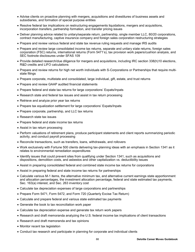- Advise clients on proactive planning with mergers, acquisitions and divestitures of business assets and subsidiaries, and formation of special purpose entities
- Resolve federal tax implications on restructuring engagements liquidations, mergers and acquisitions, incorporation transfers, partnership formation, and transfer pricing issues
- Deliver planning advice related to unitary/separate return, partnership, single member LLC, 80/20 corporations, contract manufacturing, captive insurance company and foreign sales corporation restructuring strategies
- Prepare and review various federal and state tax revenue ruling requests and manage IRS audits
- Prepare and review large consolidated income tax returns, separate and unitary state returns, foreign sales corporation (FSC) returns, international returns (Form 5471's), tax provision work papers/cushion analysis, and SEC footnote disclosures under SFAS 109
- Provide detailed research/due diligence for mergers and acquisitions, including IRC section 338(h)10 elections, R&D credits and LIFO calculations
- Prepare and review returns for high net worth individuals with S-Corporations or Partnerships that require multistate filings
- Prepare corporate, multistate and consolidated, large individual, gift, estate, and trust returns
- Prepare and review GAAP audited financial statements
- Prepare federal and state tax returns for large corporations' Expats/Inpats
- Research state and federal tax issues and assist in tax return processing
- Retrieve and analyze prior year tax returns
- Prepare tax equalization settlement for large corporations' Expats/Inpats
- Prepare corporate, partnership, and LLC tax returns
- Research state tax issues
- Prepare federal and state income tax returns
- Assist in tax return processing
- Perform valuations of retirement plans, produce participant statements and client reports summarizing periodic activity, and conduct payroll processing
- Reconcile transactions, such as transfers, loans, withdrawals, and rollovers
- Work exclusively with Fortune 500 clients delivering tax-planning ideas with an emphasis in Section 1341 as it relates to environmental remediation expenditures
- Identify issues that could prevent sites from qualifying under Section 1341, such as acquisitions and dispositions, demolition costs, and asbestos and other capitalization vs. deductibility issues
- Assist in preparing consolidated federal and combined state income tax returns for corporations
- Assist in preparing federal and state income tax returns for partnerships
- Calculate various M-1 items, the alternative minimum tax, and alternative current earnings state apportionment and allocation percentages, the investment allocation percentage, federal and state estimated tax payments, Sec. 163(a) interest, and Sec. 263 inventory cost
- Calculate tax depreciation expenses of large corporations and partnerships
- Prepare Form 5471, Form 5472, and Form 720 (Quarterly Excise Tax Return)
- Calculate and prepare federal and various state estimated tax payments
- Generate the book to tax reconciliation work paper
- Calculate tax depreciation expense and generate tax return work papers
- Research and draft memoranda analyzing the U.S. federal income tax implications of client transactions
- Research and draft memoranda and tax opinions
- Monitor recent tax legislation
- Conduct tax research and participate in planning for corporate and individual clients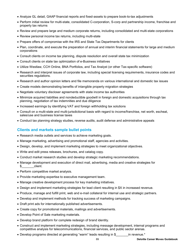- Analyze GL detail, GAAP financial reports and fixed-assets to prepare book-to-tax adjustments
- Perform initial review for multi-state, consolidated C-corporation, S-corp and partnership income, franchise and property tax returns
- Review and prepare large and medium corporate returns, including consolidated and multi-state corporations
- Review personal income tax returns, including multi-state
- Prepare offers of compromise with the IRS and State Tax Departments for clients
- Plan, coordinate, and execute the preparation of annual and interim financial statements for large and medium corporations
- Consult clients on income tax planning, dispute resolution and overall state tax minimization
- Consult clients on state tax optimization of e-Business initiatives
- Utilize Westlaw, CCH Online, BNA Portfolios, and Tax Analyst (or other Tax-specific software)
- Research and interpret issues of corporate law, including special licensing requirements, insurance codes and securities regulations.
- Research and author opinion letters and file memoranda on various international and domestic tax issues
- Create models demonstrating benefits of intangible property migration strategies
- Negotiate voluntary discloser agreements with state income tax authorities
- Minimize acquired liabilities and nondeductible goodwill in foreign and domestic acquisitions through tax planning, negotiation of tax indemnities and due diligence
- Increased earnings by identifying VAT and foreign withholding tax solutions
- Consult on a multi-state and multi-jurisdictional basis with regard to income/franchise, net worth, escheat, sales/use and business license taxes
- Conduct tax planning strategy studies, reverse audits, audit defense and administrative appeals

# **Clients and markets sample bullet points**

- Research media outlets and services to achieve marketing goals.
- Manage marketing, advertising and promotional staff, agencies and activities.
- Design, develop, and implement marketing strategies to meet organizational objectives.
- Write and edit press releases, brochures, and catalog copy.
- Conduct market research studies and develop strategic marketing recommendations.
- Manage development and execution of direct mail, advertising, media and creative strategies for \$ client.
- Perform competitive market analysis.
- Provide marketing expertise to executive management team.
- Manage creative development process for key marketing initiatives.
- Design and implement marketing strategies for lead client resulting in \$X in increased revenue.
- Produce, manage and fulfill print, web and e-mail collateral for internal use and strategic partners.
- Develop and implement methods for tracking success of marketing campaigns.
- Draft print ads for internationally published advertisements.
- Create copy for promotional materials, mailings and advertisements.
- Develop Point of Sale marketing materials.
- Develop brand platform for complete redesign of brand identity.
- Construct and implement marketing strategies, including message development, internal programs and competitive analysis for telecommunications, financial services, and public sector arenas.
- Develop programs directed at generating "warm" leads resulting in \$ \_\_\_\_\_\_\_\_\_\_ in revenue.\*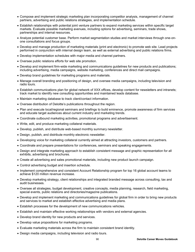- Compose and implement strategic marketing plan incorporating competitor analysis, management of channel partners, advertising and public relations strategies, and implementation schedule.
- Establish relationships with potential joint venture partners to expand marketing services within specific target markets. Evaluate possible marketing avenues, including options for advertising, seminars, trade shows, partnerships and internal resources.
- Analyze potential customer base. Perform market segmentation studies and market interviews through one-onone consultations and focus groups.
- Develop and manage production of marketing materials (print and electronic) to promote web site. Lead projects performed in conjunction with internal design team, as well as external advertising and public relations firms.
- Develop implementation schedules with major media and channel partners.
- Oversee public relations efforts for web site promotion.
- Develop and implement firm-wide marketing and communications guidelines for new products and publications; including advertising, media campaigns, website marketing, conferences and direct mail campaigns.
- Develop brand guidelines for marketing programs and materials.
- Manage overall branding and positioning of design, and oversee media campaigns, including television and radio tours.
- Establish communications plan for global network of XXX offices, develop content for newsletters and intranets; track market to identify new consulting opportunities and maintained leads database.
- Maintain marketing database to track client/contact information.
- Oversee distribution of Deloitte's publications throughout the region.
- Plan and execute local/regional seminars and briefings to build eminence, promote awareness of firm services and educate target audiences about current industry and marketing trends.
- Coordinate outbound marketing activities, promotional programs and advertisement.
- Write, edit, and produce marketing collateral materials.
- Develop, publish, and distribute web-based monthly summary newsletter.
- Design, publish, and distribute monthly electronic newsletter.
- Developing voice for marketing collateral currently aimed at attracting investors, customers and partners.
- Coordinate and prepare presentations for conferences, seminars and speaking engagements.
- Design and integrate marketing approach to establish consistent message and graphic representation for all exhibits, advertising and brochures.
- Create all advertising and sales promotional materials, including new product launch campaign.
- Control advertising budget and insertion schedule.
- Implement comprehensive and consistent Account Relationship program for top 16 global account teams to achieve \$120 million revenue increase.
- Develop marketing strategy, client relationships and integrated branded message across consulting, tax and audit businesses.
- Oversee all strategies, budget development, creative concepts, media planning, research, field marketing, special events, public relations and directories/magazine publications.
- Develop and implement marketing and communications guidelines for global firm in order to bring new products and services to market and establish effective advertising and media plans.
- Establish processes for the development of new communications vehicles.
- Establish and maintain effective working relationships with vendors and external agencies.
- Develop brand identity for new products and services.
- Develop value propositions for marketing programs.
- Evaluate marketing materials across the firm to maintain consistent brand identity.
- Design media campaigns, including television and radio tours.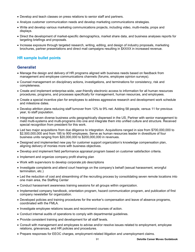- Develop and teach classes on press relations to senior staff and partners.
- Analyze customer communication needs and develop marketing communications strategies.
- Write and develop various marketing communications projects, including video, multi-media, props and displays.
- Direct the development of market-specific demographics, market share data, and business analyses reports for targeting briefings and proposals.
- Increase exposure through targeted research, writing, editing, and design of industry proposals, marketing brochures, partner presentations and direct mail campaigns resulting in \$XXXX in increased revenue.

# **HR sample bullet points**

## **Generalist**

- Manage the design and delivery of HR programs aligned with business needs based on feedback from management and employee communications channels (forums, employee opinion surveys).
- Counsel management on disciplinary actions, investigations, and terminations for consistency, risk and completeness.
- Create and implement enterprise-wide, user-friendly electronic access to information for all human resources procedures, programs, and processes specifically for management, human resources, and employees.
- Create a special incentive plan for employees to address aggressive research and development work schedule and milestone dates.
- Develop attrition plans reducing staff turnover from 12% to 9% net. Adding 58 people, versus 11 for previous year, to staff population.
- Integrated seven diverse business units geographically dispersed in the US. Partner with senior management to meld multi-systems and multi-programs into one and integrate them into unified culture and structure. Received special recognition from president for this work.
- Led two major acquisitions from due diligence to integration. Acquisitions ranged in size from \$700,000,000 to \$2,500,000,000 and from 185 to 900 employees. Serve as human resources leader in divestiture of four business units ranging from \$20,000,000 to \$200,000,000 in revenues.
- Designed and implemented new pay for customer support organization's knowledge compensation plan, aligning delivery of monies more with business objectives.
- Develop and implement field performance appraisal program based on customer satisfaction criteria.
- Implement and organize company profit sharing plan
- Work with supervisors to develop corporate job descriptions
- Investigate complaints and attend court hearings on the company's behalf (sexual harassment, wrongful termination, etc.)
- Led the reduction of cost and streamlining of the recruiting process by consolidating seven remote locations into one main area, the Staffing Center
- Conduct harassment awareness training sessions for all groups within organization.
- Implemented company handbook, orientation program, hazard communication program, and publication of first company newsletter for organization.
- Developed policies and training procedures for the worker's compensation and leave of absence programs, coordinated with the FMLA.
- Investigate employee relations issues and recommend courses of action.
- Conduct internal audits of operations to comply with departmental guidelines.
- Provide consistent training and development for all staff levels.
- Consult with management and employees to advise and/or resolve issues related to employment, employee relations, grievances, and HR policies and procedures.
- Prepare responses for EEOC charges, employment-related litigation and unemployment claims.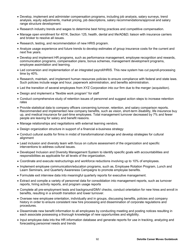- Develop, implement and administer compensation programs, including job analysis, salary surveys, trend analysis, equity adjustments, market pricing, job descriptions, salary recommendations/approval and salary range structure development.
- Research industry trends and wages to determine best hiring practices and competitive compensation.
- Manage open enrollment for 401K, Section 125, health, dental and life/AD&D; liaison with insurance carriers and broker to resolve all issues.
- Research, testing, and recommendation of new HRIS program.
- Analyze usage experience and future trends to develop estimates of group insurance costs for the current and next five years.
- Develop and implement HR programs, such as performance management, employee recognition and rewards, communication programs, compensation plans, bonus schemes, management development programs, employee assimilation and learning.
- Led conversion and implementation of an integrated payroll/HRIS. This new system has cut payroll-processing time by 40%.
- Research, maintain, and implement human resources policies to ensure compliance with federal and state laws. Such policies include wage and hour, paperwork administration, and benefits administration.
- Led the transition of several employees from XYZ Corporation into our firm due to the merger (acquisition).
- Design and implement a "flexible work program" for staff
- Conduct comprehensive study of retention issues of personnel and suggest action steps to increase retention rates
- Provide statistical data to company officers concerning turnover, retention, and salary comparison reports. Recommended and implemented new company benefits, such as vision, short-term disability, life insurance buy up, and medical insurance for part-time employees. Total management turnover decreased by 7% and fewer people are leaving for salary and benefit reasons.
- Manage relationships and negotiations with external learning vendors.
- Design organization structure in support of a financial e-business strategy
- Conduct cultural audits for firms in midst of transformational change and develop strategies for cultural alignment
- Lead inclusion and diversity team with focus on culture assessment of the organization and specific interventions to address cultural issues.
- Developed Inclusion and Diversity Management System to identify specific goals with accountabilities and responsibilities as applicable for all levels of the organization.
- Coordinate and execute restructurings and workforce reductions involving up to 10% of employees.
- Implement employee communication/education programs, such as, Employee Rotation Program, Lunch and Learn Seminars, and Quarterly Awareness Campaigns to promote employee benefits.
- Formulate exit interview data into meaningful quarterly reports for executive management.
- Extract and compile a variety of personnel data for consolidation into management reports, such as turnover reports, hiring activity reports, and program usage reports
- Complete all pre-employment tests and background/DMV checks, conduct orientation for new hires and enroll in benefits, resulting in a smooth transition and lower turnover.
- Oversee new employee orientation, individually and in groups, discussing benefits, policies and company history in order to ensure consistent new hire processing and dissemination of corporate regulations and procedures.
- Disseminate new benefit information to all employees by conducting meeting and posting notices resulting in each associate possessing a thorough knowledge of new opportunities and eligibility.
- Input employee data into the HR information database and generate reports for use in tracking, analyzing and forecasting personnel needs and trends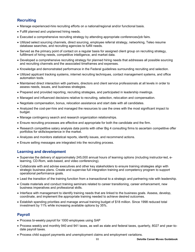# **Recruiting**

- Manage experienced-hire recruiting efforts on a national/regional and/or functional basis.
- Fulfill planned and unplanned hiring needs.
- Executed a comprehensive recruiting strategy by attending appropriate conferences/job fairs.
- Utilized select sourcing channels, direct sourcing, employee referral strategy, networking, Teleo resume database searches, and recruiting agencies to fulfill needs.
- Served as the primary point of contact on a regular basis for assigned client group on recruiting strategy, fulfillment of hiring needs, competitive intelligence, and market data.
- Developed a comprehensive recruiting strategy for planned hiring needs that addresses all possible sourcing and recruiting channels and the associated timeframes and expenses.
- Knowledge and demonstrated performance in the Federal guidelines surrounding recruiting and selection.
- Utilized applicant tracking systems, internet recruiting techniques, contact management systems, and office automation tools.
- Maintained direct interaction with partners, directors and client service professionals at all levels in order to assess needs, issues, and business strategies.
- Prepared and provided reporting, recruiting strategies, and participated in leadership meetings.
- Managed and influenced decisions relative to recruiting, selection, relocation and compensation.
- Negotiate compensation, bonus, relocation assistance and start date with all candidates.
- Analyzed the cost-per-hire and managed the resources to use the ones with the most significant impact to budget.
- Manage contingency search and research organization relationships.
- Ensure recruiting processes are effective and appropriate for both the candidate and the firm.
- Research competitive salary analysis data points with other Big 4 consulting firms to ascertain competitive offer portfolios for skills/experience in the market.
- Analyzes and monitors statistical reports, identify issues, and recommend actions.
- Ensure selling messages are integrated into the recruiting process.

## **Learning and development**

- Supervise the delivery of approximately 245,000 annual hours of learning options (including instructor-led, elearning, CD-Rom, web-based, and video conferencing).
- Collaborate with and advise executives and other key stakeholders to ensure training strategies align with strategic business plans. Create and supervise full integration training and competency program to support operational performance goals.
- Lead the transition of the training function from a transactional to a strategic and partnering role with leadership.
- Create materials and conduct training seminars related to career transitioning, career enhancement, new business imperatives and professional skills.
- Interface with management to identify training needs that are linked to the business goals. Assess, develop, coordinate, and implement the appropriate training needed to achieve desired outcomes.
- Establish spending priorities and manage annual training budget of \$18 million. Since 1998 reduced total investment by 11% while increasing available options by 35%.

# **Payroll**

- Process bi-weekly payroll for 1000 employees using SAP
- Process weekly and monthly 940 and 941 taxes, as well as state and federal taxes, quarterly, 8027 and year-todate payroll taxes.
- Process child support payments and unemployment claims and employment variations.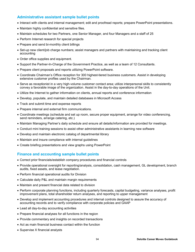# **Administrative assistant sample bullet points**

- Interact with clients and internal management; edit and proofread reports; prepare PowerPoint presentations.
- Maintain highly confidential and sensitive files.
- Maintain schedules for two Partners, one Senior Manager, and four Managers and a staff of 25
- Perform Internet research for special projects
- Prepare and send bi-monthly client billings
- Set-up new client/job charge numbers; assist managers and partners with maintaining and tracking client accounting
- Order office supplies and equipment.
- Support the Partner-In-Charge of the Government Practice, as well as a team of 12 Consultants.
- Prepare client proposals and reports utilizing PowerPoint software.
- Coordinate Chairman's Office reception for 300 highest-tiered business customers. Assist in developing extensive customer profiles used by the Chairman.
- Serve as receptionist in a very high-volume customer contact area; utilize interpersonal skills to consistently convey a favorable image of the organization. Assist in the day-to-day operations of the Unit.
- Utilize the Internet to gather information on clients, annual reports and conference information
- Develop, populate, and maintain detailed databases in Microsoft Access
- Track and submit time and expense reports
- Prepare internal and external firm communications.
- Coordinate meetings (schedule and set up room, secure proper equipment, arrange for video conferencing, send reminders, arrange catering, etc.)
- Maintain Managing Partner's daily schedule and ensure all details/information are provided for meetings.
- Conduct mini training sessions to assist other administrative assistants in learning new software
- Develop and maintain electronic catalog of departmental library
- Maintain and insure compliance with internal guidelines
- Create briefing presentations and view graphs using PowerPoint

## **Finance and accounting sample bullet points**

- Correct prior financials/establish company procedures and financial controls
- Provide operational oversight for reporting/analysis, consolidation, cash management, GL development, branch audits, fixed assets, and lease negotiation.
- Perform financial operational audits for Division
- Calculate daily P&L and maintain margin requirements
- Maintain and present financial data related to division
- Perform corporate planning functions, including quarterly forecasts, capital budgeting, variance analyses, profit improvement plans, total shareholder return analyses, and reporting to upper management
- Develop and implement accounting procedures and internal controls designed to assure the accuracy of accounting records and to verify compliance with corporate policies and GAAP
- Lead all day-to-day accounting activities
- Prepare financial analyses for all functions in the region
- Provide commentary and insights on recorded transactions
- Act as main financial business contact within the function
- Supervise X financial analysts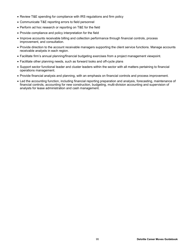- Review T&E spending for compliance with IRS regulations and firm policy
- Communicate T&E reporting errors to field personnel
- Perform ad hoc research or reporting on T&E for the field
- Provide compliance and policy interpretation for the field
- Improve accounts receivable billing and collection performance through financial controls, process improvement, and consultation.
- Provide direction to the account receivable managers supporting the client service functions. Manage accounts receivable analysts in each region.
- Facilitate firm's annual planning/financial budgeting exercises from a project management viewpoint.
- Facilitate other planning needs, such as forward looks and off-cycle plans
- Support sector functional leader and cluster leaders within the sector with all matters pertaining to financial operations management.
- Provide financial analysis and planning, with an emphasis on financial controls and process improvement.
- Led the accounting function, including financial reporting preparation and analysis, forecasting, maintenance of financial controls, accounting for new construction, budgeting, multi-division accounting and supervision of analysts for lease administration and cash management.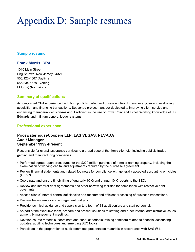# Appendix D: Sample resumes

## **Sample resume**

## **Frank Morris, CPA**

1010 Main Street Englishtown, New Jersey 54321 555/123-4567 Daytime 555/234-5678 Evening [FMorris@hotmail.com](mailto:FMorris@hotmail.com)

# **Summary of qualifications**

Accomplished CPA experienced with both publicly traded and private entities. Extensive exposure to evaluating acquisition and financing transactions. Seasoned project manager dedicated to improving client service and enhancing managerial decision-making. Proficient in the use of PowerPoint and Excel. Working knowledge of JD Edwards and Infinium general ledger systems.

# **Professional experience**

## **PricewaterhouseCoopers LLP, LAS VEGAS, NEVADA Audit Manager September 1999-Present**

Responsible for overall assurance services to a broad base of the firm's clientele, including publicly traded gaming and manufacturing companies.

- Performed agreed-upon procedures for the \$220 million purchase of a major gaming property, including the examination of working capital and adjustments required by the purchase agreement.
- Review financial statements and related footnotes for compliance with generally accepted accounting principles (GAAP).
- Coordinate and ensure timely filing of quarterly 10-Q and annual 10-K reports to the SEC.
- Review and interpret debt agreements and other borrowing facilities for compliance with restrictive debt covenants.
- Assess clients' internal control deficiencies and recommend efficient processing of business transactions.
- Prepare fee estimates and engagement budgets.
- Provide technical guidance and supervision to a team of 33 audit seniors and staff personnel.
- As part of the executive team, prepare and present solutions to staffing and other internal administrative issues at monthly management meetings.
- Develop course materials, coordinate and conduct periodic training seminars related to financial accounting updates, auditing techniques and emerging SEC topics.
- Participate in the preparation of audit committee presentation materials in accordance with SAS #61.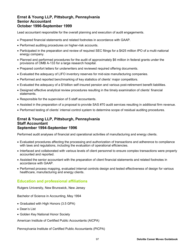## **Ernst & Young LLP, Pittsburgh, Pennsylvania Senior Accountant October 1996-September 1999**

Lead accountant responsible for the overall planning and execution of audit engagements.

- Prepared financial statements and related footnotes in accordance with GAAP.
- Performed auditing procedures on higher-risk accounts.
- Participated in the preparation and review of required SEC filings for a \$425 million IPO of a multi-national energy company.
- Planned and performed procedures for the audit of approximately \$6 million in federal grants under the provisions of OMB A-133 for a large research hospital.
- Prepared comfort letters for underwriters and reviewed required offering documents.
- Evaluated the adequacy of LIFO inventory reserves for mid-size manufacturing companies.
- Performed and reported benchmarking of key statistics of clients' major competitors.
- Evaluated the adequacy of a \$1billion self-insured pension and various post-retirement benefit liabilities.
- Designed effective analytical review procedures resulting in the timely examination of clients' financial statements.
- Responsible for the supervision of 5 staff accountants.
- Assisted in the preparation of a proposal to provide SAS #70 audit services resulting in additional firm revenue.
- Performed testing of clients' internal control system to determine scope of residual auditing procedures.

## **Ernst & Young LLP, Pittsburgh, Pennsylvania Staff Accountant September 1994-September 1996**

Performed audit analyses of financial and operational activities of manufacturing and energy clients.

- Evaluated procedures affecting the processing and authorization of transactions and adherence to compliance with laws and regulations, including the evaluation of operational efficiencies.
- Interfaced and collaborated with various levels of client personnel to ensure complex transactions were properly accounted and reported.
- Assisted the senior accountant with the preparation of client financial statements and related footnotes in accordance with GAAP.
- Performed process mapping, evaluated internal controls design and tested effectiveness of design for various healthcare, manufacturing and energy clients.

# **Education and professional affiliations**

Rutgers University, New Brunswick, New Jersey

Bachelor of Science in Accounting, May 1994

- Graduated with High Honors (3.5 GPA)
- Dean's List
- Golden Key National Honor Society

American Institute of Certified Public Accountants (AICPA)

Pennsylvania Institute of Certified Public Accountants (PICPA)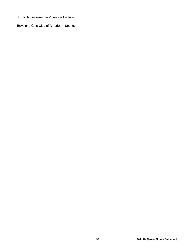Junior Achievement – Volunteer Lecturer

Boys and Girls Club of America – Sponsor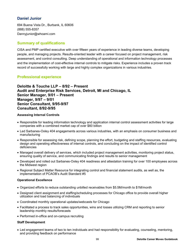# **Daniel Junior**

694 Buena Vista Dr., Burbank, IL 60606 (888) 555-8357 [Dannyjunior@whoami.com](mailto:Dannyjunior@whoami.com) 

# **Summary of qualifications**

CISA and PMP certified executive with over fifteen years of experience in leading diverse teams, developing people, and managing projects. Results-oriented leader with a career focused on project management, risk assessment, and control consulting. Deep understanding of operational and information technology processes and the implementation of cost-effective internal controls to mitigate risks. Experience includes a proven track record of successfully working with large and highly complex organizations in various industries.

# **Professional experience**

**Deloitte & Touche LLP – 8/92 – Present Audit and Enterprise Risk Services, Detroit, MI and Chicago, IL Senior Manager, 9/01 – Present Manager, 9/97 – 9/01 Senior Consultant, 9/95-9/97 Consultant, 8/92-9/95**

#### **Assessing Internal Controls**

- Responsible for leading information technology and application internal control assessment activities for large companies with a combined market cap of over \$60 billion
- Led Sarbanes-Oxley 404 engagements across various industries, with an emphasis on consumer business and manufacturing
- Responsible for assessing risk, defining scope, planning the effort, budgeting and staffing resources, evaluating design and operating effectiveness of internal controls, and concluding on the impact of identified control deficiencies
- Managed overall delivery of services, which included project management activities, monitoring project status, ensuring quality of service, and communicating findings and results to senior management
- Developed and rolled out Sarbanes-Oxley 404 readiness and attestation training for over 100 employees across the Midwest region
- Regional Subject Matter Resource for integrating control and financial statement audits, as well as, the implementation of PCAOB's Audit Standard #5

#### **Operational Excellence**

- Organized efforts to reduce outstanding unbilled receivables from \$5.5M/month to \$1M/month
- Designed client assignment and staffing/scheduling processes for Chicago office to provide overall higher utilization and load balancing of individuals
- Coordinated monthly operational updates/webcasts for Chicago
- Facilitated a process to track sales opportunities, wins and losses utilizing CRM and reporting to senior leadership monthly results/forecasts
- Performed in-office and on-campus recruiting

#### **Staff Development**

 Led engagement teams of two to ten individuals and had responsibility for evaluating, counseling, mentoring, and providing feedback on performance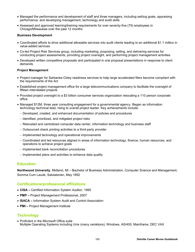- Managed the performance and development of staff and three managers, including setting goals, appraising performance, and developing management, technology and audit skills
- Assessed and approved learning/training requirements for over seventy-five (75) employees in Chicago/Milwaukee over the past 12 months

#### **Business Development**

- Coordinated efforts to drive additional allowable services into audit clients leading to an additional \$1.1 million in value-added services
- Co-led Project Risk Services group, including marketing, proposing, selling, and delivering services for conducting project assessments, providing project oversight, and performing project management activities
- Developed written competitive proposals and participated in oral proposal presentations in response to client demands

#### **Project Management**

- Project manager for Sarbanes-Oxley readiness services to help large accelerated filers become compliant with the requirements of the Act
- Established project management office for a large telecommunications company to facilitate the oversight of fifteen interrelated projects
- Provided project oversight to a \$3 billion consumer services organization relocating a 110 person corporate office
- Managed \$12M, three year consulting engagement for a governmental agency. Began as information technology technical lead, rising to overall project leader. Key achievements include;
	- Developed, created, and enhanced documentation of policies and procedures
	- Identified, prioritized, and mitigated project risks
	- Relocated and centralized computer data center, information technology and business staff
	- Outsourced check printing activities to a third-party provider
	- Implemented technology and operational improvements
	- Coordinated and led resources aligned in areas of information technology, finance, human resources, and operations to achieve project goals
	- Implemented bank reconciliation procedures
	- Implemented plans and activities to enhance data quality

#### **Education**

**Northwood University**, Midland, MI – Bachelor of Business Administration, Computer Science and Management, Summa Cum Laude, Salutatorian, May 1992

#### **Certifications/professional affiliations**

- **CISA –** Certified Information System Auditor, 1995
- **PMP –** Project Management Professional, 2007
- **ISACA –** Information System Audit and Control Association
- **PMI –** Project Management Institute

## **Technology**

• Proficient in the Microsoft Office suite Multiple Operating Systems including Unix (many variations), Windows, AS/400, Mainframe, DEC VAX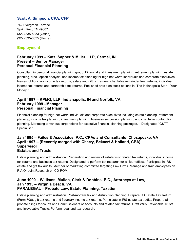# **Scott A. Simpson, CPA, CFP**

742 Evergreen Terrace Springfield, TN 49007 (322) 335-5353 (Office) (322) 335-3535 (Home)

## **Employment**

## **February 1999 – Katz, Sapper & Miller, LLP, Carmel, IN Present – Senior Manager Personal Financial Planning**

Consultant in personal financial planning group. Financial and investment planning, retirement planning, estate planning, stock option analysis, and income tax planning for high-net-worth individuals and corporate executives. Review of fiduciary income tax returns, estate and gift tax returns, charitable remainder trust returns, individual income tax returns and partnership tax returns. Published article on stock options in "The Indianapolis Star – Your Money."

## **April 1997 – KPMG, LLP, Indianapolis, IN and Norfolk, VA February 1999 –Manager Personal Financial Planning**

Financial planning for high-net-worth individuals and corporate executives including estate planning, retirement planning, income tax planning, investment planning, business succession planning, and charitable contribution planning. Marketing to various corporations for executive financial planning packages. – Designated "GSTT Specialist."

## **Jan 1995 – Failes & Associates, P.C., CPAs and Consultants, Chesapeake, VA April 1997 – (Recently merged with Cherry, Bekaert & Holland, CPA) Supervisor Estates and Trusts**

Estate planning and administration. Preparation and review of estate/trust related tax returns, individual income tax returns and business tax returns. Designated to perform tax research for all four offices. Participate in IRS estate and gift tax audits. Member of marketing committee targeting Law Firms. Manage and train employees on RIA Onpoint Research on CD-ROM.

## **June 1990 – Williams, Mullen, Clark & Dobbins, P.C., Attorneys at Law, Jan 1995 – Virginia Beach, VA PARALEGAL – Probate Law, Estate Planning, Taxation**

Estate planning and administration. Post-mortem tax and distribution planning. Prepare US Estate Tax Return (Form 706), gift tax returns and fiduciary income tax returns. Participate in IRS estate tax audits. Prepare all probate filings for courts and Commissioners of Accounts and related tax returns. Draft Wills, Revocable Trusts and Irrevocable Trusts. Perform legal and tax research.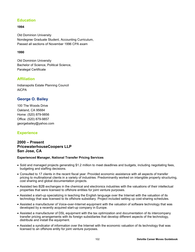# **Education**

## **1994**

Old Dominion University Nondegree Graduate Student, Accounting Curriculum, Passed all sections of November 1996 CPA exam

### **1990**

Old Dominion University Bachelor of Science, Political Science, Paralegal Certificate

# **Affiliation**

Indianapolis Estate Planning Council AICPA

# **George O. Bailey**

100 The Woods Drive Oakland, CA 95684 Home: (520) 879-9856 Office: (520) 879-9857 [georgebailey@yahoo.com](mailto:georgebailey@yahoo.com)

# **Experience**

## **2000 – Present PricewaterhouseCoopers LLP San Jose, CA**

#### **Experienced Manager, National Transfer Pricing Services**

- Sold and managed projects generating \$1.2 million to meet deadlines and budgets, including negotiating fees, budgeting and staffing decisions.
- Consulted to 17 clients in the recent fiscal year. Provided economic assistance with all aspects of transfer pricing to multinational clients in a variety of industries. Predominantly worked on intangible property structuring, cost sharing and global documentation projects.
- Assisted two B2B exchanges in the chemical and electronics industries with the valuations of their intellectual properties that were licensed to offshore entities for joint venture purposes.
- Assisted a start-up specializing in teaching the English language over the Internet with the valuation of its technology that was licensed to its offshore subsidiary. Project included setting up cost-sharing schedules.
- Assisted a manufacturer of Voice-over-Internet equipment with the valuation of software technology that was developed by a recently acquired start-up company in Europe.
- Assisted a manufacturer of DSL equipment with the tax optimization and documentation of its intercompany transfer pricing arrangements with its foreign subsidiaries that develop different aspects of the technology, distribute and install the equipment.
- Assisted a syndicator of information over the Internet with the economic valuation of its technology that was licensed to an offshore entity for joint venture purposes.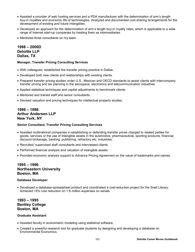- Assisted a provider of web hosting services and a PDA manufacturer with the determination of arm's length buy-in royalties and economic life of technologies. Analyzed and documented cost sharing arrangements for the development of existing and future intangibles.
- Developed an approach for the determination of arm's length buy-in royalty rates, which is applicable to a wide range of Internet start-up companies by treating them as intermediaries.
- Mentored three consultants on my team.

# **1998 – 2000D Deloitte LLP Dallas, TX**

#### **Manager, Transfer Pricing Consulting Services**

- With colleagues, established the transfer pricing practice in Dallas.
- Developed both new clients and relationships with existing clients.
- Prepared transfer pricing studies under U.S., Mexican and OECD standards to assist clients with intercompany transfer pricing and tax planning in the aerospace, electronics and telecommunication industries.
- Applied statistical techniques and capital adjustments to benchmark clients.
- Mentored and trained staff and senior consultants.
- Devised valuation and pricing techniques for intellectual property studies.

# **1996 – 1998 Arthur Andersen LLP New York, NY**

#### **Senior Consultant, Transfer Pricing Consulting Services**

- Assisted multinational companies in establishing or defending transfer prices charged to related parties for goods, services or the use of intangible assets in the automotive, pharmaceutical, sporting products, financial, discount brokerage, banking, publishing, refractory etc. industries.
- Recruited, supervised staff consultants and interviewed clients.
- Performed financial analysis and valuation of intangible assets.
- Provided economic analysis support to Advance Pricing Agreement on the value of trademarks and names.

## **1995 – 1996 Northeastern University Boston, MA**

#### **Database Developer**

 Developed a database-spreadsheet product and coordinated a cost-reduction project for the Snell Library. Achieved 15% cost reduction on 1.8 million expenses on serials.

## **1993 – 1995 Bentley College Boston, MA**

#### **Graduate Assistant**

- Assisted faculty in econometric modeling using statistical software.
- Created a powerful research tool for graduate students by designing and developing a database on Environmental Economics.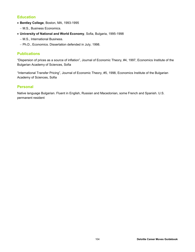# **Education**

- **Bentley College**, Boston, MA, 1993-1995
	- M.S., Business Economics.
- **University of National and World Economy**, Sofia, Bulgaria, 1995-1998
	- M.S., International Business.
	- Ph.D., Economics. Dissertation defended in July, 1998.

# **Publications**

"Dispersion of prices as a source of inflation", Journal of Economic Theory, #4, 1997, Economics Institute of the Bulgarian Academy of Sciences, Sofia

"International Transfer Pricing", Journal of Economic Theory, #5, 1998, Economics Institute of the Bulgarian Academy of Sciences, Sofia

# **Personal**

Native language Bulgarian. Fluent in English, Russian and Macedonian, some French and Spanish. U.S. permanent resident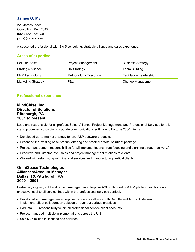# **James O. My**

225 James Place Consulting, PA 12345 (555) 422-1781 Cell [jomy@yahoo.com](mailto:jomy@yahoo.com)

A seasoned professional with Big 5 consulting, strategic alliance and sales experience.

# **Areas of expertise**

| <b>Solution Sales</b>     | <b>Project Management</b>    | <b>Business Strategy</b>       |
|---------------------------|------------------------------|--------------------------------|
| <b>Strategic Alliance</b> | <b>HR Strategy</b>           | Team Building                  |
| <b>ERP Technology</b>     | <b>Methodology Execution</b> | <b>Facilitation Leadership</b> |
| <b>Marketing Strategy</b> | P&L                          | <b>Change Management</b>       |

# **Professional experience**

## **MindChisel Inc. Director of Solutions Pittsburgh, PA 2001 to present**

Lead and responsible for all pre/post Sales, Alliance, Project Management, and Professional Services for this start-up company providing corporate communications software to Fortune 2000 clients.

- Developed go-to-market strategy for two ASP software products.
- Expanded the existing base product offering and created a "total solution" package.
- Project management responsibilities for all implementations, from "scoping and planning through delivery."
- Executive and Director-level sales and project management relations to clients.
- Worked with retail, non-profit financial services and manufacturing vertical clients.

## **OmniSpace Technologies Alliances/Account Manager Dallas, TX/Pittsburgh, PA 2000 – 2001**

Partnered, aligned, sold and project managed an enterprise ASP collaboration/CRM platform solution on an executive level to all service lines within the professional services vertical.

- Developed and managed an enterprise partnership/alliance with Deloitte and Arthur Andersen to implement/rollout collaboration solution throughout various practices.
- Had total P/L responsibility within all professional service client accounts.
- Project managed multiple implementations across the U.S.
- Sold \$3.5 million in licenses and services.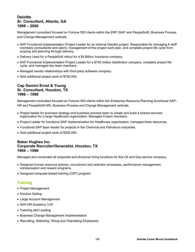## **Deloitte Sr. Consultant, Atlanta, GA 1998 – 2000**

Management consultant focused on Fortune 500 clients within the ERP (SAP and PeopleSoft), Business Process and Change Management verticals.

- SAP Functional Implementation Project Leader for an internal Deloitte project. Responsible for managing 6 staff members (consultants and client), management of the project work plan, and complete project life cycle from scoping and planning through delivery.
- Delivery Lead for a PeopleSoft rollout for a \$4 Billion Insurance company.
- SAP Functional Implementation Project Leader for a \$700 million distribution company, complete project life cycle, and managed two team members.
- Managed vendor relationships with third-party software company.
- Sold additional project work of \$750,000.

## **Cap Gemini Ernst & Young Sr. Consultant, Houston, TX 1996 – 1998**

Management consultant focused on Fortune 500 clients within the Enterprise Resource Planning (functional SAP-HR and PeopleSoft-HR), Business Process and Change Management verticals.

- Project leader for business strategy and business process team to create and build a shared services organization for a large Healthcare organization. Managed 5 team members.
- Project Leader for functional SAP Implementation for Healthcare organization, managed three resources.
- Functional SAP team leader for projects in the Chemical and Petroleum industries.
- Sold additional project work of \$200,000.

#### **Baker Hughes Inc. Corporate Recruiter/Generalist, Houston, TX 1994 – 1996**

Managed and conducted all corporate and divisional hiring functions for this Oil and Gas service company.

- Designed human resource policies, recruitment and selection processes, performance management, compensation and reward programs.
- Designed computer-based training (CBT) program.

# **Training**

- Project Management
- Solution Selling
- Large Account Management
- SAP-HR Academy 3.0F
- Teaming and Leading
- Business Change Management Implementation
- Recruiting, Selecting, Hiring and Orientating Employees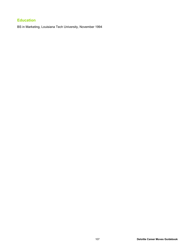# **Education**

BS in Marketing, Louisiana Tech University, November 1994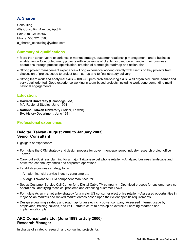# **A. Sharon**

**Consulting** 469 Consulting Avenue, Apt# P Palo Alto, CA 94306 Phone: 555 321 5568 a sharon consulting@yahoo.com

# **Summary of qualifications**

- More than seven years experience in market strategy, customer relationship management, and e-business enablement – Conducted many projects with wide range of clients, focused on enhancing their business operations through process optimization, creation of a strategic roadmap and action plan.
- Strong project management experience Long experience working directly with clients on key projects from discussion of project scope to project-team set-up and to final strategy delivery.
- Strong team work and analytical skills 108 Superb problem-solving skills. Well organized, quick learner and very detail oriented. Good experience working in team-based projects, including work done demanding multinational engagements.

## **Education:**

- **Harvard University** (Cambridge, MA) MA, Regional Studies, June 1994
- **National Taiwan University** (Taipei, Taiwan) BA, History Department, June 1991

## **Professional experience:**

## **Deloitte, Taiwan (August 2000 to January 2003) Senior Consultant**

Highlights of experience:

- Formulate the CRM strategy and design process for government-sponsored industry research project office in Taiwan
- Carry out e-Business planning for a major Taiwanese cell phone retailer Analyzed business landscape and optimized channel dynamics and corporate operations
- $\bullet$  Establish e-business strategy for  $-$ 
	- A major financial service industry conglomerate
	- A large Taiwanese OEM component manufacturer
- Set up Customer Service Call Center for a Digital Cable TV company Optimized process for customer service operations, identifying technical problems and executing customer FAQs
- Formulate Asian market entry strategy for a major US consumer electronics retailer Assessed opportunities in major Asian markets and ranked market entries based upon their client-specific requirements
- Design e-Learning strategy and roadmap for an electricity power company. Assessed Internet usage by employees, training policies, and its IT infrastructure to develop an overall e-Learning roadmap and implementation plan

## **ARC Consultants Ltd. (June 1999 to July 2000) Research Manager**

In charge of strategic research and consulting projects for: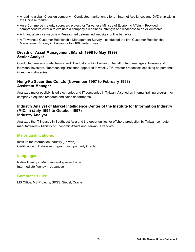- A leading global IC design company Conducted market entry for an Internet Appliances and DVD chip within the Chinese market
- An e-Commerce maturity scorecard project for Taiwanese Ministry of Economic Affairs Provided comprehensive criteria to evaluate a company's readiness, strength and weakness to do eCommerce
- A financial service website Researched determined website's online behavior
- A Taiwanese Customer Relationship Management Survey conducted the first Customer Relationship Management Survey in Taiwan for top 1000 enterprises

## **Dresdner Asset Management (March 1998 to May 1999) Senior Analyst**

Conducted analysis of electronics and IT industry within Taiwan on behalf of fund managers, brokers and individual investors. Representing Dresdner, appeared in weekly TV investor broadcasts speaking on personal investment strategies.

## **Hong-Fu Securities Co. Ltd (November 1997 to February 1998) Assistant Manager**

Analyzed major publicly listed electronics and IT companies in Taiwan. Also led an internal training program for company's equities research and sales departments.

## **Industry Analyst of Market Intelligence Center of the Institute for Information Industry (MIC/III) (July 1995 to October 1997) Industry Analyst**

Analyzed the IT industry in Southeast Asia and the opportunities for offshore production by Taiwan computer manufacturers – Ministry of Economic Affairs and Taiwan IT vendors.

## **Major qualifications:**

Institute for Information Industry (Taiwan) Certification in Database programming, primarily Oracle

## **Languages:**

Native fluency in Mandarin and spoken English Intermediate fluency in Japanese

## **Computer skills:**

MS Office, MS Projects, SPSS, Siebel, Oracle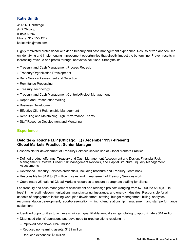# **Katie Smith**

4145 N. Hermitage #4B Chicago Illinois 60657 Phone: 312 555 1212 [katiesmith@msn.com](mailto:katiesmith@msn.com)

Highly motivated professional with deep treasury and cash management experience. Results driven and focused on identifying and implementing improvement opportunities that directly impact the bottom-line. Proven results in increasing revenue and profits through innovative solutions. Strengths in:

- Treasury and Cash Management Process Redesign
- Treasury Organization Development
- Bank Service Assessment and Selection
- Remittance Processing
- Treasury Technology
- Treasury and Cash Management Controls•Project Management
- Report and Presentation Writing
- Business Development
- Effective Client Relationship Management
- Recruiting and Maintaining High Performance Teams
- Staff Resource Development and Mentoring

## **Experience**

## **Deloitte & Touche LLP (Chicago, IL) (December 1997-Present) Global Markets Practice: Senior Manager**

Responsible for development of Treasury Services service line of Global Markets Practice

- Defined product offerings: Treasury and Cash Management Assessment and Design, Financial Risk Management Reviews, Credit Risk Management Reviews, and Capital Structure/Liquidity Management Assessments
- Developed Treasury Services credentials, including brochure and Treasury Team book
- Responsible for \$1.8 to \$2 million in sales and management of Treasury Services work
- Coordinated 25 national Global Markets resources to ensure appropriate staffing for clients

Led treasury and cash management assessment and redesign projects (ranging from \$70,000 to \$600,000 in fees) in the retail, telecommunications, manufacturing, insurance, and energy industries. Responsible for all aspects of engagement including work plan development, staffing, budget management, billing, analyses, recommendation development, report/presentation writing, client relationship management, and staff performance evaluations

- Identified opportunities to achieve significant quantifiable annual savings totaling to approximately \$14 million
- Diagnosed clients' operations and developed tailored solutions resulting in:
	- $-$  Improved cash flows: \$245 million
	- Reduced non-earning assets: \$189 million
	- Reduced expenses: \$5 million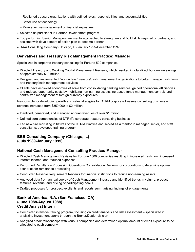- Realigned treasury organizations with defined roles, responsibilities, and accountabilities
- $-$  Better use of technology
- More effective management of financial exposures
- Selected as participant in Partner Development program
- Top performing Senior Managers are mentored/coached to strengthen and build skills required of partners, and assisted with development of action plan to become partner
- AAA Consulting Company (Chicago, IL)January 1995-December 1997

## **Derivatives and Treasury Risk Management Practice: Manager**

Specialized in corporate treasury consulting for Fortune 500 companies

- Directed Treasury and Working Capital Management Reviews, which resulted in total direct bottom-line savings of approximately \$10 million
- Designed and implemented "world-class" treasury/cash management organizations to better manage cash flows and treasury/cash management activities
- Clients have achieved economies of scale from consolidating banking services, gained operational efficiencies and reduced opportunity costs by mobilizing non-earning assets, increased funds management controls and centralized management of foreign currency exposures

Responsible for developing growth and sales strategies for DTRM corporate treasury consulting business – revenue increased from \$350,000 to \$2 million

- Identified, generated, and managed annual revenues of over \$1 million
- Defined core competencies of DTRM's corporate treasury consulting business
- Led new hire recruiting initiatives of the DTRM Practice and served as a mentor to manager, senior, and staff consultants; developed training program

## **BBB Consulting Company** (**Chicago, IL) (July 1989-January 1995)**

## **National Cash Management Consulting Practice: Manager**

- Directed Cash Management Reviews for Fortune 1000 companies resulting in increased cash flow, increased interest income, and reduced expenses
- Performed Remittance Processing Operations Consolidation Reviews for corporations to determine optimal scenarios for remittance processing
- Conducted Reserve Requirement Reviews for financial institutions to reduce non-earning assets
- Analyzed data from annual survey of Cash Management industry and identified trends in volume, product features, revenue, and pricing of participating banks
- Drafted proposals for prospective clients and reports summarizing findings of engagements

#### **Bank of America, N.A. (San Francisco, CA) (June 1988-August 1988) Credit Analyst Intern**

- Completed intensive training program, focusing on credit analysis and risk assessment specialized in analyzing investment banks through the Broker/Dealer division
- Analyzed credit relationships with various companies and determined optimal amount of credit exposure to be allocated to each company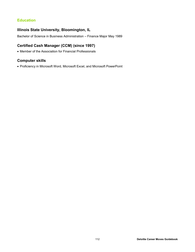# **Education**

## **Illinois State University, Bloomington, IL**

Bachelor of Science in Business Administration – Finance Major May 1989

# **Certified Cash Manager (CCM) (since 1997)**

Member of the Association for Financial Professionals

# **Computer skills**

Proficiency in Microsoft Word, Microsoft Excel, and Microsoft PowerPoint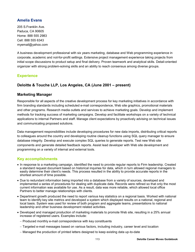## **Amelia Evans**

205 S.Franklin Ave. Paduca, CA 90605 Home: 888 555 2983 Cell: 888 555 6343 [myemail@yahoo.com](mailto:myemail@yahoo.com)

A business development professional with six years marketing, database and Web programming experience in corporate, academic and not-for-profit settings. Extensive project management experience taking projects from initial scope discussions to product setup and final delivery. Proven teamwork and analytical skills. Detail-oriented organizer with strong problem-solving skills and an ability to reach consensus among diverse groups.

## **Experience**

# **Deloitte & Touche LLP, Los Angeles, CA (June 2001 – present)**

## **Marketing Manager**

Responsible for all aspects of the creative development process for key marketing initiatives in accordance with firm branding standards including scheduled e-mail correspondence, Web site graphics, promotional materials and other programs. Research media outlets and services to achieve marketing goals. Develop and implement methods for tracking success of marketing campaigns. Develop and facilitate workshops on a variety of technical applications to internal Partners and staff. Manage client expectations by proactively advising on technical issues and communicating proposed solutions.

Data management responsibilities include developing procedures for new data imports, distributing critical reports to colleagues around the country and developing routine cleanup functions using SQL query manager to ensure database integrity. Develop and execute complex SQL queries to generate reports. Test new Web site components and generate detailed feedback reports. Assist lead developer with Web site development and programming on a variety of internal and external tools.

## **Key accomplishments**

- In response to a marketing campaign, identified the need to provide regular reports to Firm leadership. Created a standard request document based on historical inquiries for data, which in turn allowed regional managers to easily determine their client's needs. This process resulted in the ability to provide accurate reports in the shortest amount of time possible.
- Due to redundant information being imported into a database from a variety of sources, developed and implemented a series of procedures for dealing with duplicate data. Records were refined so that only the most current information was available for use. As a result, data was more reliable, which allowed local office Partners to better manage relationships with clients.
- Department growth produced the need to report various key statistics on a regional basis. Worked with national team to identify key site metrics and developed a system which displayed results on a national, regional and local basis. System was used for review of both program and aggregate teams, presentations to national leadership and other business development related activities.
- Developed and managed production of marketing materials to promote Web site, resulting in a 25% annual increase of registered users. Examples include:
	- Produced monthly e-mail correspondence with key constituents
	- Targeted e-mail messages based on various factors, including industry, career level and location
	- Managed the production of printed letters designed to keep existing data up-to-date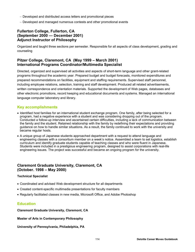- Developed and distributed access letters and promotional pieces
- Developed and managed numerous contests and other promotional events

# **Fullerton College, Fullerton, CA (September 2000 — December 2001) Adjunct Instructor of Philosophy**

Organized and taught three sections per semester. Responsible for all aspects of class development, grading and counseling

## **Pitzer College, Claremont, CA (May 1999 – March 2001) International Programs Coordinator/Multimedia Specialist**

Directed, organized and supervised all activities and aspects of short-term language and other grant-related programs throughout the academic year. Prepared budget and budget forecasts, monitored expenditures and prepared recommendations on facilities, equipment and staffing requirements. Supervised staff personnel, including employee relations, selection, training and staff development. Produced all related advertisements, written correspondence and orientation materials. Supported the development of Web pages, databases and other electronic promotions, record keeping and educational documents and systems. Managed an international language computer laboratory and library.

## **Key accomplishments**

- Identified host families for an international student exchange program. One family, after being selected for a program, had a negative experience with a student and was considering dropping out of the program. Conducted a follow-up interview and ascertained certain difficulties, including a lack of communication between the family and the student. Retained relationship with the family by redefining their expectations and providing guidance on how to handle similar situations. As a result, the family continued to work with the university and became regular hosts.
- A unique group of Japanese students approached department with a request to attend language and engineering classes with a consortium member on a week's notice. Assembled a team to set logistics, establish curriculum and identify graduate students capable of teaching classes and who were fluent in Japanese. Students were included in a prestigious engineering program, designed to assist corporations with real-life engineering issues. The project was successful and became an ongoing program for the university.

## **Claremont Graduate University, Claremont, CA (October. 1998 – May 2000)**

## **Technical Specialist**

- Coordinated and advised Web development structure for all departments
- Created content-specific multimedia presentations for faculty members
- Regularly facilitated classes in new media, Microsoft Office, and Adobe Photoshop

## **Education**

**Claremont Graduate University, Claremont, CA**

**Master of Arts in Contemporary Philosophy**

**University of Pennsylvania, Philadelphia, PA**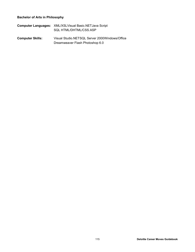## **Bachelor of Arts in Philosophy**

| <b>Computer Languages: XML/XSLVisual Basic.NETJava Script</b> |
|---------------------------------------------------------------|
| SQL HTML/DHTML/CSS.ASP                                        |

**Computer Skills:** Visual Studio.NETSQL Server 2000Windows/Office Dreamweaver Flash Photoshop 6.0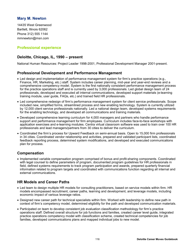## **Mary M. Newton**

14435 West Greenwood Bartlett, Illinois 62062 Phone 312) 555 1144 [mmnewton@msn.com](mailto:mmnewton@msn.com)

## **Professional experience**

## **Deloitte, Chicago, IL, 1990 – present**

National Human Resources: Project Leader 1998-2001, Professional Development Manager 2001-present.

## **Professional Development and Performance Management**

- Led design and implementation of performance management system for firm's practice operations (e.g., Finance, HR, Marketing, etc.) staff. System includes career planning, mid-year and year-end reviews and a comprehensive competency model. System is the first nationally consistent performance management process for the practice operations staff and is currently used by 3,000 professionals. Led global design team of 24 professionals, developed and executed all internal communications, developed support materials (e-learning training module, user guide, FAQs, etc.) and trained field HR professionals.
- Led comprehensive redesign of firm's performance management system for client service professionals. Scope included new, simplified forms, streamlined process and new enabling technology. System is currently utilized by 12,000 client service professionals nationally. Led a national design team, developed systems requirements for the enabling technology, and developed all communications and training materials.
- Developed comprehensive learning curriculum for 4,000 managers and partners who handle performance support and performance management for firm employees. Curriculum includes face-to-face workshops with application exercises and e-learning modules. Centra virtual classroom software was used to train over 100 HR professionals and lead managers/partners from 30 cities to deliver the curriculum.
- Coordinated the firm's process for Upward Feedback on semi-annual basis. Open to 15,000 firm professionals in 34 cities. Coordinated vendor relationship and activities, prepared and validated participant lists, coordinated feedback reporting process, determined system modifications, and developed and executed communications plan for process.

## **Compensation**

• Implemented variable compensation program comprised of bonus and profit-sharing components. Coordinated with legal counsel to define parameters of program, documented program guidelines for HR professionals in field, defined systems requirements to track program participation and awards, prepared quarterly financial information related to program targets and coordinated with communications function regarding all internal and external communications.

## **HR Models and Career Paths**

- Led team to design multiple HR models for consulting practitioners, based on service models within firm. HR models encompassed recruitment, career paths, learning and development, and leverage models, including economic impact of various leverage ratios.
- Designed new career path for technical specialists within firm. Worked with leadership to define new path in context of firm's competency model, determined eligibility for the path and developed communication materials.
- Participated on team to develop consistent job evaluation classification methodology for firm's practice operations staff. Defined overall structure for job functions and families, created career level guide, integrated practice operations competency model with classification scheme, created technical competencies for job families, developed communications plans and mapped individual jobs to new model.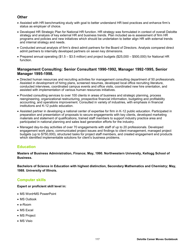# **Other**

- Assisted with HR benchmarking study with goal to better understand HR best practices and enhance firm's status as employer of choice.
- Developed HR Strategic Plan for National HR function. HR strategy was formulated in context of overall Deloitte strategy and analysis of key external HR and business trends. Plan included as-is assessment of firm HR programs and policies and new initiatives which should be undertaken to better align HR with external trends and internal strategy and needs.
- Conducted annual analysis of firm's direct admit partners for the Board of Directors. Analysis compared direct admit partners to internally developed partners on seven key dimensions.
- Prepared annual operating (\$1.5 \$3.5 million) and project budgets (\$25,000 \$500,000) for National HR function.

## **Management Consulting: Senior Consultant 1990-1992, Manager 1992-1995, Senior Manager 1995-1998.**

- Directed human resources and recruiting activities for management consulting department of 50 professionals. Assisted in development of hiring plans, screened resumes, developed local office recruiting literature, conducted interviews, coordinated campus events and office visits, coordinated new hire orientation, and assisted with implementation of various human resources initiatives.
- Provided consulting services to over 100 clients in areas of business and strategic planning, process reengineering, organizational restructuring, prospective financial information, budgeting and profitability accounting, and operations improvement. Consulted in variety of industries, with emphasis in financial institutions and K-12 public education.
- Assisted partner in developing a national center of expertise for firm in K-12 public education. Participated in preparation and presentation of proposals to secure engagements with key clients, developed marketing materials and statement of qualifications, trained staff members to support industry practice area and participated in national planning and sales lead generation efforts for the industry.
- Managed day-to-day activities of over 70 engagements with staff of up to 20 professionals. Developed engagement work plans, communicated project issues and findings to client management, managed project budgets (up to \$750,000), structured tasks for project staff members, and created engagement end products which identified implementable solutions for client's business problems.

# **Education**

**Masters of Business Administration, Finance; May, 1990. Northwestern University, Kellogg School of Business.**

**Bachelors of Science in Education with highest distinction, Secondary Mathematics and Chemistry; May, 1988. University of Illinois.** 

## **Computer skills**

**Expert or proficient skill level in:**

- MS Word•MS PowerPoint
- MS Outlook
- e-Room
- MS Excel
- MS Project
- MS Visio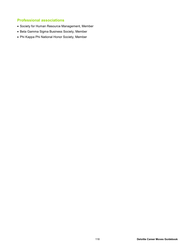# **Professional associations**

- Society for Human Resource Management, Member
- Beta Gamma Sigma Business Society, Member
- Phi Kappa Phi National Honor Society, Member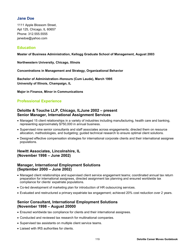## **Jane Doe**

1111 Apple Blossom Street, Apt 125, Chicago, IL 60657 Phone: 312.555.5555 [janedoe@yahoo.com](mailto:janedoe@yahoo.com)

## **Education**

#### **Master of Business Administration, Kellogg Graduate School of Management, August 2003**

**Northwestern University, Chicago, Illinois**

**Concentrations in Management and Strategy, Organizational Behavior** 

**Bachelor of Administration–Honours (Cum Laude), March 1995 University of Illinois, Champaign, IL**

**Major in Finance, Minor in Communications**

## **Professional Experience**

## **Deloitte & Touche LLP, Chicago, ILJune 2002 – present Senior Manager, International Assignment Services**

- Managed 15 client relationships in a variety of industries including manufacturing, health care and banking, representing approximately \$750,000 in annual business.
- Supervised nine senior consultants and staff associates across engagements; directed them on resource allocation, methodologies, and budgeting; guided technical research to ensure optimal client solutions.
- Designed effective compensation strategies for international corporate clients and their international assignee populations.

## **Hewitt Associates, Lincolnshire, IL (November 1998 – June 2002)**

## **Manager, International Employment Solutions (September 2000 – June 2002)**

- Managed client relationships and supervised client service engagement teams; coordinated annual tax return preparation for international assignees, directed assignment tax planning and ensured worldwide tax compliance for clients' expatriate populations.
- Co-led development of marketing plan for introduction of HR outsourcing services.
- Evaluated and restructured a primary expatriate tax engagement; achieved 20% cost reduction over 2 years.

## **Senior Consultant, International Employment Solutions (November 1998 – August 20000**

- Ensured worldwide tax compliance for clients and their international assignees.
- Conducted and reviewed tax research for multinational companies.
- Supervised tax assistants on multiple client service teams.
- Liaised with IRS authorities for clients.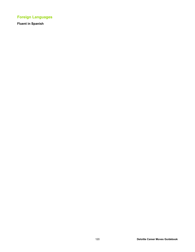# **Foreign Languages**

**Fluent in Spanish**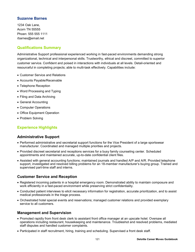## **Suzanne Barnes**

1234 Oak Lane, Acorn TN 55555 Phoen: 555 555 1111 [rbarnes@email.net](mailto:rbarnes@email.net)

## **Qualifications Summary**

Administrative Support professional experienced working in fast-paced environments demanding strong organizational, technical and interpersonal skills. Trustworthy, ethical and discreet, committed to superior customer service. Confident and poised in interactions with individuals at all levels. Detail-oriented and resourceful in completing projects; able to multi-task effectively. Capabilities include:

- Customer Service and Relations
- Accounts Payable/Receivable
- Telephone Reception
- Word Processing and Typing
- Filing and Data Archiving
- General Accounting
- Computer Operations
- Office Equipment Operation
- Problem Solving

# **Experience Highlights**

## **Administrative Support**

- Performed administrative and secretarial support functions for the Vice President of a large sportswear manufacturer. Coordinated and managed multiple priorities and projects.
- Provided discreet secretarial and receptions services for a busy family counseling center. Scheduled appointments and maintained accurate, up-to-date confidential client files.
- Assisted with general accounting functions; maintained journals and handled A/P and A/R. Provided telephone support, investigated and resolved billing problems for an 18-member manufacturer's buying group. Trained and supervised part-time staff and interns.

## **Customer Service and Reception**

- Registered incoming patients in a hospital emergency room. Demonstrated ability to maintain composure and work efficiently in a fast-paced environment while preserving strict confidentiality.
- Conducted patient interviews to elicit necessary information for registration, accurate prioritization, and to assist medical professionals in the triage process.
- Orchestrated hotel special events and reservations; managed customer relations and provided exemplary service to all customers.

## **Management and Supervision**

- Promoted rapidly from front desk clerk to assistant front office manager at an upscale hotel. Oversaw all operations including restaurant, housekeeping and maintenance. Troubleshot and resolved problems, mediated staff disputes and handled customer complaints.
- Participated in staff recruitment, hiring, training and scheduling. Supervised a front desk staff.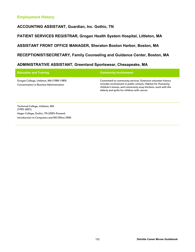# **Employment History**

**ACCOUNTING ASSISTANT, Guardian, Inc. Gothic, TN**

**PATIENT SERVICES REGISTRAR, Grogan Health System Hospital, Littleton, MA**

**ASSISTANT FRONT OFFICE MANAGER, Sheraton Boston Harbor, Boston, MA**

**RECEPTIONIST/SECRETARY, Family Counseling and Guidance Center, Boston, MA**

# **ADMINISTRATIVE ASSISTANT, Greenland Sportswear, Chesapeake, MA**

| <b>Education and Training</b>                                                                | <b>Community Involvement</b>                                                                                                                                                                                                                  |
|----------------------------------------------------------------------------------------------|-----------------------------------------------------------------------------------------------------------------------------------------------------------------------------------------------------------------------------------------------|
| Grogan College, Littleton, MA (1988-1989)<br><b>Concentration in Business Administration</b> | Committed to community services. Extensive volunteer history<br>includes involvement in public schools, Habitat for Humanity,<br>children's homes, and community soup kitchens, work with the<br>elderly and quilts for children with cancer. |

Technical College, Littleton, MA (1999-2001) Hager College, Gothic, TN (2003-Present) Introduction to Computers and MS Office 2000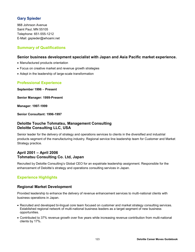# **Gary Spieder**

968 Johnson Avenue Saint Paul, MN 55105 Telephone: 651-555-1212 E-Mail: [gspieder@whoami.net](mailto:gspieder@whoami.net)

## **Summary of Qualifications**

## **Senior business development specialist with Japan and Asia Pacific market experience.**

- Manufactured products orientation
- Focus on creative market and revenue growth strategies
- Adept in the leadership of large-scale transformation

# **Professional Experience**

**September 1996** – **Present** 

**Senior Manager: 1999-Present**

**Manager: 1997-1999**

**Senior Consultant: 1996-1997**

## **Deloitte Touche Tohmatsu, Management Consulting Deloitte Consulting LLC, USA**

Senior leader for the delivery of strategy and operations services to clients in the diversified and industrial products segment of the manufacturing industry. Regional service line leadership team for Customer and Market Strategy practice.

# **April 2001 – April 2006 Tohmatsu Consulting Co. Ltd, Japan**

Recruited by Deloitte Consulting's Global CEO for an expatriate leadership assignment. Responsible for the enhancement of Deloitte's strategy and operations consulting services in Japan.

# **Experience Highlights**

## **Regional Market Development**

Provided leadership to enhance the delivery of revenue enhancement services to multi-national clients with business operations in Japan.

- Recruited and developed bi-lingual core team focused on customer and market strategy consulting services. Established regional network of multi-national business leaders as a target segment of new business opportunities.
- Contributed to 37% revenue growth over five years while increasing revenue contribution from multi-national clients by 17%.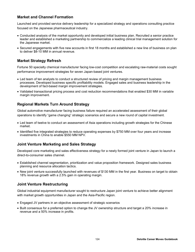# **Market and Channel Formation**

Launched and provided service delivery leadership for a specialized strategy and operations consulting practice focused on the Japanese pharmaceutical industry.

- Conducted analysis of the market opportunity and developed initial business plan. Recruited a senior practice leader and established a marketing partnership to commercialize a leading clinical trial management solution for the Japanese market.
- Secured engagements with five new accounts in first 18 months and established a new line of business on plan to deliver \$8-10 MM in annual revenue.

## **Market Strategy Refresh**

Fortune 50 specialty chemical manufacturer facing low-cost competition and escalating raw-material costs sought performance improvement strategies for seven Japan-based joint ventures.

- Led team of ten analysts to conduct a structured review of pricing and margin management business processes. Developed business specific profitability models. Engaged sales and business leadership in the development of fact-based margin improvement strategies.
- Validated transactional pricing process and cost reduction recommendations that enabled \$30 MM in variable margin improvement.

# **Regional Markets Turn Around Strategy**

Global automotive manufacturer facing business failure required an accelerated assessment of their global operations to identify "game changing" strategic scenarios and secure a new round of capital investment.

- Led team of twelve to conduct an assessment of Asia operations including growth strategies for the Chinese market.
- Identified five integrated strategies to reduce operating expenses by \$750 MM over four years and increase investments in China to enable \$550 MM NPV.

## **Joint Venture Marketing and Sales Strategy**

Developed core marketing and sales effectiveness strategy for a newly formed joint venture in Japan to launch a direct-to-consumer sales channel.

- Established channel segmentation, prioritization and value proposition framework. Designed sales business planning and resource allocation tactics.
- New joint venture successfully launched with revenues of \$130 MM in the first year. Business on target to obtain 18% revenue growth with a 2.5% gain in operating margin.

## **Joint Venture Restructuring**

Global industrial equipment manufacturer sought to restructure Japan joint venture to achieve better alignment with market growth opportunities in Japan and the Asia-Pacific region.

- Engaged JV partners in an objective assessment of strategic scenarios
- Built consensus for a preferred option to change the JV ownership structure and target a 20% increase in revenue and a 50% increase in profits.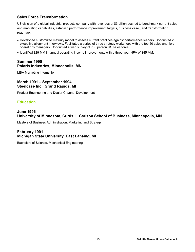# **Sales Force Transformation**

US division of a global industrial products company with revenues of \$3 billion desired to benchmark current sales and marketing capabilities, establish performance improvement targets, business case\_ and transformation roadmap.

- Developed customized maturity model to assess current practices against performance leaders. Conducted 25 executive alignment interviews. Facilitated a series of three strategy workshops with the top 50 sales and field operations managers. Conducted a web survey of 700 person US sales force.
- Identified \$29 MM in annual operating income improvements with a three year NPV of \$45 MM.

## **Summer 1995 Polaris Industries, Minneapolis, MN**

MBA Marketing Internship

## **March 1991 – September 1994 Steelcase Inc., Grand Rapids, MI**

Product Engineering and Dealer Channel Development

## **Education**

## **June 1996 University of Minnesota, Curtis L. Carlson School of Business, Minneapolis, MN**

Masters of Business Administration, Marketing and Strategy

# **February 1991 Michigan State University, East Lansing, MI**

Bachelors of Science, Mechanical Engineering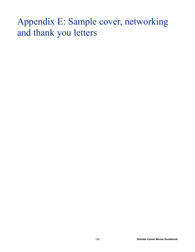# Appendix E: Sample cover, networking and thank you letters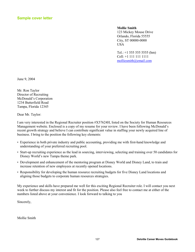**Mollie Smith**

123 Mickey Mouse Drive Orlando, Florida 55555 City, ST 00000-0000 **USA** 

Tel.:  $+1$  555 555 5555 (hm) Cell: +1 111 111 1111 [molliesmith@email.com](mailto:molliesmith@email.com)

June 9, 2004

Mr. Ron Taylor Director of Recruiting McDonald's Corporation 1234 Butterfield Road Tampa, Florida 12345

Dear Mr. Taylor:

I am very interested in the Regional Recruiter position #X57624H, listed on the Society for Human Resources Management website. Enclosed is a copy of my resume for your review. I have been following McDonald's recent growth strategy and believe I can contribute significant value in staffing your newly acquired line of business. I bring to the position the following key elements:

- Experience in both private industry and public accounting, providing me with first-hand knowledge and understanding of your preferred recruiting pool.
- Start-up recruiting experience as the lead in sourcing, interviewing, selecting and training over 50 candidates for Disney World's new Tampa theme park.
- Development and enhancement of the mentoring program at Disney World and Disney Land, to train and increase retention of new employees at recently opened locations.
- Responsibility for developing the human resource recruiting budgets for five Disney Land locations and aligning those budgets to corporate human resources strategies.

My experience and skills have prepared me well for this exciting Regional Recruiter role. I will contact you next week to further discuss my interest and fit for the position. Please also feel free to contact me at either of the numbers listed above at your convenience. I look forward to talking to you

Sincerely,

Mollie Smith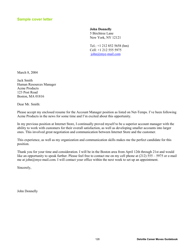#### **John Donnelly**

5 Birchtree Lane New York, NY 12121

Tel.: +1 212 852 5658 (hm) Cell: +1 212 555 5975 [john@mye-mail.com](mailto:john@mye-mail.com)

March 8, 2004

Jack Smith Human Resources Manager Acme Products 123 Post Road Boston, MA 01816

Dear Mr. Smith:

Please accept my enclosed resume for the Account Manager position as listed on Net-Temps. I've been following Acme Products in the news for some time and I'm excited about this opportunity.

In my previous position at Internet Store, I continually proved myself to be a superior account manager with the ability to work with customers for their overall satisfaction, as well as developing smaller accounts into larger ones. This involved great negotiation and communication between Internet Store and the customer.

This experience, as well as my organization and communication skills makes me the perfect candidate for this position.

Thank you for your time and consideration. I will be in the Boston area from April 12th through 21st and would like an opportunity to speak further. Please feel free to contact me on my cell phone at (212) 555 – 5975 or e-mail me at [john@mye-mail.com.](mailto:john@mye-mail.com.) I will contact your office within the next week to set up an appointment.

Sincerely,

John Donnelly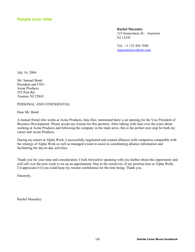**Rachel Macauley** 

123 Somewhere St – Anytown NJ 12345

Tel.: +1 123 456 7890 [rmacaule@website.com](mailto:rmacaule@website.com)

July 16, 2004

Mr. Samuel Bend President and CEO Acme Products 555 Post Rd. Trenton, NJ 25843

PERSONAL AND CONFIDENTIAL

Dear Mr. Bend:

A mutual friend who works at Acme Products, Jane Doe, mentioned there is an opening for the Vice President of Business Development. Please accept my resume for this position. After talking with Jane over the years about working at Acme Products and following the company in the trade news, this is the perfect next step for both my career and Acme Products.

During my tenure at Alpha Work, I successfully negotiated and created alliances with companies compatible with the strategy of Alpha Work as well as managed a team to assist in coordinating alliance information and facilitating the day-to-day activities.

Thank you for your time and consideration. I look forward to speaking with you further about this opportunity and will call over the next week to set up an appointment. Due to the sensitivity of my position here at Alpha Work, I'd appreciate it if you could keep my resume confidential for the time being. Thank you.

Sincerely,

Rachel Macauley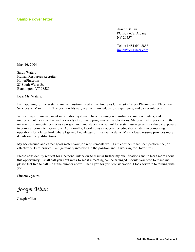**Joseph Milan**  PO Box 678, Albany NY 20457

Tel.: +1 481 654 8858 [jmilan@engineer.com](mailto:jmilan@engineer.com)

May 16, 2004

Sarah Waters Human Resources Recruiter HotterPlus.com 25 South Wales St. Bennington, VT 58585

Dear Ms. Waters:

I am applying for the systems analyst position listed at the Andrews University Career Planning and Placement Services on March 11th. The position fits very well with my education, experience, and career interests.

With a major in management information systems, I have training on mainframes, minicomputers, and microcomputers as well as with a variety of software programs and applications. My practical experience in the university's computer center as a programmer and student consultant for system users gave me valuable exposure to complex computer operations. Additionally, I worked as a cooperative education student in computing operations for a large bank where I gained knowledge of financial systems. My enclosed resume provides more details on my qualifications.

My background and career goals match your job requirements well. I am confident that I can perform the job effectively. Furthermore, I am genuinely interested in the position and in working for HotterPlus.

Please consider my request for a personal interview to discuss further my qualifications and to learn more about this opportunity. I shall call you next week to see if a meeting can be arranged. Should you need to reach me, please feel free to call me at the number above. Thank you for your consideration. I look forward to talking with you.

Sincerely yours,

*Joseph Milan* 

Joseph Milan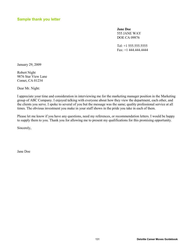## **Sample thank you letter**

**Jane Doe** 555 JANE WAY DOE CA 09876

Tel: +1 555.555.5555 Fax: +1 444.444.4444

January 29, 2009

Robert Night 9876 Star View Lane Comet, CA 01234

Dear Mr. Night:

I appreciate your time and consideration in interviewing me for the marketing manager position in the Marketing group of ABC Company. I enjoyed talking with everyone about how they view the department, each other, and the clients you serve. I spoke to several of you but the message was the same; quality professional service at all times. The obvious investment you make in your staff shows in the pride you take in each of them.

Please let me know if you have any questions, need my references, or recommendation letters. I would be happy to supply them to you. Thank you for allowing me to present my qualifications for this promising opportunity.

Sincerely,

Jane Doe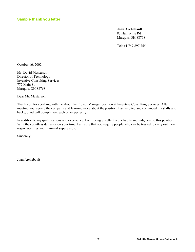## **Sample thank you letter**

**Joan Archebault** 87 Huntsville Rd Marquis, OH 88768

Tel: +1 747 897 7554

October 16, 2002

Mr. David Masterson Director of Technology Inventive Consulting Services 777 Main St. Marquis, OH 88768

Dear Mr. Masterson,

Thank you for speaking with me about the Project Manager position at Inventive Consulting Services. After meeting you, seeing the company and learning more about the position, I am excited and convinced my skills and background will compliment each other perfectly.

In addition to my qualifications and experience, I will bring excellent work habits and judgment to this position. With the countless demands on your time, I am sure that you require people who can be trusted to carry out their responsibilities with minimal supervision.

Sincerely,

Joan Archebault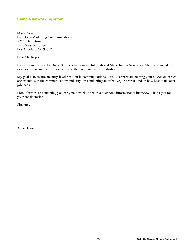## **Sample networking letter**

Mary Rojas Director – Marketing Communications XYZ International 1426 West 5th Street Los Angeles, CA, 94052

Dear Ms. Rojas,

I was referred to you by Diane Smithers from Acme International Marketing in New York. She recommended you as an excellent source of information on the communications industry.

My goal is to secure an entry-level position in communications. I would appreciate hearing your advice on career opportunities in the communications industry, on conducting an effective job search, and on how best to uncover job leads.

I look forward to contacting you early next week to set up a telephone informational interview. Thank you for your consideration.

Sincerely,

Anne Baxter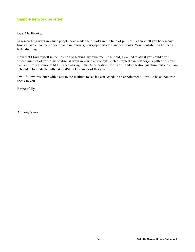# **Sample networking letter**

Dear Mr. Brooks,

In researching ways in which people have made their marks in the field of physics, I cannot tell you how many times I have encountered your name in journals, newspaper articles, and textbooks. Your contribution has been truly stunning.

Now that I find myself in the position of seeking my own fate in the field, I wanted to ask if you could offer fifteen minutes of your time to discuss ways in which a neophyte such as myself can best forge a path of his own. I am currently a senior at M.I.T. specializing in the Acceleration Norms of Random Ratio Quantum Particles. I am scheduled to graduate with a 4.0 GPA in December of this year.

I will follow this letter with a call to the Institute to see if I can schedule an appointment. It would be an honor to speak to you.

Respectfully,

Anthony Simon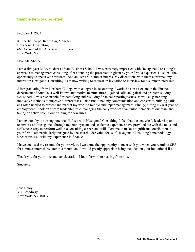# **Sample networking letter**

February 1, 2003

Kimberly Sharpe, Recruiting Manager Hexagonal Consulting 666 Avenue of the Americas, 13th Floor New York, NY

Dear Ms. Sharpe,

I am a first year MBA student at State Business School. I was extremely impressed with Hexagonal Consulting's approach to management consulting after attending the presentation given by your firm last quarter. I also had the opportunity to speak with William Field and several summer interns. My discussions with them confirmed my interest in Hexagonal Consulting. I am now writing to request an invitation to interview for a summer internship.

After graduating from Northern College with a degree in accounting, I worked as an associate in the Finance department of AutoCo, a well-known automotive manufacturer. I gained solid analytical and problem solving skills there. I was responsible for identifying and resolving financial reporting issues, as well as generating innovative methods to improve our processes. I also fine-tuned my communication and consensus building skills, as I often needed to present and market my work to middle and upper management. Finally, during my last year of employment, I took on a team leadership role, managing the daily work of five junior members of our team and taking an active role in our training for new hires.

I am excited by the strong potential fit I see with Hexagonal Consulting. I feel that the analytical, leadership and teamwork abilities gained through my employment and academic experience have provided me with the tools and skills necessary to perform well in a consulting career, and will allow me to make a significant contribution at your firm. I am particularly intrigued by the shareholder value focus of Hexagonal Consulting's methodology, since it fits well with my experience in finance.

I have enclosed my resume for your review. I welcome the opportunity to meet with you when you recruit at SBS for summer internships later this month, and I would greatly appreciate being included on your invitational list.

Thank you for your time and consideration. I look forward to hearing from you.

Sincerely,

Lisa Haley 314 Broadway New York, NY 10007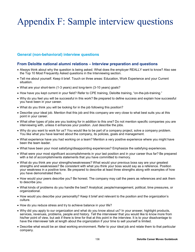# Appendix F: Sample interview questions

# **General (non-behavioral) interview questions**

## **From Deloitte national alumni relations – Interview preparation and questions**

- Always think about why the question is being asked. What does the employer REALLY want to know? Also see the Top 10 Most Frequently Asked questions in the Interviewing section.
- Tell me about yourself. Keep it brief. Touch on three areas: Education, Work Experience and your Current situation.
- What are your short-term (1-3 years) and long-term (3-10 years) goals?
- How have you kept current in your field? Refer to CPE training, Deloitte training, "on-the-job-training."
- Why do you feel you will be successful in this work? Be prepared to define success and explain how successful you have been in your career.
- What do you think you will be looking for in the job following this position?
- Describe your ideal job. Mention that this job and this company are very close to what best suits you at this point in your career.
- What other types of jobs are you looking for in addition to this one? Do not mention specific companies you are interviewing with, unless it enhances your position. Just describe the jobs.
- Why do you want to work for us? You would like to be part of a company project, solve a company problem. You like what you have learned about the company, its policies, goals and management.
- What experience have you had working on a team? Mention a very positive experience where you might have been the team leader.
- What have been your most satisfying/disappointing experiences? Emphasize the satisfying experiences.
- What were your most significant accomplishments in your last position and in your career thus far? Be prepared with a list of accomplishments statements that you have committed to memory.
- What do you think are your strengths/weaknesses? What would your previous boss say are your greatest strengths and weaknesses? Be consistent with what you think your boss would say as a reference. Position your weakness in a positive tone. Be prepared to describe at least three strengths along with examples of how you have demonstrated them.
- How would your peers describe you? Be honest. The company may call the peers as references and ask them to describe you.
- What kinds of problems do you handle the best? Analytical, people/management, political, time pressures, or organizational.
- How would you describe your personality? Keep it brief and relevant to the position and the organization's culture.
- How do you reduce stress and try to achieve balance in your life?
- Why did you apply to our organization and what do you know about us? In your answer, highlight products, services, revenues, problems, people and history. Tell the interviewer that you would like to know more from his/her point of view, but ask if there is time for that at this point in the interview. It is to your disadvantage to have the interviewer talk at length about the organization if your time to sell yourself is limited.
- Describe what would be an ideal working environment. Refer to your ideal job and relate them to that particular company.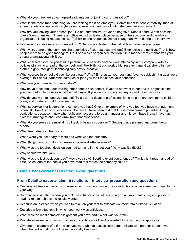- What do you think are advantages/disadvantages of joining our organization?
- What is the most important thing you are looking for in an employer? Commitment to people, stability, market share, reputation, leadership style, or entrepreneurial bent, small, intimate, creative environment.
- Why are you leaving your present job? Do not personalize. Never be negative. Keep it short. When possible, give a "group" answer ("There is an office reduction taking place because of the economy and the whole organization is being reduced in size.") Stick to one response. Do not change answers during the interview.
- How would you evaluate your present firm? Be positive. Refer to the valuable experience you gained.
- What were some of the common characteristics of your past supervisors? Emphasize the positive. That is how people learn to be good managers. Or, if one was disorganized, mention it in a manner that emphasizes your strong organizational abilities.
- What characteristics do you think a person would need to have to work effectively in our company with its policies of staying ahead of the competition? Flexibility, strong work ethic, research/analytical strengths, selfstarter, highly intelligent, technologically savvy, creative.
- What courses in school did you like best/least? Why? Emphasize your best and favorite subjects. If grades were average, talk about leadership activities or jobs you took to finance your education.
- What are your plans for further studies?
- How do you feel about supervising other people? Be honest. If you do not want to supervise, emphasize that you can contribute more as an individual player. If you want to supervise, say so and be enthusiastic.
- Why do you want to supervise people? To grow and develop professionally, to help others develop, to build a team, and to share what I have learned.
- What supervisory or leadership roles have you had? Give an example of why you feel you have management potential. Draw from your successes. "Because I have been told that I have management potential during evaluations; because I know what skills are necessary to be a manager and I know I have them. I have had excellent managers and I can draw from that experience.
- What do you see as the most difficult task in being a supervisor? Getting things planned and done through others.
- What frustrates you the most?
- When were you last angry at work and what was the outcome?
- What things could you do to increase your overall effectiveness?
- What was the toughest decision you had to make in the last year? Why was it difficult?
- Why should we hire you?
- What was the last book you read? Movie you saw? Sporting event you attended? Think this through ahead of time. Select one of the books you have read that match the company culture.

## **Sample behavioral based interviewing questions**

#### **From Deloitte national alumni relations – Interview preparation and questions**

- Describe a situation in which you were able to use persuasion to successfully convince someone to see things your way.
- Summarize a situation where you took the initiative to get others going on an important issue, and played a leading role to achieve the results wanted.
- Describe an instance when you had to think on your feet to extricate yourself from a difficult situation.
- Describe a few situations in which your work was criticized.
- What was the most complex assignment you have had? What was your role?
- Provide an example of how you acquired a technical skill and converted it into a practical application.
- Give me an example of a time when you were able to successfully communicate with another person even when that individual may not have personally liked you.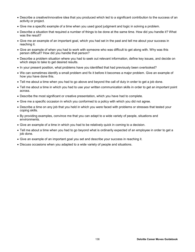- Describe a creative/innovative idea that you produced which led to a significant contribution to the success of an activity or project.
- Give me a specific example of a time when you used good judgment and logic in solving a problem.
- Describe a situation that required a number of things to be done at the same time. How did you handle it? What was the result?
- Give me an example of an important goal, which you had set in the past and tell me about your success in reaching it.
- Give an example of when you had to work with someone who was difficult to get along with. Why was this person difficult? How did you handle that person?
- Describe a problem situation where you had to seek out relevant information, define key issues, and decide on which steps to take to get desired results.
- In your present position, what problems have you identified that had previously been overlooked?
- We can sometimes identify a small problem and fix it before it becomes a major problem. Give an example of how you have done this.
- Tell me about a time when you had to go above and beyond the call of duty in order to get a job done.
- Tell me about a time in which you had to use your written communication skills in order to get an important point across.
- Describe the most significant or creative presentation, which you have had to complete.
- Give me a specific occasion in which you conformed to a policy with which you did not agree.
- Describe a time on any job that you held in which you were faced with problems or stresses that tested your coping skills.
- By providing examples, convince me that you can adapt to a wide variety of people, situations and environments.
- Give an example of a time in which you had to be relatively quick in coming to a decision.
- Tell me about a time when you had to go beyond what is ordinarily expected of an employee in order to get a job done.
- Give an example of an important goal you set and describe your success in reaching it.
- Discuss occasions when you adapted to a wide variety of people and situations.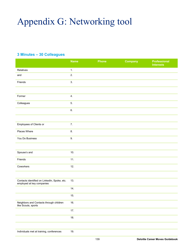# Appendix G: Networking tool

# **3 Minutes – 30 Colleagues**

|                                                                           | <b>Name</b> | <b>Phone</b> | <b>Company</b> | <b>Professional</b><br><b>Interests</b> |
|---------------------------------------------------------------------------|-------------|--------------|----------------|-----------------------------------------|
| Relatives                                                                 | 1.          |              |                |                                         |
| and                                                                       | 2.          |              |                |                                         |
| Friends                                                                   | 3.          |              |                |                                         |
|                                                                           |             |              |                |                                         |
| Former                                                                    | 4.          |              |                |                                         |
| Colleagues                                                                | 5.          |              |                |                                         |
|                                                                           | 6.          |              |                |                                         |
|                                                                           |             |              |                |                                         |
| Employees of Clients or                                                   | 7.          |              |                |                                         |
| Places Where                                                              | 8.          |              |                |                                         |
| You Do Business                                                           | 9.          |              |                |                                         |
|                                                                           |             |              |                |                                         |
| Spouse's and                                                              | 10.         |              |                |                                         |
| Friends                                                                   | 11.         |              |                |                                         |
| Coworkers                                                                 | 12.         |              |                |                                         |
|                                                                           |             |              |                |                                         |
| Contacts identified on LinkedIn, Spoke, etc.<br>employed at key companies | 13.         |              |                |                                         |
|                                                                           | 14.         |              |                |                                         |
|                                                                           | 15.         |              |                |                                         |
| Neighbors and Contacts through children<br>like Scouts, sports            | 16.         |              |                |                                         |
|                                                                           | 17.         |              |                |                                         |
|                                                                           | 18.         |              |                |                                         |
|                                                                           |             |              |                |                                         |
| Individuals met at training, conferences                                  | 19.         |              |                |                                         |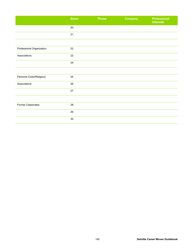|                           | <b>Name</b> | Phone | <b>Company</b> | <b>Professional</b><br><b>Interests</b> |
|---------------------------|-------------|-------|----------------|-----------------------------------------|
|                           | 20.         |       |                |                                         |
|                           | 21.         |       |                |                                         |
|                           |             |       |                |                                         |
| Professional Organization | 22.         |       |                |                                         |
| Associations              | 23.         |       |                |                                         |
|                           | 24.         |       |                |                                         |
|                           |             |       |                |                                         |
| Personal Clubs/Religious  | 25.         |       |                |                                         |
| Associations              | 26.         |       |                |                                         |
|                           | 27.         |       |                |                                         |
|                           |             |       |                |                                         |
| Former Classmates         | 28.         |       |                |                                         |
|                           | 29.         |       |                |                                         |
|                           | 30.         |       |                |                                         |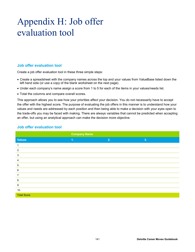# Appendix H: Job offer evaluation tool

## **Job offer evaluation tool**

Create a job offer evaluation tool in these three simple steps:

- Create a spreadsheet with the company names across the top and your values from ValueBase listed down the left hand side (or use a copy of the blank worksheet on the next page).
- Under each company's name assign a score from 1 to 5 for each of the items in your values/needs list.
- Total the columns and compare overall scores.

This approach allows you to see how your priorities affect your decision. You do not necessarily have to accept the offer with the highest score. The purpose of evaluating the job offers in this manner is to understand how your values and needs are addressed by each position and then being able to make a decision with your eyes open to the trade-offs you may be faced with making. There are always variables that cannot be predicted when accepting an offer, but using an analytical approach can make the decision more objective.

|                    | <b>Company Name</b> |    |    |  |
|--------------------|---------------------|----|----|--|
| <b>Values</b>      | $\mathbf{1}$ .      | 2. | 3. |  |
| 1.                 |                     |    |    |  |
| 2.                 |                     |    |    |  |
| 3.                 |                     |    |    |  |
| 4.                 |                     |    |    |  |
| 5.                 |                     |    |    |  |
| 6.                 |                     |    |    |  |
| 7.                 |                     |    |    |  |
| 8.                 |                     |    |    |  |
| 9.                 |                     |    |    |  |
| 10.                |                     |    |    |  |
| <b>Total Score</b> |                     |    |    |  |

## **Job offer evaluation tool**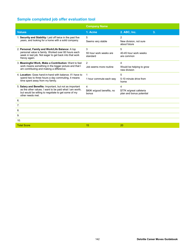# **Sample completed job offer evaluation tool**

|                                                                                                                                                                                               | <b>Company Name</b>                     |                                                          |    |
|-----------------------------------------------------------------------------------------------------------------------------------------------------------------------------------------------|-----------------------------------------|----------------------------------------------------------|----|
| <b>Values</b>                                                                                                                                                                                 | 1. Acme                                 | 2. ABC, Inc.                                             | 3. |
| 1. Security and Stability: Laid off twice in the past five<br>years, and looking for a home with a solid company.                                                                             | 5<br>Seems very stable                  | $\overline{2}$<br>New division, not sure<br>about future |    |
| 2. Personal, Family and Work/Life Balance: A top<br>personal value is family. Worked over 60 hours each<br>week in last job. Not eager to get back into that work<br>frenzy again.            | 3<br>55 hour work weeks are<br>standard | 5<br>40-45 hour work weeks<br>are common                 |    |
| 3. Meaningful Work, Make a Contribution: Want to feel<br>work means something in the bigger picture and that I<br>am contributing and making a difference.                                    | 2<br>Job seems more routine             | 4<br>Would be helping to grow<br>new division            |    |
| 4 Location: Goes hand-in-hand with balance If I have to<br>spend two to three hours a day commuting, it means<br>time spent away from my family.                                              | $\mathbf{1}$<br>1 hour commute each way | 5<br>5-10 minute drive from<br>home                      |    |
| 5. Salary and Benefits: Important, but not as important<br>as the other values. I want to be paid what I am worth,<br>but would be willing to negotiate to get some of my<br>other needs met. | 4<br>\$80K w/good benefits, no<br>bonus | 4<br>\$77K w/great cafeteria<br>plan and bonus potential |    |
| 6.                                                                                                                                                                                            |                                         |                                                          |    |
| 7.                                                                                                                                                                                            |                                         |                                                          |    |
| 8.                                                                                                                                                                                            |                                         |                                                          |    |
| 9.                                                                                                                                                                                            |                                         |                                                          |    |
| 10.                                                                                                                                                                                           |                                         |                                                          |    |
| <b>Total Score</b>                                                                                                                                                                            | 15                                      | 20                                                       |    |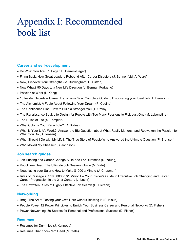# Appendix I: Recommended book list

# **Career and self-development**

- Do What You Are (P. Tieger, B. Barron-Tieger)
- Firing Back: How Great Leaders Rebound After Career Disasters (J. Sonnenfeld, A. Ward)
- Now, Discover Your Strengths (M. Buckingham, D. Clifton)
- Now What? 90 Days to a New Life Direction (L. Berman Fortgang)
- Passion at Work (L. Kang)
- 10 Insider Secrets Career Transition Your Complete Guide to Discovering your Ideal Job (T. Bermont)
- The Alchemist: A Fable About Following Your Dream (P. Coelho)
- The Confidence Plan: How to Build a Stronger You (T. Ursiny)
- The Renaissance Soul: Life Design for People with Too Many Passions to Pick Just One (M. Lobenstine)
- The Rules of Life (S. Templar)
- What Color is Your Parachute? (R. Bolles)
- What is Your Life's Work?: Answer the Big Question about What Really Matters...and Reawaken the Passion for What You Do (B. Jensen)
- What Should I Do with My Life?: The True Story of People Who Answered the Ultimate Question (P. Bronson)
- Who Moved My Cheese? (S. Johnson)

### **Job search guides**

- Job Hunting and Career Change All-in-one For Dummies (R. Yeung)
- Knock 'em Dead: The Ultimate Job Seekers Guide (M. Yate)
- Negotiating your Salary: How to Make \$1000 a Minute (J. Chapman)
- Rites of Passage at \$100,000 to \$1 Million+ Your Insider's Guide to Executive Job Changing and Faster Career Progression in the 21st Century (J. Lucht)
- The Unwritten Rules of Highly Effective Job Search (O. Pierson)

# **Networking**

- Brag! The Art of Tooting your Own Horn without Blowing it! (P. Klaus)
- People Power:12 Power Principles to Enrich Your Business Career and Personal Networks (D. Fisher)
- Power Networking: 59 Secrets for Personal and Professional Success (D. Fisher)

### **Resumes**

- Resumes for Dummies (J. Kennedy)
- Resumes That Knock 'em Dead (M. Yate)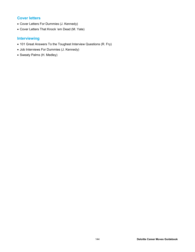# **Cover letters**

- Cover Letters For Dummies (J. Kennedy)
- Cover Letters That Knock 'em Dead (M. Yate)

# **Interviewing**

- 101 Great Answers To the Toughest Interview Questions (R. Fry)
- Job Interviews For Dummies (J. Kennedy)
- Sweaty Palms (H. Medley)